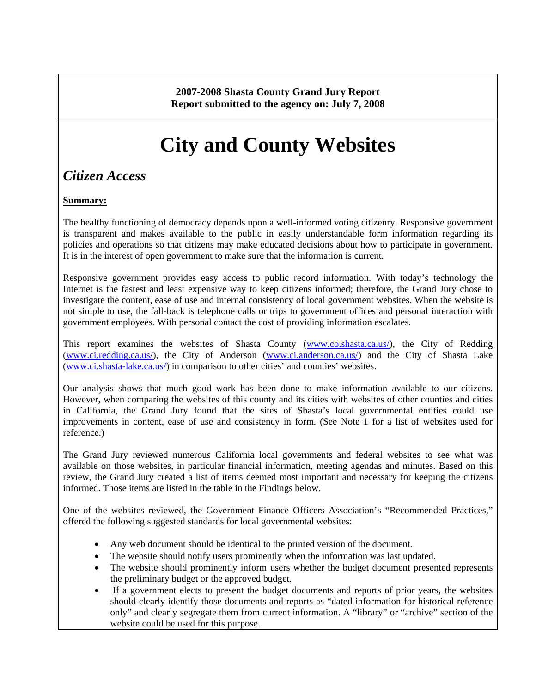**2007-2008 Shasta County Grand Jury Report Report submitted to the agency on: July 7, 2008** 

# **City and County Websites**

# *Citizen Access*

### **Summary:**

The healthy functioning of democracy depends upon a well-informed voting citizenry. Responsive government is transparent and makes available to the public in easily understandable form information regarding its policies and operations so that citizens may make educated decisions about how to participate in government. It is in the interest of open government to make sure that the information is current.

Responsive government provides easy access to public record information. With today's technology the Internet is the fastest and least expensive way to keep citizens informed; therefore, the Grand Jury chose to investigate the content, ease of use and internal consistency of local government websites. When the website is not simple to use, the fall-back is telephone calls or trips to government offices and personal interaction with government employees. With personal contact the cost of providing information escalates.

This report examines the websites of Shasta County [\(www.co.shasta.ca.us/\)](http://www.co.shasta.ca.us/), the City of Redding ([www.ci.redding.ca.us/\)](http://www.ci.redding.ca.us/), the City of Anderson [\(www.ci.anderson.ca.us/](http://www.ci.anderson.ca.us/)) and the City of Shasta Lake ([www.ci.shasta-lake.ca.us/\)](http://www.ci.shasta-lake.ca.us/) in comparison to other cities' and counties' websites.

Our analysis shows that much good work has been done to make information available to our citizens. However, when comparing the websites of this county and its cities with websites of other counties and cities in California, the Grand Jury found that the sites of Shasta's local governmental entities could use improvements in content, ease of use and consistency in form. (See Note 1 for a list of websites used for reference.)

The Grand Jury reviewed numerous California local governments and federal websites to see what was available on those websites, in particular financial information, meeting agendas and minutes. Based on this review, the Grand Jury created a list of items deemed most important and necessary for keeping the citizens informed. Those items are listed in the table in the Findings below.

One of the websites reviewed, the Government Finance Officers Association's "Recommended Practices," offered the following suggested standards for local governmental websites:

- Any web document should be identical to the printed version of the document.
- The website should notify users prominently when the information was last updated.
- The website should prominently inform users whether the budget document presented represents the preliminary budget or the approved budget.
- If a government elects to present the budget documents and reports of prior years, the websites should clearly identify those documents and reports as "dated information for historical reference only" and clearly segregate them from current information. A "library" or "archive" section of the website could be used for this purpose.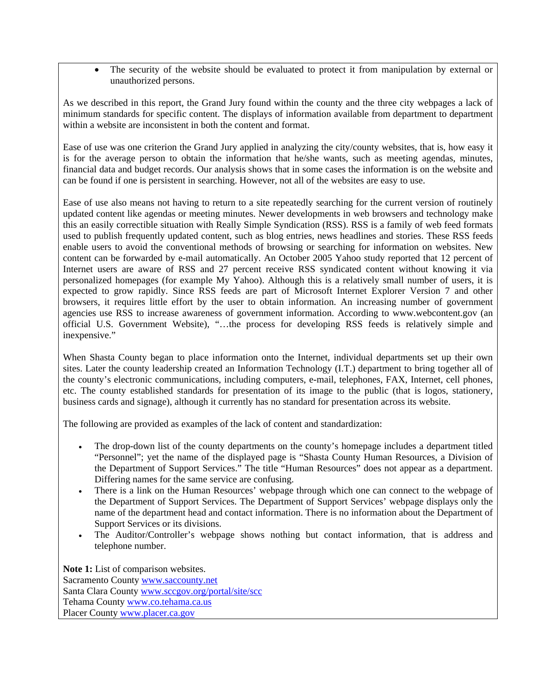• The security of the website should be evaluated to protect it from manipulation by external or unauthorized persons.

As we described in this report, the Grand Jury found within the county and the three city webpages a lack of minimum standards for specific content. The displays of information available from department to department within a website are inconsistent in both the content and format.

Ease of use was one criterion the Grand Jury applied in analyzing the city/county websites, that is, how easy it is for the average person to obtain the information that he/she wants, such as meeting agendas, minutes, financial data and budget records. Our analysis shows that in some cases the information is on the website and can be found if one is persistent in searching. However, not all of the websites are easy to use.

Ease of use also means not having to return to a site repeatedly searching for the current version of routinely updated content like agendas or meeting minutes. Newer developments in web browsers and technology make this an easily correctible situation with Really Simple Syndication (RSS). RSS is a family of web feed formats used to publish frequently updated content, such as blog entries, news headlines and stories. These RSS feeds enable users to avoid the conventional methods of browsing or searching for information on websites. New content can be forwarded by e-mail automatically. An October 2005 Yahoo study reported that 12 percent of Internet users are aware of RSS and 27 percent receive RSS syndicated content without knowing it via personalized homepages (for example My Yahoo). Although this is a relatively small number of users, it is expected to grow rapidly. Since RSS feeds are part of Microsoft Internet Explorer Version 7 and other browsers, it requires little effort by the user to obtain information. An increasing number of government agencies use RSS to increase awareness of government information. According to www.webcontent.gov (an official U.S. Government Website), "…the process for developing RSS feeds is relatively simple and inexpensive."

When Shasta County began to place information onto the Internet, individual departments set up their own sites. Later the county leadership created an Information Technology (I.T.) department to bring together all of the county's electronic communications, including computers, e-mail, telephones, FAX, Internet, cell phones, etc. The county established standards for presentation of its image to the public (that is logos, stationery, business cards and signage), although it currently has no standard for presentation across its website.

The following are provided as examples of the lack of content and standardization:

- The drop-down list of the county departments on the county's homepage includes a department titled "Personnel"; yet the name of the displayed page is "Shasta County Human Resources, a Division of the Department of Support Services." The title "Human Resources" does not appear as a department. Differing names for the same service are confusing.
- There is a link on the Human Resources' webpage through which one can connect to the webpage of the Department of Support Services. The Department of Support Services' webpage displays only the name of the department head and contact information. There is no information about the Department of Support Services or its divisions.
- The Auditor/Controller's webpage shows nothing but contact information, that is address and telephone number.

**Note 1:** List of comparison websites. Sacramento County [www.saccounty.net](http://www.saccounty.net/)  Santa Clara County [www.sccgov.org/portal/site/scc](http://www.sccgov.org/portal/site/scc)  Tehama County [www.co.tehama.ca.us](www.co.tehama.ca.us%20)  Placer County [www.placer.ca.gov](www.placer.ca.gov%20)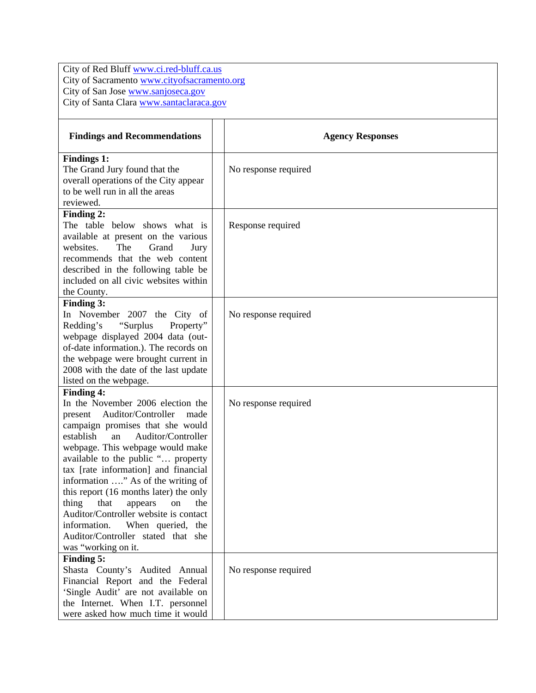City of Red Bluff [www.ci.red-bluff.ca.us](http://www.ci.red-bluff.ca.us/) City of Sacramento [www.cityofsacramento.org](http://www.cityofsacramento.org/) City of San Jose [www.sanjoseca.gov](http://www.sanjoseca.gov/)  City of Santa Clara [www.santaclaraca.gov](http://www.santaclaraca.gov/) 

| <b>Findings and Recommendations</b>                                        | <b>Agency Responses</b> |
|----------------------------------------------------------------------------|-------------------------|
| <b>Findings 1:</b>                                                         |                         |
| The Grand Jury found that the                                              | No response required    |
| overall operations of the City appear<br>to be well run in all the areas   |                         |
| reviewed.                                                                  |                         |
| Finding 2:                                                                 |                         |
| The table below shows what is                                              | Response required       |
| available at present on the various                                        |                         |
| websites.<br>The<br>Grand<br>Jury                                          |                         |
| recommends that the web content                                            |                         |
| described in the following table be                                        |                         |
| included on all civic websites within                                      |                         |
| the County.                                                                |                         |
| <b>Finding 3:</b>                                                          |                         |
| In November 2007 the City of                                               | No response required    |
| Redding's<br>"Surplus"<br>Property"<br>webpage displayed 2004 data (out-   |                         |
| of-date information.). The records on                                      |                         |
| the webpage were brought current in                                        |                         |
| 2008 with the date of the last update                                      |                         |
| listed on the webpage.                                                     |                         |
| <b>Finding 4:</b>                                                          |                         |
| In the November 2006 election the                                          | No response required    |
| present Auditor/Controller<br>made                                         |                         |
| campaign promises that she would                                           |                         |
| establish<br>Auditor/Controller<br>an                                      |                         |
| webpage. This webpage would make                                           |                         |
| available to the public " property<br>tax [rate information] and financial |                         |
| information " As of the writing of                                         |                         |
| this report (16 months later) the only                                     |                         |
| thing<br>that<br>the<br>appears<br>on                                      |                         |
| Auditor/Controller website is contact                                      |                         |
| information.<br>When queried, the                                          |                         |
| Auditor/Controller stated that she                                         |                         |
| was "working on it.                                                        |                         |
| Finding 5:                                                                 |                         |
| Shasta County's Audited Annual                                             | No response required    |
| Financial Report and the Federal                                           |                         |
| 'Single Audit' are not available on                                        |                         |
| the Internet. When I.T. personnel                                          |                         |
| were asked how much time it would                                          |                         |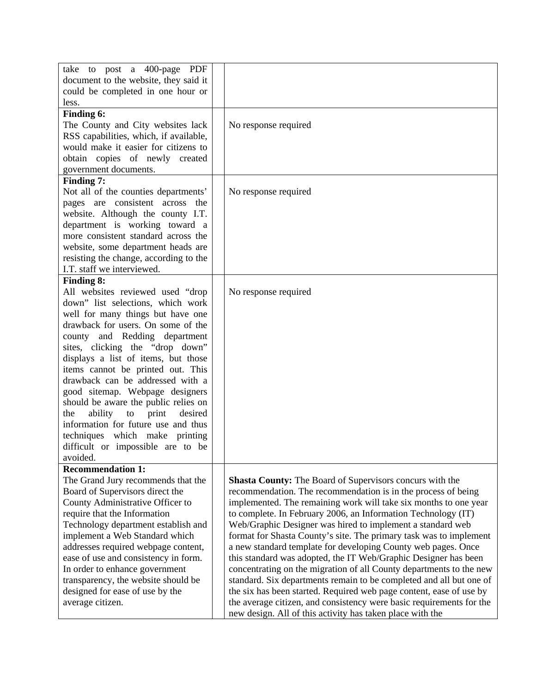| take to post a 400-page PDF            |                                                                      |
|----------------------------------------|----------------------------------------------------------------------|
|                                        |                                                                      |
| document to the website, they said it  |                                                                      |
| could be completed in one hour or      |                                                                      |
| less.                                  |                                                                      |
| Finding 6:                             |                                                                      |
| The County and City websites lack      | No response required                                                 |
| RSS capabilities, which, if available, |                                                                      |
| would make it easier for citizens to   |                                                                      |
| obtain copies of newly created         |                                                                      |
| government documents.                  |                                                                      |
| Finding 7:                             |                                                                      |
| Not all of the counties departments'   | No response required                                                 |
| pages are consistent across the        |                                                                      |
| website. Although the county I.T.      |                                                                      |
| department is working toward a         |                                                                      |
| more consistent standard across the    |                                                                      |
| website, some department heads are     |                                                                      |
| resisting the change, according to the |                                                                      |
| I.T. staff we interviewed.             |                                                                      |
|                                        |                                                                      |
| <b>Finding 8:</b>                      |                                                                      |
| All websites reviewed used "drop       | No response required                                                 |
| down" list selections, which work      |                                                                      |
| well for many things but have one      |                                                                      |
| drawback for users. On some of the     |                                                                      |
| county and Redding department          |                                                                      |
| sites, clicking the "drop down"        |                                                                      |
| displays a list of items, but those    |                                                                      |
| items cannot be printed out. This      |                                                                      |
| drawback can be addressed with a       |                                                                      |
| good sitemap. Webpage designers        |                                                                      |
| should be aware the public relies on   |                                                                      |
| print<br>ability to<br>desired<br>the  |                                                                      |
| information for future use and thus    |                                                                      |
| techniques which make printing         |                                                                      |
| difficult or impossible are to be      |                                                                      |
| avoided.                               |                                                                      |
|                                        |                                                                      |
| <b>Recommendation 1:</b>               |                                                                      |
| The Grand Jury recommends that the     | <b>Shasta County:</b> The Board of Supervisors concurs with the      |
| Board of Supervisors direct the        | recommendation. The recommendation is in the process of being        |
| County Administrative Officer to       | implemented. The remaining work will take six months to one year     |
| require that the Information           | to complete. In February 2006, an Information Technology (IT)        |
| Technology department establish and    | Web/Graphic Designer was hired to implement a standard web           |
| implement a Web Standard which         | format for Shasta County's site. The primary task was to implement   |
| addresses required webpage content,    | a new standard template for developing County web pages. Once        |
| ease of use and consistency in form.   | this standard was adopted, the IT Web/Graphic Designer has been      |
| In order to enhance government         | concentrating on the migration of all County departments to the new  |
| transparency, the website should be    | standard. Six departments remain to be completed and all but one of  |
| designed for ease of use by the        | the six has been started. Required web page content, ease of use by  |
| average citizen.                       | the average citizen, and consistency were basic requirements for the |
|                                        | new design. All of this activity has taken place with the            |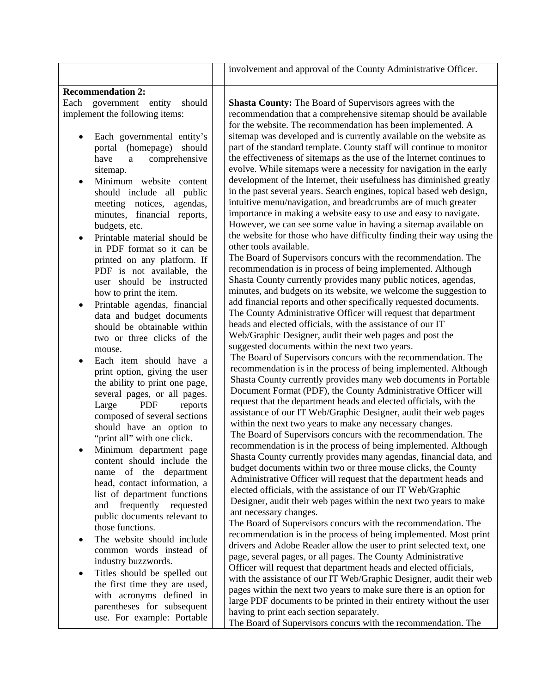|                                                                                                                                                                                                                                                                                                                                                                                                                                                                                                                                                                                                                                                                                                                                                                                                                                                                                                                                                                                                                                                                                   | involvement and approval of the County Administrative Officer.                                                                                                                                                                                                                                                                                                                                                                                                                                                                                                                                                                                                                                                                                                                                                                                                                                                                                                                                                                                                                                                                                                                                                                                                                                                                                                                                                                                                                                                                                                                                                                                                                                                                                                                                                                                                                                                                                                                                                                                                                                                                                                                                                                                                                                                                                                                                                                                                                                                                                   |
|-----------------------------------------------------------------------------------------------------------------------------------------------------------------------------------------------------------------------------------------------------------------------------------------------------------------------------------------------------------------------------------------------------------------------------------------------------------------------------------------------------------------------------------------------------------------------------------------------------------------------------------------------------------------------------------------------------------------------------------------------------------------------------------------------------------------------------------------------------------------------------------------------------------------------------------------------------------------------------------------------------------------------------------------------------------------------------------|--------------------------------------------------------------------------------------------------------------------------------------------------------------------------------------------------------------------------------------------------------------------------------------------------------------------------------------------------------------------------------------------------------------------------------------------------------------------------------------------------------------------------------------------------------------------------------------------------------------------------------------------------------------------------------------------------------------------------------------------------------------------------------------------------------------------------------------------------------------------------------------------------------------------------------------------------------------------------------------------------------------------------------------------------------------------------------------------------------------------------------------------------------------------------------------------------------------------------------------------------------------------------------------------------------------------------------------------------------------------------------------------------------------------------------------------------------------------------------------------------------------------------------------------------------------------------------------------------------------------------------------------------------------------------------------------------------------------------------------------------------------------------------------------------------------------------------------------------------------------------------------------------------------------------------------------------------------------------------------------------------------------------------------------------------------------------------------------------------------------------------------------------------------------------------------------------------------------------------------------------------------------------------------------------------------------------------------------------------------------------------------------------------------------------------------------------------------------------------------------------------------------------------------------------|
| <b>Recommendation 2:</b>                                                                                                                                                                                                                                                                                                                                                                                                                                                                                                                                                                                                                                                                                                                                                                                                                                                                                                                                                                                                                                                          |                                                                                                                                                                                                                                                                                                                                                                                                                                                                                                                                                                                                                                                                                                                                                                                                                                                                                                                                                                                                                                                                                                                                                                                                                                                                                                                                                                                                                                                                                                                                                                                                                                                                                                                                                                                                                                                                                                                                                                                                                                                                                                                                                                                                                                                                                                                                                                                                                                                                                                                                                  |
| government entity<br>Each<br>should<br>implement the following items:<br>Each governmental entity's<br>portal (homepage) should<br>comprehensive<br>have<br>$\mathbf{a}$<br>sitemap.<br>Minimum website content<br>should include all public<br>meeting notices, agendas,<br>minutes, financial reports,<br>budgets, etc.<br>Printable material should be<br>in PDF format so it can be<br>printed on any platform. If<br>PDF is not available, the<br>user should be instructed<br>how to print the item.<br>Printable agendas, financial<br>data and budget documents<br>should be obtainable within<br>two or three clicks of the<br>mouse.<br>Each item should have a<br>print option, giving the user<br>the ability to print one page,<br>several pages, or all pages.<br>PDF<br>Large<br>reports<br>composed of several sections<br>should have an option to<br>"print all" with one click.<br>Minimum department page<br>content should include the<br>name of the department<br>head, contact information, a<br>list of department functions<br>and frequently requested | <b>Shasta County:</b> The Board of Supervisors agrees with the<br>recommendation that a comprehensive sitemap should be available<br>for the website. The recommendation has been implemented. A<br>sitemap was developed and is currently available on the website as<br>part of the standard template. County staff will continue to monitor<br>the effectiveness of sitemaps as the use of the Internet continues to<br>evolve. While sitemaps were a necessity for navigation in the early<br>development of the Internet, their usefulness has diminished greatly<br>in the past several years. Search engines, topical based web design,<br>intuitive menu/navigation, and breadcrumbs are of much greater<br>importance in making a website easy to use and easy to navigate.<br>However, we can see some value in having a sitemap available on<br>the website for those who have difficulty finding their way using the<br>other tools available.<br>The Board of Supervisors concurs with the recommendation. The<br>recommendation is in process of being implemented. Although<br>Shasta County currently provides many public notices, agendas,<br>minutes, and budgets on its website, we welcome the suggestion to<br>add financial reports and other specifically requested documents.<br>The County Administrative Officer will request that department<br>heads and elected officials, with the assistance of our IT<br>Web/Graphic Designer, audit their web pages and post the<br>suggested documents within the next two years.<br>The Board of Supervisors concurs with the recommendation. The<br>recommendation is in the process of being implemented. Although<br>Shasta County currently provides many web documents in Portable<br>Document Format (PDF), the County Administrative Officer will<br>request that the department heads and elected officials, with the<br>assistance of our IT Web/Graphic Designer, audit their web pages<br>within the next two years to make any necessary changes.<br>The Board of Supervisors concurs with the recommendation. The<br>recommendation is in the process of being implemented. Although<br>Shasta County currently provides many agendas, financial data, and<br>budget documents within two or three mouse clicks, the County<br>Administrative Officer will request that the department heads and<br>elected officials, with the assistance of our IT Web/Graphic<br>Designer, audit their web pages within the next two years to make<br>ant necessary changes. |
| public documents relevant to<br>those functions.<br>The website should include<br>$\bullet$                                                                                                                                                                                                                                                                                                                                                                                                                                                                                                                                                                                                                                                                                                                                                                                                                                                                                                                                                                                       | The Board of Supervisors concurs with the recommendation. The<br>recommendation is in the process of being implemented. Most print<br>drivers and Adobe Reader allow the user to print selected text, one                                                                                                                                                                                                                                                                                                                                                                                                                                                                                                                                                                                                                                                                                                                                                                                                                                                                                                                                                                                                                                                                                                                                                                                                                                                                                                                                                                                                                                                                                                                                                                                                                                                                                                                                                                                                                                                                                                                                                                                                                                                                                                                                                                                                                                                                                                                                        |
| common words instead of<br>industry buzzwords.<br>Titles should be spelled out<br>٠<br>the first time they are used,                                                                                                                                                                                                                                                                                                                                                                                                                                                                                                                                                                                                                                                                                                                                                                                                                                                                                                                                                              | page, several pages, or all pages. The County Administrative<br>Officer will request that department heads and elected officials,<br>with the assistance of our IT Web/Graphic Designer, audit their web                                                                                                                                                                                                                                                                                                                                                                                                                                                                                                                                                                                                                                                                                                                                                                                                                                                                                                                                                                                                                                                                                                                                                                                                                                                                                                                                                                                                                                                                                                                                                                                                                                                                                                                                                                                                                                                                                                                                                                                                                                                                                                                                                                                                                                                                                                                                         |
| with acronyms defined in<br>parentheses for subsequent<br>use. For example: Portable                                                                                                                                                                                                                                                                                                                                                                                                                                                                                                                                                                                                                                                                                                                                                                                                                                                                                                                                                                                              | pages within the next two years to make sure there is an option for<br>large PDF documents to be printed in their entirety without the user<br>having to print each section separately.<br>The Board of Supervisors concurs with the recommendation. The                                                                                                                                                                                                                                                                                                                                                                                                                                                                                                                                                                                                                                                                                                                                                                                                                                                                                                                                                                                                                                                                                                                                                                                                                                                                                                                                                                                                                                                                                                                                                                                                                                                                                                                                                                                                                                                                                                                                                                                                                                                                                                                                                                                                                                                                                         |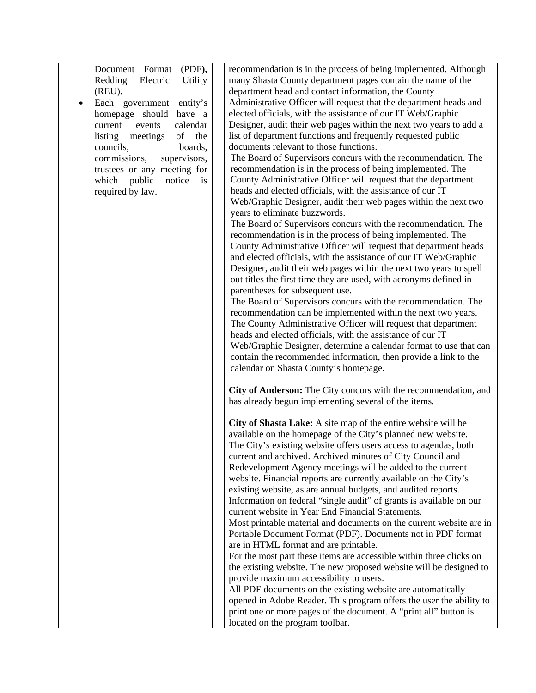Document Format (PDF**),** Redding Electric Utility (REU).

 Each government entity's homepage should have a current events calendar listing meetings of the councils, boards, commissions, supervisors, trustees or any meeting for which public notice is required by law.

recommendation is in the process of being implemented. Although many Shasta County department pages contain the name of the department head and contact information, the County Administrative Officer will request that the department heads and elected officials, with the assistance of our IT Web/Graphic Designer, audit their web pages within the next two years to add a list of department functions and frequently requested public documents relevant to those functions.

The Board of Supervisors concurs with the recommendation. The recommendation is in the process of being implemented. The County Administrative Officer will request that the department heads and elected officials, with the assistance of our IT Web/Graphic Designer, audit their web pages within the next two years to eliminate buzzwords.

The Board of Supervisors concurs with the recommendation. The recommendation is in the process of being implemented. The County Administrative Officer will request that department heads and elected officials, with the assistance of our IT Web/Graphic Designer, audit their web pages within the next two years to spell out titles the first time they are used, with acronyms defined in parentheses for subsequent use.

The Board of Supervisors concurs with the recommendation. The recommendation can be implemented within the next two years. The County Administrative Officer will request that department heads and elected officials, with the assistance of our IT Web/Graphic Designer, determine a calendar format to use that can contain the recommended information, then provide a link to the calendar on Shasta County's homepage.

**City of Anderson:** The City concurs with the recommendation, and has already begun implementing several of the items.

**City of Shasta Lake:** A site map of the entire website will be available on the homepage of the City's planned new website. The City's existing website offers users access to agendas, both current and archived. Archived minutes of City Council and Redevelopment Agency meetings will be added to the current website. Financial reports are currently available on the City's existing website, as are annual budgets, and audited reports. Information on federal "single audit" of grants is available on our current website in Year End Financial Statements. Most printable material and documents on the current website are in Portable Document Format (PDF). Documents not in PDF format are in HTML format and are printable. For the most part these items are accessible within three clicks on the existing website. The new proposed website will be designed to provide maximum accessibility to users. All PDF documents on the existing website are automatically opened in Adobe Reader. This program offers the user the ability to

print one or more pages of the document. A "print all" button is

located on the program toolbar.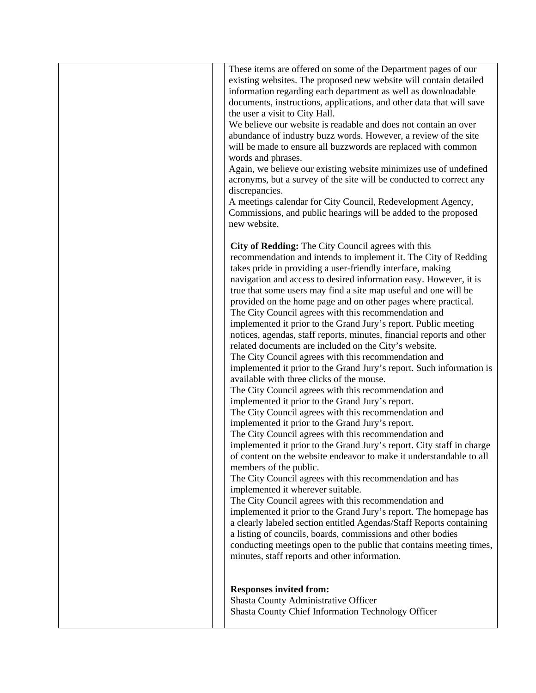|  | These items are offered on some of the Department pages of our<br>existing websites. The proposed new website will contain detailed<br>information regarding each department as well as downloadable<br>documents, instructions, applications, and other data that will save<br>the user a visit to City Hall.<br>We believe our website is readable and does not contain an over<br>abundance of industry buzz words. However, a review of the site<br>will be made to ensure all buzzwords are replaced with common<br>words and phrases.<br>Again, we believe our existing website minimizes use of undefined<br>acronyms, but a survey of the site will be conducted to correct any<br>discrepancies.<br>A meetings calendar for City Council, Redevelopment Agency,<br>Commissions, and public hearings will be added to the proposed<br>new website.                                                                                                                                                                                                                                                                                                                                                                                                                                                                                                                                                                                                                                                                                                                                                                                                                                                                                                                                   |
|--|----------------------------------------------------------------------------------------------------------------------------------------------------------------------------------------------------------------------------------------------------------------------------------------------------------------------------------------------------------------------------------------------------------------------------------------------------------------------------------------------------------------------------------------------------------------------------------------------------------------------------------------------------------------------------------------------------------------------------------------------------------------------------------------------------------------------------------------------------------------------------------------------------------------------------------------------------------------------------------------------------------------------------------------------------------------------------------------------------------------------------------------------------------------------------------------------------------------------------------------------------------------------------------------------------------------------------------------------------------------------------------------------------------------------------------------------------------------------------------------------------------------------------------------------------------------------------------------------------------------------------------------------------------------------------------------------------------------------------------------------------------------------------------------------|
|  | City of Redding: The City Council agrees with this<br>recommendation and intends to implement it. The City of Redding<br>takes pride in providing a user-friendly interface, making<br>navigation and access to desired information easy. However, it is<br>true that some users may find a site map useful and one will be<br>provided on the home page and on other pages where practical.<br>The City Council agrees with this recommendation and<br>implemented it prior to the Grand Jury's report. Public meeting<br>notices, agendas, staff reports, minutes, financial reports and other<br>related documents are included on the City's website.<br>The City Council agrees with this recommendation and<br>implemented it prior to the Grand Jury's report. Such information is<br>available with three clicks of the mouse.<br>The City Council agrees with this recommendation and<br>implemented it prior to the Grand Jury's report.<br>The City Council agrees with this recommendation and<br>implemented it prior to the Grand Jury's report.<br>The City Council agrees with this recommendation and<br>implemented it prior to the Grand Jury's report. City staff in charge<br>of content on the website endeavor to make it understandable to all<br>members of the public.<br>The City Council agrees with this recommendation and has<br>implemented it wherever suitable.<br>The City Council agrees with this recommendation and<br>implemented it prior to the Grand Jury's report. The homepage has<br>a clearly labeled section entitled Agendas/Staff Reports containing<br>a listing of councils, boards, commissions and other bodies<br>conducting meetings open to the public that contains meeting times,<br>minutes, staff reports and other information. |
|  | <b>Responses invited from:</b><br>Shasta County Administrative Officer<br>Shasta County Chief Information Technology Officer                                                                                                                                                                                                                                                                                                                                                                                                                                                                                                                                                                                                                                                                                                                                                                                                                                                                                                                                                                                                                                                                                                                                                                                                                                                                                                                                                                                                                                                                                                                                                                                                                                                                 |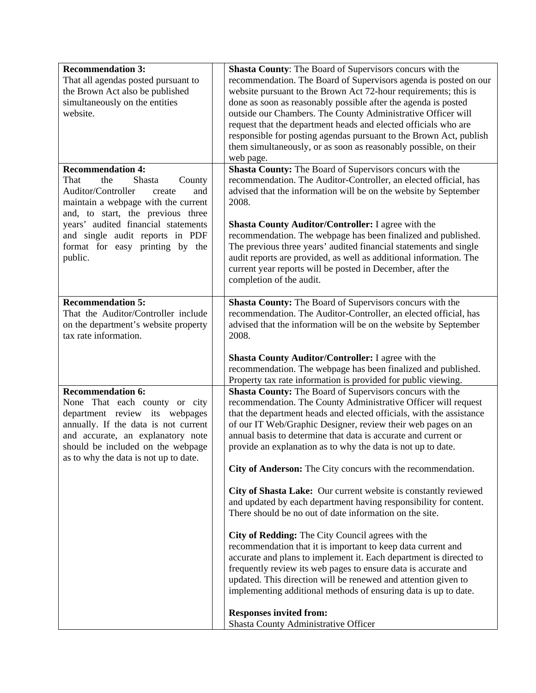| <b>Recommendation 3:</b><br>That all agendas posted pursuant to<br>the Brown Act also be published<br>simultaneously on the entities<br>website.<br><b>Recommendation 4:</b><br>That<br>Shasta<br>the<br>County<br>Auditor/Controller<br>and<br>create<br>maintain a webpage with the current<br>and, to start, the previous three | Shasta County: The Board of Supervisors concurs with the<br>recommendation. The Board of Supervisors agenda is posted on our<br>website pursuant to the Brown Act 72-hour requirements; this is<br>done as soon as reasonably possible after the agenda is posted<br>outside our Chambers. The County Administrative Officer will<br>request that the department heads and elected officials who are<br>responsible for posting agendas pursuant to the Brown Act, publish<br>them simultaneously, or as soon as reasonably possible, on their<br>web page.<br>Shasta County: The Board of Supervisors concurs with the<br>recommendation. The Auditor-Controller, an elected official, has<br>advised that the information will be on the website by September<br>2008. |
|------------------------------------------------------------------------------------------------------------------------------------------------------------------------------------------------------------------------------------------------------------------------------------------------------------------------------------|--------------------------------------------------------------------------------------------------------------------------------------------------------------------------------------------------------------------------------------------------------------------------------------------------------------------------------------------------------------------------------------------------------------------------------------------------------------------------------------------------------------------------------------------------------------------------------------------------------------------------------------------------------------------------------------------------------------------------------------------------------------------------|
| years' audited financial statements<br>and single audit reports in PDF<br>format for easy printing by the<br>public.                                                                                                                                                                                                               | <b>Shasta County Auditor/Controller: I agree with the</b><br>recommendation. The webpage has been finalized and published.<br>The previous three years' audited financial statements and single<br>audit reports are provided, as well as additional information. The<br>current year reports will be posted in December, after the<br>completion of the audit.                                                                                                                                                                                                                                                                                                                                                                                                          |
| <b>Recommendation 5:</b><br>That the Auditor/Controller include<br>on the department's website property<br>tax rate information.                                                                                                                                                                                                   | Shasta County: The Board of Supervisors concurs with the<br>recommendation. The Auditor-Controller, an elected official, has<br>advised that the information will be on the website by September<br>2008.<br>Shasta County Auditor/Controller: I agree with the<br>recommendation. The webpage has been finalized and published.<br>Property tax rate information is provided for public viewing.                                                                                                                                                                                                                                                                                                                                                                        |
| <b>Recommendation 6:</b><br>None That each county or city<br>department review its webpages<br>annually. If the data is not current<br>and accurate, an explanatory note<br>should be included on the webpage<br>as to why the data is not up to date.                                                                             | Shasta County: The Board of Supervisors concurs with the<br>recommendation. The County Administrative Officer will request<br>that the department heads and elected officials, with the assistance<br>of our IT Web/Graphic Designer, review their web pages on an<br>annual basis to determine that data is accurate and current or<br>provide an explanation as to why the data is not up to date.<br>City of Anderson: The City concurs with the recommendation.<br>City of Shasta Lake: Our current website is constantly reviewed<br>and updated by each department having responsibility for content.<br>There should be no out of date information on the site.<br>City of Redding: The City Council agrees with the                                              |
|                                                                                                                                                                                                                                                                                                                                    | recommendation that it is important to keep data current and<br>accurate and plans to implement it. Each department is directed to<br>frequently review its web pages to ensure data is accurate and<br>updated. This direction will be renewed and attention given to<br>implementing additional methods of ensuring data is up to date.<br><b>Responses invited from:</b><br>Shasta County Administrative Officer                                                                                                                                                                                                                                                                                                                                                      |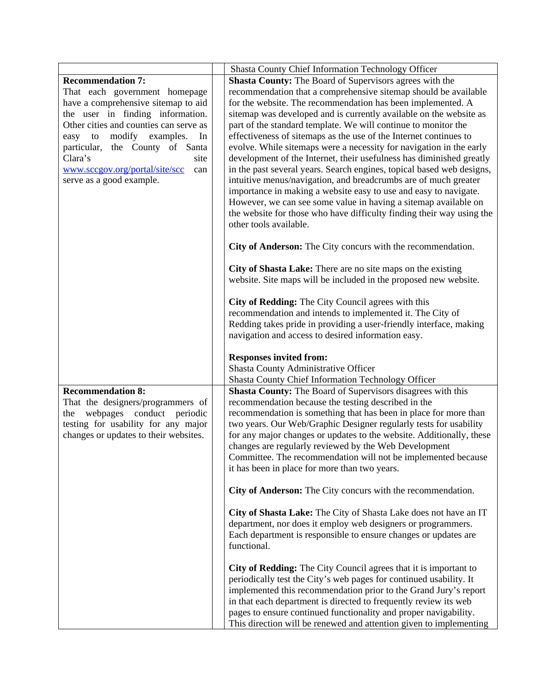|                                                                                                                                                                                                                                                                                                                                             | <b>Shasta County Chief Information Technology Officer</b>                                                                                                                                                                                                                                                                                                                                                                                                                                                                                                                                                                                                                                                                                                                                                                                                                                                                                                                                                                                                                                                                                                                                                                                                                                                                                                                                           |
|---------------------------------------------------------------------------------------------------------------------------------------------------------------------------------------------------------------------------------------------------------------------------------------------------------------------------------------------|-----------------------------------------------------------------------------------------------------------------------------------------------------------------------------------------------------------------------------------------------------------------------------------------------------------------------------------------------------------------------------------------------------------------------------------------------------------------------------------------------------------------------------------------------------------------------------------------------------------------------------------------------------------------------------------------------------------------------------------------------------------------------------------------------------------------------------------------------------------------------------------------------------------------------------------------------------------------------------------------------------------------------------------------------------------------------------------------------------------------------------------------------------------------------------------------------------------------------------------------------------------------------------------------------------------------------------------------------------------------------------------------------------|
| <b>Recommendation 7:</b><br>That each government homepage<br>have a comprehensive sitemap to aid<br>the user in finding information.<br>Other cities and counties can serve as<br>modify examples. In<br>easy to<br>particular, the County of Santa<br>Clara's<br>site<br>www.sccgov.org/portal/site/scc<br>can<br>serve as a good example. | <b>Shasta County:</b> The Board of Supervisors agrees with the<br>recommendation that a comprehensive sitemap should be available<br>for the website. The recommendation has been implemented. A<br>sitemap was developed and is currently available on the website as<br>part of the standard template. We will continue to monitor the<br>effectiveness of sitemaps as the use of the Internet continues to<br>evolve. While sitemaps were a necessity for navigation in the early<br>development of the Internet, their usefulness has diminished greatly<br>in the past several years. Search engines, topical based web designs,<br>intuitive menus/navigation, and breadcrumbs are of much greater<br>importance in making a website easy to use and easy to navigate.<br>However, we can see some value in having a sitemap available on<br>the website for those who have difficulty finding their way using the<br>other tools available.<br>City of Anderson: The City concurs with the recommendation.<br>City of Shasta Lake: There are no site maps on the existing<br>website. Site maps will be included in the proposed new website.<br>City of Redding: The City Council agrees with this<br>recommendation and intends to implemented it. The City of<br>Redding takes pride in providing a user-friendly interface, making<br>navigation and access to desired information easy. |
| <b>Recommendation 8:</b><br>That the designers/programmers of<br>webpages conduct periodic<br>the<br>testing for usability for any major<br>changes or updates to their websites.                                                                                                                                                           | <b>Responses invited from:</b><br>Shasta County Administrative Officer<br>Shasta County Chief Information Technology Officer<br><b>Shasta County:</b> The Board of Supervisors disagrees with this<br>recommendation because the testing described in the<br>recommendation is something that has been in place for more than<br>two years. Our Web/Graphic Designer regularly tests for usability<br>for any major changes or updates to the website. Additionally, these<br>changes are regularly reviewed by the Web Development<br>Committee. The recommendation will not be implemented because<br>it has been in place for more than two years.                                                                                                                                                                                                                                                                                                                                                                                                                                                                                                                                                                                                                                                                                                                                               |
|                                                                                                                                                                                                                                                                                                                                             | City of Anderson: The City concurs with the recommendation.<br>City of Shasta Lake: The City of Shasta Lake does not have an IT<br>department, nor does it employ web designers or programmers.<br>Each department is responsible to ensure changes or updates are<br>functional.<br>City of Redding: The City Council agrees that it is important to<br>periodically test the City's web pages for continued usability. It<br>implemented this recommendation prior to the Grand Jury's report<br>in that each department is directed to frequently review its web<br>pages to ensure continued functionality and proper navigability.<br>This direction will be renewed and attention given to implementing                                                                                                                                                                                                                                                                                                                                                                                                                                                                                                                                                                                                                                                                                       |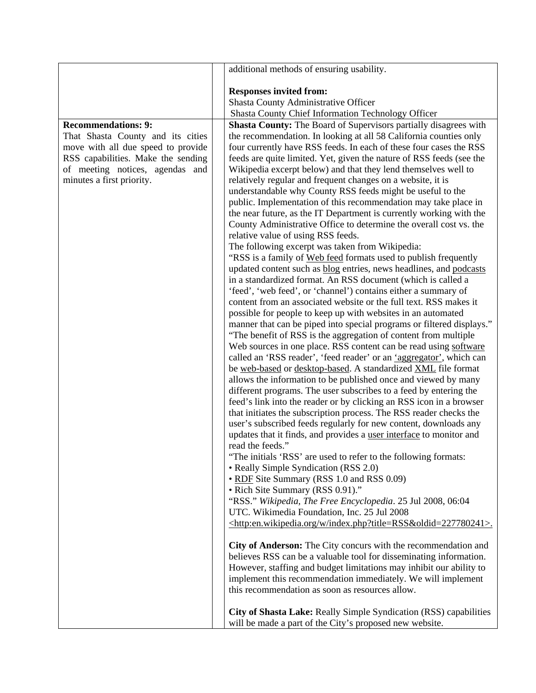|                                    | additional methods of ensuring usability.                                                                                           |  |  |  |  |
|------------------------------------|-------------------------------------------------------------------------------------------------------------------------------------|--|--|--|--|
|                                    |                                                                                                                                     |  |  |  |  |
|                                    | <b>Responses invited from:</b><br>Shasta County Administrative Officer                                                              |  |  |  |  |
|                                    | Shasta County Chief Information Technology Officer                                                                                  |  |  |  |  |
| <b>Recommendations: 9:</b>         | <b>Shasta County:</b> The Board of Supervisors partially disagrees with                                                             |  |  |  |  |
| That Shasta County and its cities  | the recommendation. In looking at all 58 California counties only                                                                   |  |  |  |  |
| move with all due speed to provide | four currently have RSS feeds. In each of these four cases the RSS                                                                  |  |  |  |  |
| RSS capabilities. Make the sending | feeds are quite limited. Yet, given the nature of RSS feeds (see the                                                                |  |  |  |  |
| of meeting notices, agendas and    | Wikipedia excerpt below) and that they lend themselves well to                                                                      |  |  |  |  |
| minutes a first priority.          | relatively regular and frequent changes on a website, it is                                                                         |  |  |  |  |
|                                    | understandable why County RSS feeds might be useful to the                                                                          |  |  |  |  |
|                                    | public. Implementation of this recommendation may take place in                                                                     |  |  |  |  |
|                                    | the near future, as the IT Department is currently working with the                                                                 |  |  |  |  |
|                                    | County Administrative Office to determine the overall cost vs. the                                                                  |  |  |  |  |
|                                    | relative value of using RSS feeds.                                                                                                  |  |  |  |  |
|                                    | The following excerpt was taken from Wikipedia:                                                                                     |  |  |  |  |
|                                    | "RSS is a family of Web feed formats used to publish frequently                                                                     |  |  |  |  |
|                                    | updated content such as blog entries, news headlines, and podcasts                                                                  |  |  |  |  |
|                                    | in a standardized format. An RSS document (which is called a                                                                        |  |  |  |  |
|                                    | 'feed', 'web feed', or 'channel') contains either a summary of<br>content from an associated website or the full text. RSS makes it |  |  |  |  |
|                                    | possible for people to keep up with websites in an automated                                                                        |  |  |  |  |
|                                    | manner that can be piped into special programs or filtered displays."                                                               |  |  |  |  |
|                                    | "The benefit of RSS is the aggregation of content from multiple                                                                     |  |  |  |  |
|                                    | Web sources in one place. RSS content can be read using software                                                                    |  |  |  |  |
|                                    | called an 'RSS reader', 'feed reader' or an 'aggregator', which can                                                                 |  |  |  |  |
|                                    | be web-based or desktop-based. A standardized XML file format                                                                       |  |  |  |  |
|                                    | allows the information to be published once and viewed by many                                                                      |  |  |  |  |
|                                    | different programs. The user subscribes to a feed by entering the                                                                   |  |  |  |  |
|                                    | feed's link into the reader or by clicking an RSS icon in a browser                                                                 |  |  |  |  |
|                                    | that initiates the subscription process. The RSS reader checks the                                                                  |  |  |  |  |
|                                    | user's subscribed feeds regularly for new content, downloads any                                                                    |  |  |  |  |
|                                    | updates that it finds, and provides a user interface to monitor and                                                                 |  |  |  |  |
|                                    | read the feeds."                                                                                                                    |  |  |  |  |
|                                    | "The initials 'RSS' are used to refer to the following formats:                                                                     |  |  |  |  |
|                                    | • Really Simple Syndication (RSS 2.0)<br>• RDF Site Summary (RSS 1.0 and RSS 0.09)                                                  |  |  |  |  |
|                                    | • Rich Site Summary (RSS 0.91)."                                                                                                    |  |  |  |  |
|                                    | "RSS." Wikipedia, The Free Encyclopedia. 25 Jul 2008, 06:04                                                                         |  |  |  |  |
|                                    | UTC. Wikimedia Foundation, Inc. 25 Jul 2008                                                                                         |  |  |  |  |
|                                    | <http:en.wikipedia.org index.php?title="RSS&amp;oldid=227780241" w="">.</http:en.wikipedia.org>                                     |  |  |  |  |
|                                    |                                                                                                                                     |  |  |  |  |
|                                    | City of Anderson: The City concurs with the recommendation and                                                                      |  |  |  |  |
|                                    | believes RSS can be a valuable tool for disseminating information.                                                                  |  |  |  |  |
|                                    | However, staffing and budget limitations may inhibit our ability to                                                                 |  |  |  |  |
|                                    | implement this recommendation immediately. We will implement<br>this recommendation as soon as resources allow.                     |  |  |  |  |
|                                    |                                                                                                                                     |  |  |  |  |
|                                    | City of Shasta Lake: Really Simple Syndication (RSS) capabilities                                                                   |  |  |  |  |
|                                    | will be made a part of the City's proposed new website.                                                                             |  |  |  |  |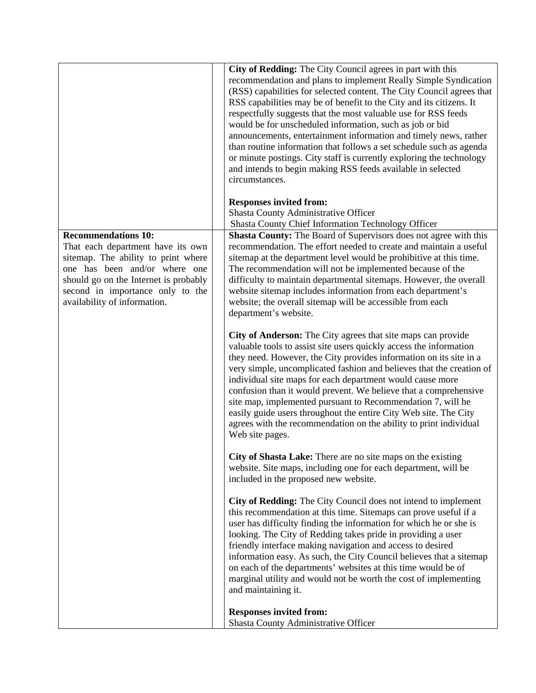|                                                                                                                                                                                                                                                      | City of Redding: The City Council agrees in part with this<br>recommendation and plans to implement Really Simple Syndication<br>(RSS) capabilities for selected content. The City Council agrees that<br>RSS capabilities may be of benefit to the City and its citizens. It<br>respectfully suggests that the most valuable use for RSS feeds<br>would be for unscheduled information, such as job or bid<br>announcements, entertainment information and timely news, rather<br>than routine information that follows a set schedule such as agenda<br>or minute postings. City staff is currently exploring the technology<br>and intends to begin making RSS feeds available in selected<br>circumstances.<br><b>Responses invited from:</b> |
|------------------------------------------------------------------------------------------------------------------------------------------------------------------------------------------------------------------------------------------------------|---------------------------------------------------------------------------------------------------------------------------------------------------------------------------------------------------------------------------------------------------------------------------------------------------------------------------------------------------------------------------------------------------------------------------------------------------------------------------------------------------------------------------------------------------------------------------------------------------------------------------------------------------------------------------------------------------------------------------------------------------|
|                                                                                                                                                                                                                                                      | Shasta County Administrative Officer<br>Shasta County Chief Information Technology Officer                                                                                                                                                                                                                                                                                                                                                                                                                                                                                                                                                                                                                                                        |
| <b>Recommendations 10:</b><br>That each department have its own<br>sitemap. The ability to print where<br>one has been and/or where one<br>should go on the Internet is probably<br>second in importance only to the<br>availability of information. | <b>Shasta County:</b> The Board of Supervisors does not agree with this<br>recommendation. The effort needed to create and maintain a useful<br>sitemap at the department level would be prohibitive at this time.<br>The recommendation will not be implemented because of the<br>difficulty to maintain departmental sitemaps. However, the overall<br>website sitemap includes information from each department's<br>website; the overall sitemap will be accessible from each<br>department's website.                                                                                                                                                                                                                                        |
|                                                                                                                                                                                                                                                      | City of Anderson: The City agrees that site maps can provide<br>valuable tools to assist site users quickly access the information<br>they need. However, the City provides information on its site in a<br>very simple, uncomplicated fashion and believes that the creation of<br>individual site maps for each department would cause more<br>confusion than it would prevent. We believe that a comprehensive<br>site map, implemented pursuant to Recommendation 7, will he<br>easily guide users throughout the entire City Web site. The City<br>agrees with the recommendation on the ability to print individual<br>Web site pages.                                                                                                      |
|                                                                                                                                                                                                                                                      | City of Shasta Lake: There are no site maps on the existing<br>website. Site maps, including one for each department, will be<br>included in the proposed new website.                                                                                                                                                                                                                                                                                                                                                                                                                                                                                                                                                                            |
|                                                                                                                                                                                                                                                      | City of Redding: The City Council does not intend to implement<br>this recommendation at this time. Sitemaps can prove useful if a<br>user has difficulty finding the information for which he or she is<br>looking. The City of Redding takes pride in providing a user<br>friendly interface making navigation and access to desired<br>information easy. As such, the City Council believes that a sitemap<br>on each of the departments' websites at this time would be of<br>marginal utility and would not be worth the cost of implementing<br>and maintaining it.                                                                                                                                                                         |
|                                                                                                                                                                                                                                                      | <b>Responses invited from:</b><br>Shasta County Administrative Officer                                                                                                                                                                                                                                                                                                                                                                                                                                                                                                                                                                                                                                                                            |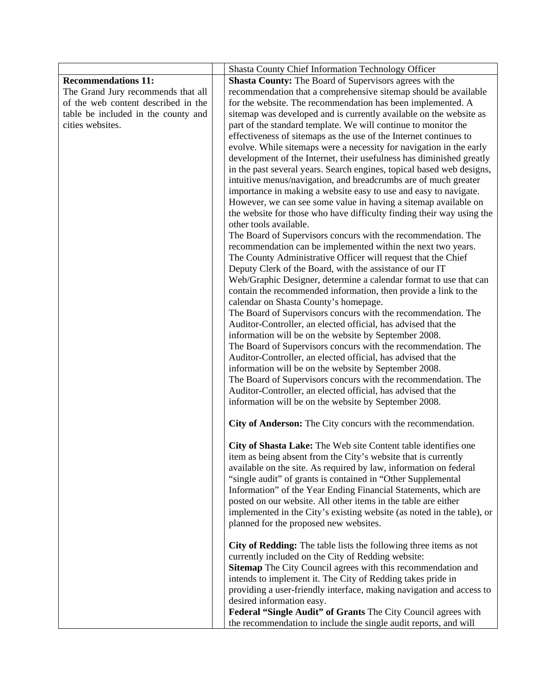|                                     | Shasta County Chief Information Technology Officer                     |
|-------------------------------------|------------------------------------------------------------------------|
| <b>Recommendations 11:</b>          | <b>Shasta County:</b> The Board of Supervisors agrees with the         |
| The Grand Jury recommends that all  | recommendation that a comprehensive sitemap should be available        |
| of the web content described in the | for the website. The recommendation has been implemented. A            |
| table be included in the county and | sitemap was developed and is currently available on the website as     |
| cities websites.                    | part of the standard template. We will continue to monitor the         |
|                                     | effectiveness of sitemaps as the use of the Internet continues to      |
|                                     | evolve. While sitemaps were a necessity for navigation in the early    |
|                                     | development of the Internet, their usefulness has diminished greatly   |
|                                     | in the past several years. Search engines, topical based web designs,  |
|                                     | intuitive menus/navigation, and breadcrumbs are of much greater        |
|                                     | importance in making a website easy to use and easy to navigate.       |
|                                     | However, we can see some value in having a sitemap available on        |
|                                     | the website for those who have difficulty finding their way using the  |
|                                     | other tools available.                                                 |
|                                     | The Board of Supervisors concurs with the recommendation. The          |
|                                     | recommendation can be implemented within the next two years.           |
|                                     | The County Administrative Officer will request that the Chief          |
|                                     | Deputy Clerk of the Board, with the assistance of our IT               |
|                                     | Web/Graphic Designer, determine a calendar format to use that can      |
|                                     | contain the recommended information, then provide a link to the        |
|                                     | calendar on Shasta County's homepage.                                  |
|                                     | The Board of Supervisors concurs with the recommendation. The          |
|                                     | Auditor-Controller, an elected official, has advised that the          |
|                                     | information will be on the website by September 2008.                  |
|                                     | The Board of Supervisors concurs with the recommendation. The          |
|                                     | Auditor-Controller, an elected official, has advised that the          |
|                                     | information will be on the website by September 2008.                  |
|                                     | The Board of Supervisors concurs with the recommendation. The          |
|                                     | Auditor-Controller, an elected official, has advised that the          |
|                                     | information will be on the website by September 2008.                  |
|                                     |                                                                        |
|                                     | City of Anderson: The City concurs with the recommendation.            |
|                                     | City of Shasta Lake: The Web site Content table identifies one         |
|                                     | item as being absent from the City's website that is currently         |
|                                     | available on the site. As required by law, information on federal      |
|                                     | "single audit" of grants is contained in "Other Supplemental           |
|                                     | Information" of the Year Ending Financial Statements, which are        |
|                                     | posted on our website. All other items in the table are either         |
|                                     | implemented in the City's existing website (as noted in the table), or |
|                                     | planned for the proposed new websites.                                 |
|                                     | City of Redding: The table lists the following three items as not      |
|                                     | currently included on the City of Redding website:                     |
|                                     | Sitemap The City Council agrees with this recommendation and           |
|                                     | intends to implement it. The City of Redding takes pride in            |
|                                     | providing a user-friendly interface, making navigation and access to   |
|                                     | desired information easy.                                              |
|                                     | Federal "Single Audit" of Grants The City Council agrees with          |
|                                     | the recommendation to include the single audit reports, and will       |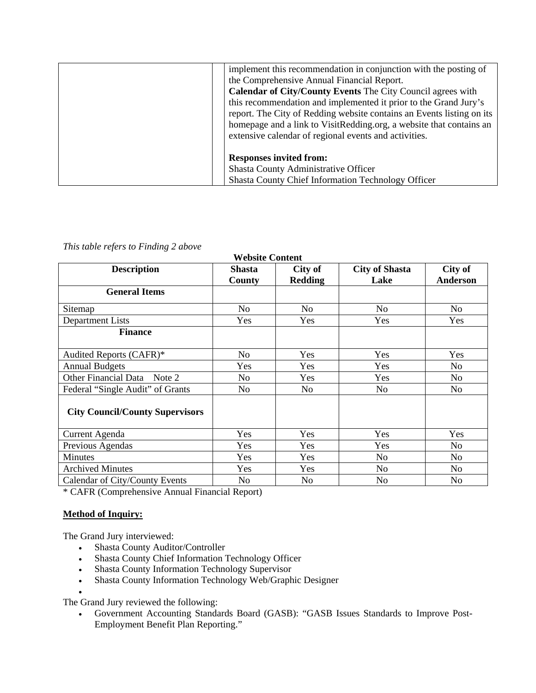| implement this recommendation in conjunction with the posting of      |
|-----------------------------------------------------------------------|
| the Comprehensive Annual Financial Report.                            |
| <b>Calendar of City/County Events</b> The City Council agrees with    |
| this recommendation and implemented it prior to the Grand Jury's      |
| report. The City of Redding website contains an Events listing on its |
| homepage and a link to VisitRedding.org, a website that contains an   |
| extensive calendar of regional events and activities.                 |
|                                                                       |
| <b>Responses invited from:</b>                                        |
| Shasta County Administrative Officer                                  |
| <b>Shasta County Chief Information Technology Officer</b>             |

### *This table refers to Finding 2 above*

| <b>Website Content</b>                 |                         |                           |                               |                            |  |
|----------------------------------------|-------------------------|---------------------------|-------------------------------|----------------------------|--|
| <b>Description</b>                     | <b>Shasta</b><br>County | City of<br><b>Redding</b> | <b>City of Shasta</b><br>Lake | City of<br><b>Anderson</b> |  |
| <b>General Items</b>                   |                         |                           |                               |                            |  |
| Sitemap                                | No                      | No                        | N <sub>0</sub>                | No                         |  |
| <b>Department Lists</b>                | Yes                     | Yes                       | Yes                           | Yes                        |  |
| <b>Finance</b>                         |                         |                           |                               |                            |  |
| Audited Reports (CAFR)*                | No                      | Yes                       | Yes                           | Yes                        |  |
| <b>Annual Budgets</b>                  | Yes                     | Yes                       | Yes                           | No.                        |  |
| Other Financial Data Note 2            | No                      | Yes                       | <b>Yes</b>                    | No                         |  |
| Federal "Single Audit" of Grants       | No                      | No                        | No                            | No.                        |  |
| <b>City Council/County Supervisors</b> |                         |                           |                               |                            |  |
| <b>Current Agenda</b>                  | Yes                     | Yes                       | Yes                           | Yes                        |  |
| Previous Agendas                       | Yes                     | <b>Yes</b>                | Yes                           | No                         |  |
| <b>Minutes</b>                         | Yes                     | Yes                       | N <sub>0</sub>                | N <sub>0</sub>             |  |
| <b>Archived Minutes</b>                | Yes                     | Yes                       | No                            | N <sub>o</sub>             |  |
| Calendar of City/County Events         | No                      | N <sub>0</sub>            | No                            | No                         |  |

\* CAFR (Comprehensive Annual Financial Report)

### **Method of Inquiry:**

 $\bullet$ 

The Grand Jury interviewed:

- Shasta County Auditor/Controller
- Shasta County Chief Information Technology Officer
- Shasta County Information Technology Supervisor
- Shasta County Information Technology Web/Graphic Designer

The Grand Jury reviewed the following:

 Government Accounting Standards Board (GASB): "GASB Issues Standards to Improve Post-Employment Benefit Plan Reporting."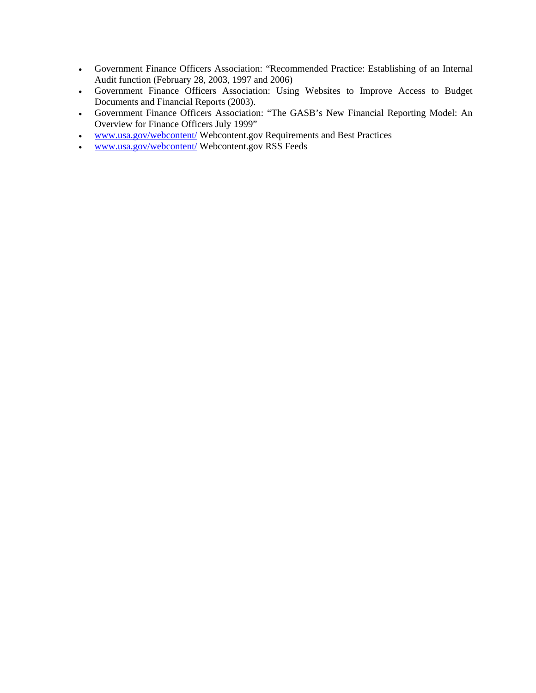- Government Finance Officers Association: "Recommended Practice: Establishing of an Internal Audit function (February 28, 2003, 1997 and 2006)
- Government Finance Officers Association: Using Websites to Improve Access to Budget Documents and Financial Reports (2003).
- Government Finance Officers Association: "The GASB's New Financial Reporting Model: An Overview for Finance Officers July 1999"
- [www.usa.gov/webcontent/](http://www.usa.gov/webcontent/) Webcontent.gov Requirements and Best Practices
- [www.usa.gov/webcontent/](http://www.usa.gov/webcontent/) Webcontent.gov RSS Feeds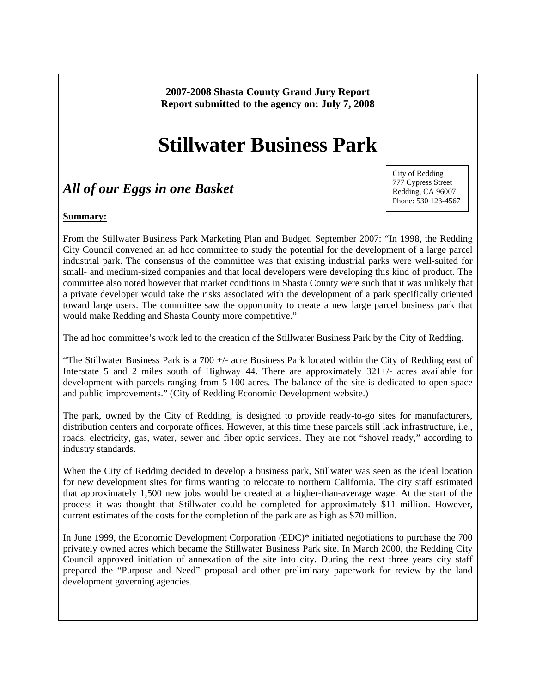**2007-2008 Shasta County Grand Jury Report Report submitted to the agency on: July 7, 2008** 

# **Stillwater Business Park**

# *All of our Eggs in one Basket*

City of Redding 777 Cypress Street Redding, CA 96007 Phone: 530 123-4567

### **Summary:**

From the Stillwater Business Park Marketing Plan and Budget, September 2007: "In 1998, the Redding City Council convened an ad hoc committee to study the potential for the development of a large parcel industrial park. The consensus of the committee was that existing industrial parks were well-suited for small- and medium-sized companies and that local developers were developing this kind of product. The committee also noted however that market conditions in Shasta County were such that it was unlikely that a private developer would take the risks associated with the development of a park specifically oriented toward large users. The committee saw the opportunity to create a new large parcel business park that would make Redding and Shasta County more competitive."

The ad hoc committee's work led to the creation of the Stillwater Business Park by the City of Redding.

"The Stillwater Business Park is a 700 +/- acre Business Park located within the City of Redding east of Interstate 5 and 2 miles south of Highway 44. There are approximately 321+/- acres available for development with parcels ranging from 5-100 acres. The balance of the site is dedicated to open space and public improvements." (City of Redding Economic Development website.)

The park, owned by the City of Redding, is designed to provide ready-to-go sites for manufacturers, distribution centers and corporate offices*.* However, at this time these parcels still lack infrastructure, i.e., roads, electricity, gas, water, sewer and fiber optic services. They are not "shovel ready," according to industry standards.

When the City of Redding decided to develop a business park, Stillwater was seen as the ideal location for new development sites for firms wanting to relocate to northern California. The city staff estimated that approximately 1,500 new jobs would be created at a higher-than-average wage. At the start of the process it was thought that Stillwater could be completed for approximately \$11 million. However, current estimates of the costs for the completion of the park are as high as \$70 million.

In June 1999, the Economic Development Corporation (EDC)\* initiated negotiations to purchase the 700 privately owned acres which became the Stillwater Business Park site. In March 2000, the Redding City Council approved initiation of annexation of the site into city. During the next three years city staff prepared the "Purpose and Need" proposal and other preliminary paperwork for review by the land development governing agencies.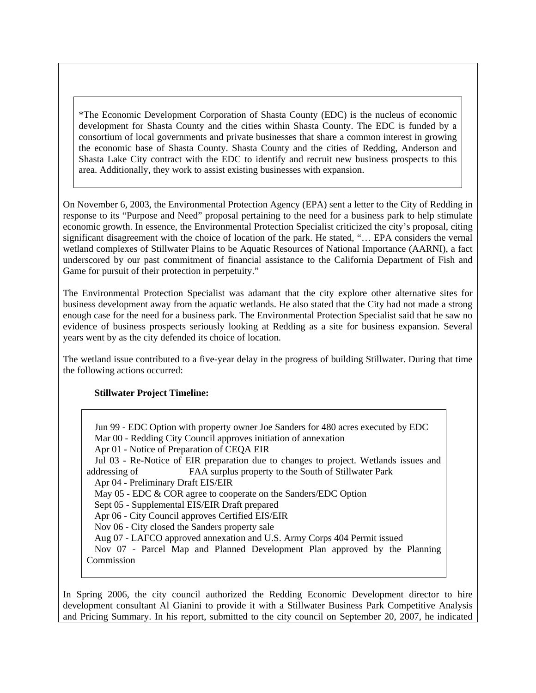\*The Economic Development Corporation of Shasta County (EDC) is the nucleus of economic development for Shasta County and the cities within Shasta County. The EDC is funded by a consortium of local governments and private businesses that share a common interest in growing the economic base of Shasta County. Shasta County and the cities of Redding, Anderson and Shasta Lake City contract with the EDC to identify and recruit new business prospects to this area. Additionally, they work to assist existing businesses with expansion.

On November 6, 2003, the Environmental Protection Agency (EPA) sent a letter to the City of Redding in response to its "Purpose and Need" proposal pertaining to the need for a business park to help stimulate economic growth. In essence, the Environmental Protection Specialist criticized the city's proposal, citing significant disagreement with the choice of location of the park. He stated, "… EPA considers the vernal wetland complexes of Stillwater Plains to be Aquatic Resources of National Importance (AARNI), a fact underscored by our past commitment of financial assistance to the California Department of Fish and Game for pursuit of their protection in perpetuity."

The Environmental Protection Specialist was adamant that the city explore other alternative sites for business development away from the aquatic wetlands. He also stated that the City had not made a strong enough case for the need for a business park. The Environmental Protection Specialist said that he saw no evidence of business prospects seriously looking at Redding as a site for business expansion. Several years went by as the city defended its choice of location.

The wetland issue contributed to a five-year delay in the progress of building Stillwater. During that time the following actions occurred:

### **Stillwater Project Timeline:**

 Jun 99 - EDC Option with property owner Joe Sanders for 480 acres executed by EDC Mar 00 - Redding City Council approves initiation of annexation Apr 01 - Notice of Preparation of CEQA EIR Jul 03 - Re-Notice of EIR preparation due to changes to project. Wetlands issues and addressing of FAA surplus property to the South of Stillwater Park Apr 04 - Preliminary Draft EIS/EIR May 05 - EDC & COR agree to cooperate on the Sanders/EDC Option Sept 05 - Supplemental EIS/EIR Draft prepared Apr 06 - City Council approves Certified EIS/EIR Nov 06 - City closed the Sanders property sale Aug 07 - LAFCO approved annexation and U.S. Army Corps 404 Permit issued Nov 07 - Parcel Map and Planned Development Plan approved by the Planning Commission

In Spring 2006, the city council authorized the Redding Economic Development director to hire development consultant Al Gianini to provide it with a Stillwater Business Park Competitive Analysis and Pricing Summary. In his report, submitted to the city council on September 20, 2007, he indicated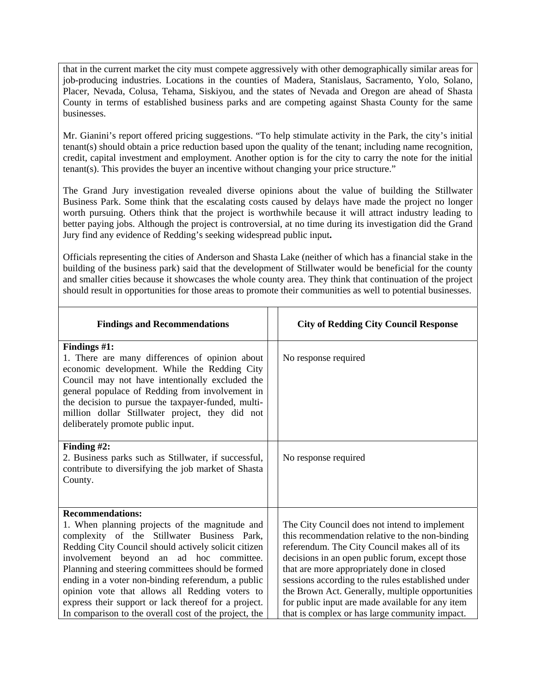that in the current market the city must compete aggressively with other demographically similar areas for job-producing industries. Locations in the counties of Madera, Stanislaus, Sacramento, Yolo, Solano, Placer, Nevada, Colusa, Tehama, Siskiyou, and the states of Nevada and Oregon are ahead of Shasta County in terms of established business parks and are competing against Shasta County for the same businesses.

Mr. Gianini's report offered pricing suggestions. "To help stimulate activity in the Park, the city's initial tenant(s) should obtain a price reduction based upon the quality of the tenant; including name recognition, credit, capital investment and employment. Another option is for the city to carry the note for the initial tenant(s). This provides the buyer an incentive without changing your price structure."

The Grand Jury investigation revealed diverse opinions about the value of building the Stillwater Business Park. Some think that the escalating costs caused by delays have made the project no longer worth pursuing. Others think that the project is worthwhile because it will attract industry leading to better paying jobs. Although the project is controversial, at no time during its investigation did the Grand Jury find any evidence of Redding's seeking widespread public input**.** 

Officials representing the cities of Anderson and Shasta Lake (neither of which has a financial stake in the building of the business park) said that the development of Stillwater would be beneficial for the county and smaller cities because it showcases the whole county area. They think that continuation of the project should result in opportunities for those areas to promote their communities as well to potential businesses.

| <b>Findings and Recommendations</b>                                                                                                                                                                                                                                                                                                                                                                                                                                                                       | <b>City of Redding City Council Response</b>                                                                                                                                                                                                                                                                                                                                                                                                                      |
|-----------------------------------------------------------------------------------------------------------------------------------------------------------------------------------------------------------------------------------------------------------------------------------------------------------------------------------------------------------------------------------------------------------------------------------------------------------------------------------------------------------|-------------------------------------------------------------------------------------------------------------------------------------------------------------------------------------------------------------------------------------------------------------------------------------------------------------------------------------------------------------------------------------------------------------------------------------------------------------------|
| Findings #1:<br>1. There are many differences of opinion about<br>economic development. While the Redding City<br>Council may not have intentionally excluded the<br>general populace of Redding from involvement in<br>the decision to pursue the taxpayer-funded, multi-<br>million dollar Stillwater project, they did not<br>deliberately promote public input.                                                                                                                                       | No response required                                                                                                                                                                                                                                                                                                                                                                                                                                              |
| Finding $#2$ :<br>2. Business parks such as Stillwater, if successful,<br>contribute to diversifying the job market of Shasta<br>County.                                                                                                                                                                                                                                                                                                                                                                  | No response required                                                                                                                                                                                                                                                                                                                                                                                                                                              |
| <b>Recommendations:</b><br>1. When planning projects of the magnitude and<br>complexity of the Stillwater Business Park,<br>Redding City Council should actively solicit citizen<br>involvement beyond an ad hoc committee.<br>Planning and steering committees should be formed<br>ending in a voter non-binding referendum, a public<br>opinion vote that allows all Redding voters to<br>express their support or lack thereof for a project.<br>In comparison to the overall cost of the project, the | The City Council does not intend to implement<br>this recommendation relative to the non-binding<br>referendum. The City Council makes all of its<br>decisions in an open public forum, except those<br>that are more appropriately done in closed<br>sessions according to the rules established under<br>the Brown Act. Generally, multiple opportunities<br>for public input are made available for any item<br>that is complex or has large community impact. |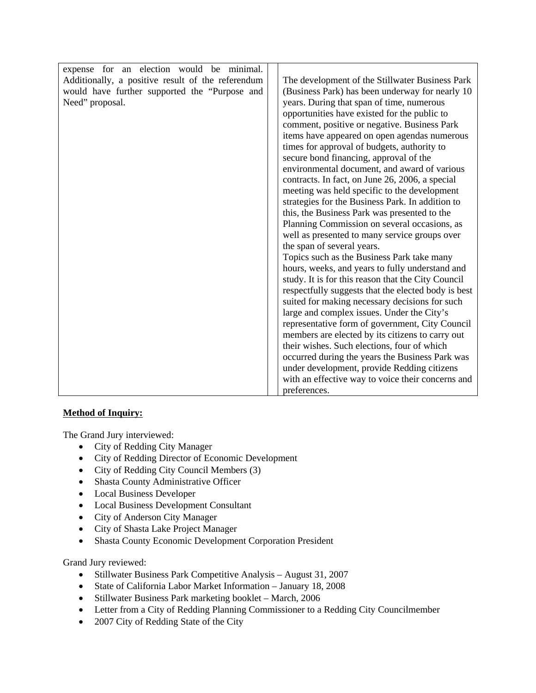| expense for an election would be minimal.         |                                                     |
|---------------------------------------------------|-----------------------------------------------------|
| Additionally, a positive result of the referendum | The development of the Stillwater Business Park     |
| would have further supported the "Purpose and     | (Business Park) has been underway for nearly 10     |
| Need" proposal.                                   | years. During that span of time, numerous           |
|                                                   | opportunities have existed for the public to        |
|                                                   | comment, positive or negative. Business Park        |
|                                                   | items have appeared on open agendas numerous        |
|                                                   | times for approval of budgets, authority to         |
|                                                   | secure bond financing, approval of the              |
|                                                   | environmental document, and award of various        |
|                                                   | contracts. In fact, on June 26, 2006, a special     |
|                                                   | meeting was held specific to the development        |
|                                                   | strategies for the Business Park. In addition to    |
|                                                   | this, the Business Park was presented to the        |
|                                                   | Planning Commission on several occasions, as        |
|                                                   | well as presented to many service groups over       |
|                                                   | the span of several years.                          |
|                                                   | Topics such as the Business Park take many          |
|                                                   | hours, weeks, and years to fully understand and     |
|                                                   | study. It is for this reason that the City Council  |
|                                                   | respectfully suggests that the elected body is best |
|                                                   | suited for making necessary decisions for such      |
|                                                   | large and complex issues. Under the City's          |
|                                                   | representative form of government, City Council     |
|                                                   | members are elected by its citizens to carry out    |
|                                                   | their wishes. Such elections, four of which         |
|                                                   | occurred during the years the Business Park was     |
|                                                   | under development, provide Redding citizens         |
|                                                   | with an effective way to voice their concerns and   |
|                                                   | preferences.                                        |

### **Method of Inquiry:**

The Grand Jury interviewed:

- City of Redding City Manager
- City of Redding Director of Economic Development
- City of Redding City Council Members (3)
- Shasta County Administrative Officer
- Local Business Developer
- Local Business Development Consultant
- City of Anderson City Manager
- City of Shasta Lake Project Manager
- Shasta County Economic Development Corporation President

Grand Jury reviewed:

- Stillwater Business Park Competitive Analysis August 31, 2007
- State of California Labor Market Information January 18, 2008
- Stillwater Business Park marketing booklet March, 2006
- Letter from a City of Redding Planning Commissioner to a Redding City Councilmember
- 2007 City of Redding State of the City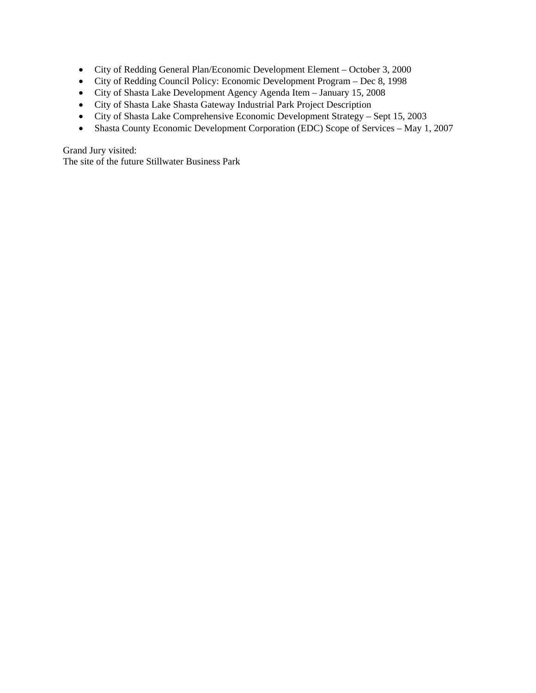- City of Redding General Plan/Economic Development Element October 3, 2000
- City of Redding Council Policy: Economic Development Program Dec 8, 1998
- City of Shasta Lake Development Agency Agenda Item January 15, 2008
- City of Shasta Lake Shasta Gateway Industrial Park Project Description
- City of Shasta Lake Comprehensive Economic Development Strategy Sept 15, 2003
- Shasta County Economic Development Corporation (EDC) Scope of Services May 1, 2007

Grand Jury visited:

The site of the future Stillwater Business Park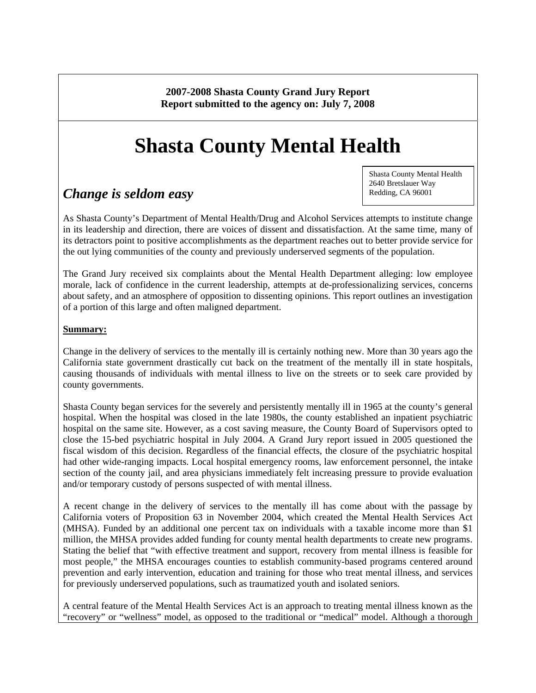**2007-2008 Shasta County Grand Jury Report Report submitted to the agency on: July 7, 2008** 

# **Shasta County Mental Health**

# *Change is seldom easy*

Shasta County Mental Health 2640 Bretslauer Way Redding, CA 96001

As Shasta County's Department of Mental Health/Drug and Alcohol Services attempts to institute change in its leadership and direction, there are voices of dissent and dissatisfaction. At the same time, many of its detractors point to positive accomplishments as the department reaches out to better provide service for the out lying communities of the county and previously underserved segments of the population.

The Grand Jury received six complaints about the Mental Health Department alleging: low employee morale, lack of confidence in the current leadership, attempts at de-professionalizing services, concerns about safety, and an atmosphere of opposition to dissenting opinions. This report outlines an investigation of a portion of this large and often maligned department.

### **Summary:**

Change in the delivery of services to the mentally ill is certainly nothing new. More than 30 years ago the California state government drastically cut back on the treatment of the mentally ill in state hospitals, causing thousands of individuals with mental illness to live on the streets or to seek care provided by county governments.

Shasta County began services for the severely and persistently mentally ill in 1965 at the county's general hospital. When the hospital was closed in the late 1980s, the county established an inpatient psychiatric hospital on the same site. However, as a cost saving measure, the County Board of Supervisors opted to close the 15-bed psychiatric hospital in July 2004. A Grand Jury report issued in 2005 questioned the fiscal wisdom of this decision. Regardless of the financial effects, the closure of the psychiatric hospital had other wide-ranging impacts. Local hospital emergency rooms, law enforcement personnel, the intake section of the county jail, and area physicians immediately felt increasing pressure to provide evaluation and/or temporary custody of persons suspected of with mental illness.

A recent change in the delivery of services to the mentally ill has come about with the passage by California voters of Proposition 63 in November 2004, which created the Mental Health Services Act (MHSA). Funded by an additional one percent tax on individuals with a taxable income more than \$1 million, the MHSA provides added funding for county mental health departments to create new programs. Stating the belief that "with effective treatment and support, recovery from mental illness is feasible for most people," the MHSA encourages counties to establish community-based programs centered around prevention and early intervention, education and training for those who treat mental illness, and services for previously underserved populations, such as traumatized youth and isolated seniors.

A central feature of the Mental Health Services Act is an approach to treating mental illness known as the "recovery" or "wellness" model, as opposed to the traditional or "medical" model. Although a thorough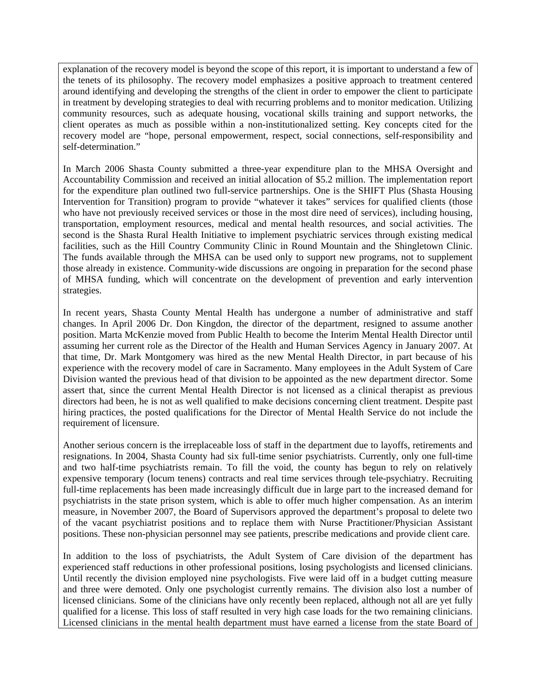explanation of the recovery model is beyond the scope of this report, it is important to understand a few of the tenets of its philosophy. The recovery model emphasizes a positive approach to treatment centered around identifying and developing the strengths of the client in order to empower the client to participate in treatment by developing strategies to deal with recurring problems and to monitor medication. Utilizing community resources, such as adequate housing, vocational skills training and support networks, the client operates as much as possible within a non-institutionalized setting. Key concepts cited for the recovery model are "hope, personal empowerment, respect, social connections, self-responsibility and self-determination."

In March 2006 Shasta County submitted a three-year expenditure plan to the MHSA Oversight and Accountability Commission and received an initial allocation of \$5.2 million. The implementation report for the expenditure plan outlined two full-service partnerships. One is the SHIFT Plus (Shasta Housing Intervention for Transition) program to provide "whatever it takes" services for qualified clients (those who have not previously received services or those in the most dire need of services), including housing, transportation, employment resources, medical and mental health resources, and social activities. The second is the Shasta Rural Health Initiative to implement psychiatric services through existing medical facilities, such as the Hill Country Community Clinic in Round Mountain and the Shingletown Clinic. The funds available through the MHSA can be used only to support new programs, not to supplement those already in existence. Community-wide discussions are ongoing in preparation for the second phase of MHSA funding, which will concentrate on the development of prevention and early intervention strategies.

In recent years, Shasta County Mental Health has undergone a number of administrative and staff changes. In April 2006 Dr. Don Kingdon, the director of the department, resigned to assume another position. Marta McKenzie moved from Public Health to become the Interim Mental Health Director until assuming her current role as the Director of the Health and Human Services Agency in January 2007. At that time, Dr. Mark Montgomery was hired as the new Mental Health Director, in part because of his experience with the recovery model of care in Sacramento. Many employees in the Adult System of Care Division wanted the previous head of that division to be appointed as the new department director. Some assert that, since the current Mental Health Director is not licensed as a clinical therapist as previous directors had been, he is not as well qualified to make decisions concerning client treatment. Despite past hiring practices, the posted qualifications for the Director of Mental Health Service do not include the requirement of licensure.

Another serious concern is the irreplaceable loss of staff in the department due to layoffs, retirements and resignations. In 2004, Shasta County had six full-time senior psychiatrists. Currently, only one full-time and two half-time psychiatrists remain. To fill the void, the county has begun to rely on relatively expensive temporary (locum tenens) contracts and real time services through tele-psychiatry. Recruiting full-time replacements has been made increasingly difficult due in large part to the increased demand for psychiatrists in the state prison system, which is able to offer much higher compensation. As an interim measure, in November 2007, the Board of Supervisors approved the department's proposal to delete two of the vacant psychiatrist positions and to replace them with Nurse Practitioner/Physician Assistant positions. These non-physician personnel may see patients, prescribe medications and provide client care.

In addition to the loss of psychiatrists, the Adult System of Care division of the department has experienced staff reductions in other professional positions, losing psychologists and licensed clinicians. Until recently the division employed nine psychologists. Five were laid off in a budget cutting measure and three were demoted. Only one psychologist currently remains. The division also lost a number of licensed clinicians. Some of the clinicians have only recently been replaced, although not all are yet fully qualified for a license. This loss of staff resulted in very high case loads for the two remaining clinicians. Licensed clinicians in the mental health department must have earned a license from the state Board of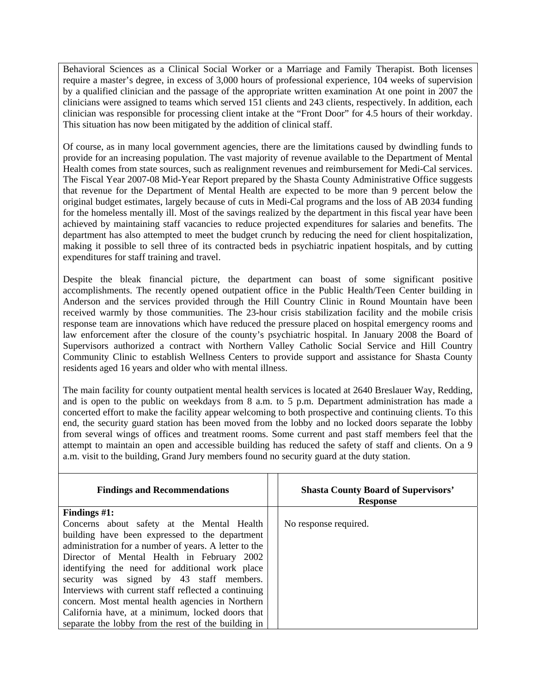Behavioral Sciences as a Clinical Social Worker or a Marriage and Family Therapist. Both licenses require a master's degree, in excess of 3,000 hours of professional experience, 104 weeks of supervision by a qualified clinician and the passage of the appropriate written examination At one point in 2007 the clinicians were assigned to teams which served 151 clients and 243 clients, respectively. In addition, each clinician was responsible for processing client intake at the "Front Door" for 4.5 hours of their workday. This situation has now been mitigated by the addition of clinical staff.

Of course, as in many local government agencies, there are the limitations caused by dwindling funds to provide for an increasing population. The vast majority of revenue available to the Department of Mental Health comes from state sources, such as realignment revenues and reimbursement for Medi-Cal services. The Fiscal Year 2007-08 Mid-Year Report prepared by the Shasta County Administrative Office suggests that revenue for the Department of Mental Health are expected to be more than 9 percent below the original budget estimates, largely because of cuts in Medi-Cal programs and the loss of AB 2034 funding for the homeless mentally ill. Most of the savings realized by the department in this fiscal year have been achieved by maintaining staff vacancies to reduce projected expenditures for salaries and benefits. The department has also attempted to meet the budget crunch by reducing the need for client hospitalization, making it possible to sell three of its contracted beds in psychiatric inpatient hospitals, and by cutting expenditures for staff training and travel.

Despite the bleak financial picture, the department can boast of some significant positive accomplishments. The recently opened outpatient office in the Public Health/Teen Center building in Anderson and the services provided through the Hill Country Clinic in Round Mountain have been received warmly by those communities. The 23-hour crisis stabilization facility and the mobile crisis response team are innovations which have reduced the pressure placed on hospital emergency rooms and law enforcement after the closure of the county's psychiatric hospital. In January 2008 the Board of Supervisors authorized a contract with Northern Valley Catholic Social Service and Hill Country Community Clinic to establish Wellness Centers to provide support and assistance for Shasta County residents aged 16 years and older who with mental illness.

The main facility for county outpatient mental health services is located at 2640 Breslauer Way, Redding, and is open to the public on weekdays from 8 a.m. to 5 p.m. Department administration has made a concerted effort to make the facility appear welcoming to both prospective and continuing clients. To this end, the security guard station has been moved from the lobby and no locked doors separate the lobby from several wings of offices and treatment rooms. Some current and past staff members feel that the attempt to maintain an open and accessible building has reduced the safety of staff and clients. On a 9 a.m. visit to the building, Grand Jury members found no security guard at the duty station.

| <b>Findings and Recommendations</b>                   | <b>Shasta County Board of Supervisors'</b><br><b>Response</b> |
|-------------------------------------------------------|---------------------------------------------------------------|
| Findings $#1$ :                                       |                                                               |
| Concerns about safety at the Mental Health            | No response required.                                         |
| building have been expressed to the department        |                                                               |
| administration for a number of years. A letter to the |                                                               |
| Director of Mental Health in February 2002            |                                                               |
| identifying the need for additional work place        |                                                               |
| security was signed by 43 staff members.              |                                                               |
| Interviews with current staff reflected a continuing  |                                                               |
| concern. Most mental health agencies in Northern      |                                                               |
| California have, at a minimum, locked doors that      |                                                               |
| separate the lobby from the rest of the building in   |                                                               |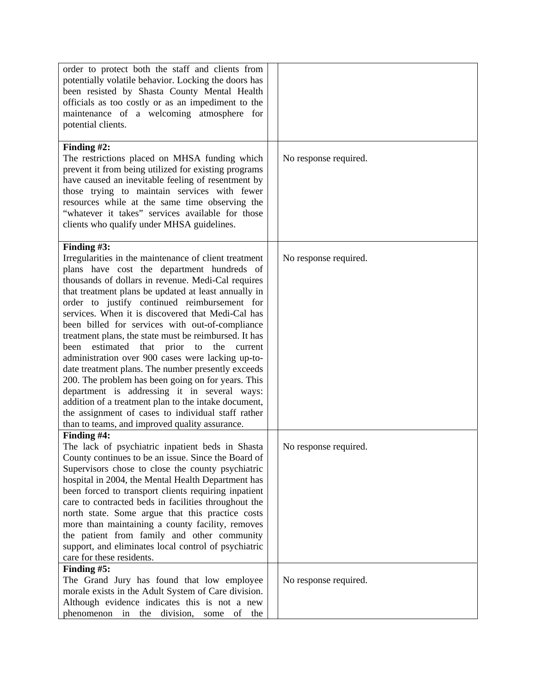| order to protect both the staff and clients from<br>potentially volatile behavior. Locking the doors has<br>been resisted by Shasta County Mental Health<br>officials as too costly or as an impediment to the<br>maintenance of a welcoming atmosphere for<br>potential clients.                                                                                                                                                                                                                                                                                                                                                                                                                                                                                                                                                                                                                   |                       |
|-----------------------------------------------------------------------------------------------------------------------------------------------------------------------------------------------------------------------------------------------------------------------------------------------------------------------------------------------------------------------------------------------------------------------------------------------------------------------------------------------------------------------------------------------------------------------------------------------------------------------------------------------------------------------------------------------------------------------------------------------------------------------------------------------------------------------------------------------------------------------------------------------------|-----------------------|
| Finding $#2$ :<br>The restrictions placed on MHSA funding which<br>prevent it from being utilized for existing programs<br>have caused an inevitable feeling of resentment by<br>those trying to maintain services with fewer<br>resources while at the same time observing the<br>"whatever it takes" services available for those<br>clients who qualify under MHSA guidelines.                                                                                                                                                                                                                                                                                                                                                                                                                                                                                                                   | No response required. |
| Finding $#3$ :<br>Irregularities in the maintenance of client treatment<br>plans have cost the department hundreds of<br>thousands of dollars in revenue. Medi-Cal requires<br>that treatment plans be updated at least annually in<br>order to justify continued reimbursement for<br>services. When it is discovered that Medi-Cal has<br>been billed for services with out-of-compliance<br>treatment plans, the state must be reimbursed. It has<br>been<br>estimated<br>that<br>prior<br>to<br>the<br>current<br>administration over 900 cases were lacking up-to-<br>date treatment plans. The number presently exceeds<br>200. The problem has been going on for years. This<br>department is addressing it in several ways:<br>addition of a treatment plan to the intake document,<br>the assignment of cases to individual staff rather<br>than to teams, and improved quality assurance. | No response required. |
| Finding #4:<br>The lack of psychiatric inpatient beds in Shasta<br>County continues to be an issue. Since the Board of<br>Supervisors chose to close the county psychiatric<br>hospital in 2004, the Mental Health Department has<br>been forced to transport clients requiring inpatient<br>care to contracted beds in facilities throughout the<br>north state. Some argue that this practice costs<br>more than maintaining a county facility, removes<br>the patient from family and other community<br>support, and eliminates local control of psychiatric<br>care for these residents.                                                                                                                                                                                                                                                                                                       | No response required. |
| Finding #5:<br>The Grand Jury has found that low employee<br>morale exists in the Adult System of Care division.<br>Although evidence indicates this is not a new<br>division,<br>phenomenon<br>in<br>the<br>of<br>some<br>the                                                                                                                                                                                                                                                                                                                                                                                                                                                                                                                                                                                                                                                                      | No response required. |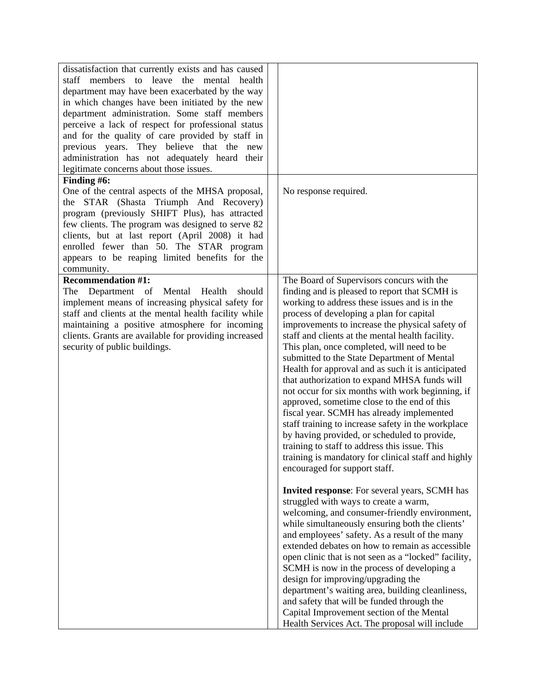| dissatisfaction that currently exists and has caused<br>staff members to leave the mental<br>health<br>department may have been exacerbated by the way<br>in which changes have been initiated by the new<br>department administration. Some staff members<br>perceive a lack of respect for professional status<br>and for the quality of care provided by staff in<br>previous years. They believe that the new<br>administration has not adequately heard their<br>legitimate concerns about those issues. |                                                                                                                                                                                                                                                                                                                                                                                                                                                                                                                                                                                                                                                                                                                                                                                                                                                                                                                                                                                                                                                                                                                                                                                                                                                                                                                                                                                                                                                                                                                                                 |
|---------------------------------------------------------------------------------------------------------------------------------------------------------------------------------------------------------------------------------------------------------------------------------------------------------------------------------------------------------------------------------------------------------------------------------------------------------------------------------------------------------------|-------------------------------------------------------------------------------------------------------------------------------------------------------------------------------------------------------------------------------------------------------------------------------------------------------------------------------------------------------------------------------------------------------------------------------------------------------------------------------------------------------------------------------------------------------------------------------------------------------------------------------------------------------------------------------------------------------------------------------------------------------------------------------------------------------------------------------------------------------------------------------------------------------------------------------------------------------------------------------------------------------------------------------------------------------------------------------------------------------------------------------------------------------------------------------------------------------------------------------------------------------------------------------------------------------------------------------------------------------------------------------------------------------------------------------------------------------------------------------------------------------------------------------------------------|
| Finding #6:<br>One of the central aspects of the MHSA proposal,<br>STAR (Shasta Triumph And Recovery)<br>the<br>program (previously SHIFT Plus), has attracted<br>few clients. The program was designed to serve 82<br>clients, but at last report (April 2008) it had<br>enrolled fewer than 50. The STAR program<br>appears to be reaping limited benefits for the<br>community.                                                                                                                            | No response required.                                                                                                                                                                                                                                                                                                                                                                                                                                                                                                                                                                                                                                                                                                                                                                                                                                                                                                                                                                                                                                                                                                                                                                                                                                                                                                                                                                                                                                                                                                                           |
| <b>Recommendation #1:</b><br>The Department of Mental<br>Health<br>should<br>implement means of increasing physical safety for<br>staff and clients at the mental health facility while<br>maintaining a positive atmosphere for incoming<br>clients. Grants are available for providing increased<br>security of public buildings.                                                                                                                                                                           | The Board of Supervisors concurs with the<br>finding and is pleased to report that SCMH is<br>working to address these issues and is in the<br>process of developing a plan for capital<br>improvements to increase the physical safety of<br>staff and clients at the mental health facility.<br>This plan, once completed, will need to be<br>submitted to the State Department of Mental<br>Health for approval and as such it is anticipated<br>that authorization to expand MHSA funds will<br>not occur for six months with work beginning, if<br>approved, sometime close to the end of this<br>fiscal year. SCMH has already implemented<br>staff training to increase safety in the workplace<br>by having provided, or scheduled to provide,<br>training to staff to address this issue. This<br>training is mandatory for clinical staff and highly<br>encouraged for support staff.<br>Invited response: For several years, SCMH has<br>struggled with ways to create a warm,<br>welcoming, and consumer-friendly environment,<br>while simultaneously ensuring both the clients'<br>and employees' safety. As a result of the many<br>extended debates on how to remain as accessible<br>open clinic that is not seen as a "locked" facility,<br>SCMH is now in the process of developing a<br>design for improving/upgrading the<br>department's waiting area, building cleanliness,<br>and safety that will be funded through the<br>Capital Improvement section of the Mental<br>Health Services Act. The proposal will include |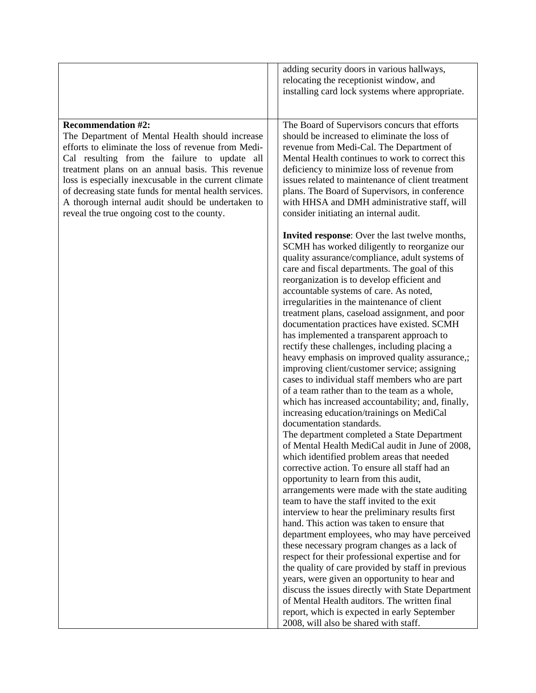|                                                       | adding security doors in various hallways,        |
|-------------------------------------------------------|---------------------------------------------------|
|                                                       |                                                   |
|                                                       | relocating the receptionist window, and           |
|                                                       | installing card lock systems where appropriate.   |
|                                                       |                                                   |
| <b>Recommendation #2:</b>                             |                                                   |
|                                                       | The Board of Supervisors concurs that efforts     |
| The Department of Mental Health should increase       | should be increased to eliminate the loss of      |
| efforts to eliminate the loss of revenue from Medi-   | revenue from Medi-Cal. The Department of          |
| Cal resulting from the failure to update all          | Mental Health continues to work to correct this   |
| treatment plans on an annual basis. This revenue      | deficiency to minimize loss of revenue from       |
| loss is especially inexcusable in the current climate | issues related to maintenance of client treatment |
| of decreasing state funds for mental health services. | plans. The Board of Supervisors, in conference    |
| A thorough internal audit should be undertaken to     | with HHSA and DMH administrative staff, will      |
| reveal the true ongoing cost to the county.           | consider initiating an internal audit.            |
|                                                       |                                                   |
|                                                       | Invited response: Over the last twelve months,    |
|                                                       | SCMH has worked diligently to reorganize our      |
|                                                       | quality assurance/compliance, adult systems of    |
|                                                       | care and fiscal departments. The goal of this     |
|                                                       | reorganization is to develop efficient and        |
|                                                       | accountable systems of care. As noted,            |
|                                                       | irregularities in the maintenance of client       |
|                                                       | treatment plans, caseload assignment, and poor    |
|                                                       | documentation practices have existed. SCMH        |
|                                                       | has implemented a transparent approach to         |
|                                                       | rectify these challenges, including placing a     |
|                                                       | heavy emphasis on improved quality assurance,;    |
|                                                       | improving client/customer service; assigning      |
|                                                       | cases to individual staff members who are part    |
|                                                       | of a team rather than to the team as a whole,     |
|                                                       | which has increased accountability; and, finally, |
|                                                       | increasing education/trainings on MediCal         |
|                                                       | documentation standards.                          |
|                                                       | The department completed a State Department       |
|                                                       | of Mental Health MediCal audit in June of 2008,   |
|                                                       | which identified problem areas that needed        |
|                                                       | corrective action. To ensure all staff had an     |
|                                                       | opportunity to learn from this audit,             |
|                                                       | arrangements were made with the state auditing    |
|                                                       | team to have the staff invited to the exit        |
|                                                       | interview to hear the preliminary results first   |
|                                                       | hand. This action was taken to ensure that        |
|                                                       | department employees, who may have perceived      |
|                                                       | these necessary program changes as a lack of      |
|                                                       | respect for their professional expertise and for  |
|                                                       | the quality of care provided by staff in previous |
|                                                       | years, were given an opportunity to hear and      |
|                                                       | discuss the issues directly with State Department |
|                                                       | of Mental Health auditors. The written final      |
|                                                       | report, which is expected in early September      |
|                                                       | 2008, will also be shared with staff.             |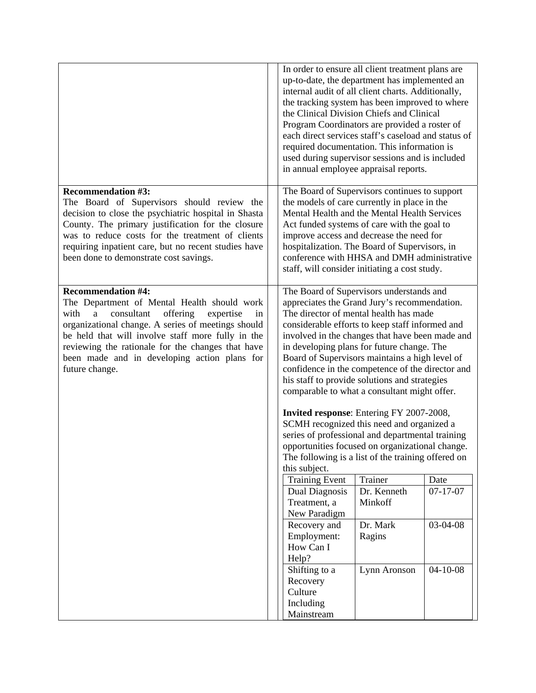|                                                                                                                                                                                                                                                                                                                                                                             | In order to ensure all client treatment plans are<br>up-to-date, the department has implemented an<br>internal audit of all client charts. Additionally,<br>the tracking system has been improved to where<br>the Clinical Division Chiefs and Clinical<br>Program Coordinators are provided a roster of<br>each direct services staff's caseload and status of<br>required documentation. This information is<br>used during supervisor sessions and is included<br>in annual employee appraisal reports.                                                                                                                                                                                                                                                                                           |                        |                |
|-----------------------------------------------------------------------------------------------------------------------------------------------------------------------------------------------------------------------------------------------------------------------------------------------------------------------------------------------------------------------------|------------------------------------------------------------------------------------------------------------------------------------------------------------------------------------------------------------------------------------------------------------------------------------------------------------------------------------------------------------------------------------------------------------------------------------------------------------------------------------------------------------------------------------------------------------------------------------------------------------------------------------------------------------------------------------------------------------------------------------------------------------------------------------------------------|------------------------|----------------|
| <b>Recommendation #3:</b><br>The Board of Supervisors should review the<br>decision to close the psychiatric hospital in Shasta<br>County. The primary justification for the closure<br>was to reduce costs for the treatment of clients<br>requiring inpatient care, but no recent studies have<br>been done to demonstrate cost savings.                                  | The Board of Supervisors continues to support<br>the models of care currently in place in the<br>Mental Health and the Mental Health Services<br>Act funded systems of care with the goal to<br>improve access and decrease the need for<br>hospitalization. The Board of Supervisors, in<br>conference with HHSA and DMH administrative<br>staff, will consider initiating a cost study.                                                                                                                                                                                                                                                                                                                                                                                                            |                        |                |
| <b>Recommendation #4:</b><br>The Department of Mental Health should work<br>consultant<br>offering<br>with<br>expertise<br>$\rm{a}$<br>in<br>organizational change. A series of meetings should<br>be held that will involve staff more fully in the<br>reviewing the rationale for the changes that have<br>been made and in developing action plans for<br>future change. | The Board of Supervisors understands and<br>appreciates the Grand Jury's recommendation.<br>The director of mental health has made<br>considerable efforts to keep staff informed and<br>involved in the changes that have been made and<br>in developing plans for future change. The<br>Board of Supervisors maintains a high level of<br>confidence in the competence of the director and<br>his staff to provide solutions and strategies<br>comparable to what a consultant might offer.<br><b>Invited response:</b> Entering FY 2007-2008,<br>SCMH recognized this need and organized a<br>series of professional and departmental training<br>opportunities focused on organizational change.<br>The following is a list of the training offered on<br>this subject.<br><b>Training Event</b> | Trainer                | Date           |
|                                                                                                                                                                                                                                                                                                                                                                             | Dual Diagnosis<br>Treatment, a<br>New Paradigm                                                                                                                                                                                                                                                                                                                                                                                                                                                                                                                                                                                                                                                                                                                                                       | Dr. Kenneth<br>Minkoff | $07 - 17 - 07$ |
|                                                                                                                                                                                                                                                                                                                                                                             | Recovery and<br>Employment:<br>How Can I<br>Help?                                                                                                                                                                                                                                                                                                                                                                                                                                                                                                                                                                                                                                                                                                                                                    | Dr. Mark<br>Ragins     | 03-04-08       |
|                                                                                                                                                                                                                                                                                                                                                                             | Shifting to a<br>Recovery<br>Culture<br>Including<br>Mainstream                                                                                                                                                                                                                                                                                                                                                                                                                                                                                                                                                                                                                                                                                                                                      | Lynn Aronson           | $04 - 10 - 08$ |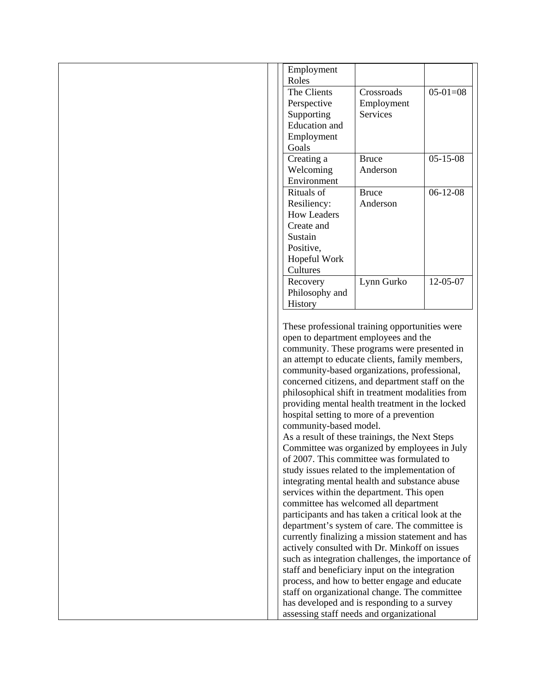| Employment<br>Roles                                                                                                                                                                                                                                                                                                                                                                                                                                                                                                                                                                                                                                                                                                                                                                                                                                                                                                                                                                                                                                                                     |
|-----------------------------------------------------------------------------------------------------------------------------------------------------------------------------------------------------------------------------------------------------------------------------------------------------------------------------------------------------------------------------------------------------------------------------------------------------------------------------------------------------------------------------------------------------------------------------------------------------------------------------------------------------------------------------------------------------------------------------------------------------------------------------------------------------------------------------------------------------------------------------------------------------------------------------------------------------------------------------------------------------------------------------------------------------------------------------------------|
| $05-01=08$<br>The Clients<br>Crossroads                                                                                                                                                                                                                                                                                                                                                                                                                                                                                                                                                                                                                                                                                                                                                                                                                                                                                                                                                                                                                                                 |
| Employment<br>Perspective                                                                                                                                                                                                                                                                                                                                                                                                                                                                                                                                                                                                                                                                                                                                                                                                                                                                                                                                                                                                                                                               |
| <b>Services</b><br>Supporting                                                                                                                                                                                                                                                                                                                                                                                                                                                                                                                                                                                                                                                                                                                                                                                                                                                                                                                                                                                                                                                           |
| <b>Education</b> and                                                                                                                                                                                                                                                                                                                                                                                                                                                                                                                                                                                                                                                                                                                                                                                                                                                                                                                                                                                                                                                                    |
| Employment                                                                                                                                                                                                                                                                                                                                                                                                                                                                                                                                                                                                                                                                                                                                                                                                                                                                                                                                                                                                                                                                              |
| Goals                                                                                                                                                                                                                                                                                                                                                                                                                                                                                                                                                                                                                                                                                                                                                                                                                                                                                                                                                                                                                                                                                   |
| $05 - 15 - 08$<br>Creating a<br><b>Bruce</b>                                                                                                                                                                                                                                                                                                                                                                                                                                                                                                                                                                                                                                                                                                                                                                                                                                                                                                                                                                                                                                            |
| Welcoming<br>Anderson                                                                                                                                                                                                                                                                                                                                                                                                                                                                                                                                                                                                                                                                                                                                                                                                                                                                                                                                                                                                                                                                   |
| Environment                                                                                                                                                                                                                                                                                                                                                                                                                                                                                                                                                                                                                                                                                                                                                                                                                                                                                                                                                                                                                                                                             |
| Rituals of<br>$06 - 12 - 08$<br><b>Bruce</b>                                                                                                                                                                                                                                                                                                                                                                                                                                                                                                                                                                                                                                                                                                                                                                                                                                                                                                                                                                                                                                            |
| Anderson<br>Resiliency:                                                                                                                                                                                                                                                                                                                                                                                                                                                                                                                                                                                                                                                                                                                                                                                                                                                                                                                                                                                                                                                                 |
| <b>How Leaders</b>                                                                                                                                                                                                                                                                                                                                                                                                                                                                                                                                                                                                                                                                                                                                                                                                                                                                                                                                                                                                                                                                      |
| Create and                                                                                                                                                                                                                                                                                                                                                                                                                                                                                                                                                                                                                                                                                                                                                                                                                                                                                                                                                                                                                                                                              |
| Sustain                                                                                                                                                                                                                                                                                                                                                                                                                                                                                                                                                                                                                                                                                                                                                                                                                                                                                                                                                                                                                                                                                 |
| Positive,                                                                                                                                                                                                                                                                                                                                                                                                                                                                                                                                                                                                                                                                                                                                                                                                                                                                                                                                                                                                                                                                               |
| Hopeful Work<br>Cultures                                                                                                                                                                                                                                                                                                                                                                                                                                                                                                                                                                                                                                                                                                                                                                                                                                                                                                                                                                                                                                                                |
| 12-05-07<br>Lynn Gurko<br>Recovery                                                                                                                                                                                                                                                                                                                                                                                                                                                                                                                                                                                                                                                                                                                                                                                                                                                                                                                                                                                                                                                      |
| Philosophy and                                                                                                                                                                                                                                                                                                                                                                                                                                                                                                                                                                                                                                                                                                                                                                                                                                                                                                                                                                                                                                                                          |
| History                                                                                                                                                                                                                                                                                                                                                                                                                                                                                                                                                                                                                                                                                                                                                                                                                                                                                                                                                                                                                                                                                 |
| community. These programs were presented in<br>an attempt to educate clients, family members,<br>community-based organizations, professional,<br>concerned citizens, and department staff on the<br>philosophical shift in treatment modalities from<br>providing mental health treatment in the locked<br>hospital setting to more of a prevention<br>community-based model.<br>As a result of these trainings, the Next Steps<br>Committee was organized by employees in July<br>of 2007. This committee was formulated to<br>study issues related to the implementation of<br>integrating mental health and substance abuse<br>services within the department. This open<br>committee has welcomed all department<br>participants and has taken a critical look at the<br>department's system of care. The committee is<br>currently finalizing a mission statement and has<br>actively consulted with Dr. Minkoff on issues<br>such as integration challenges, the importance of<br>staff and beneficiary input on the integration<br>process, and how to better engage and educate |
| staff on organizational change. The committee<br>has developed and is responding to a survey                                                                                                                                                                                                                                                                                                                                                                                                                                                                                                                                                                                                                                                                                                                                                                                                                                                                                                                                                                                            |
| assessing staff needs and organizational                                                                                                                                                                                                                                                                                                                                                                                                                                                                                                                                                                                                                                                                                                                                                                                                                                                                                                                                                                                                                                                |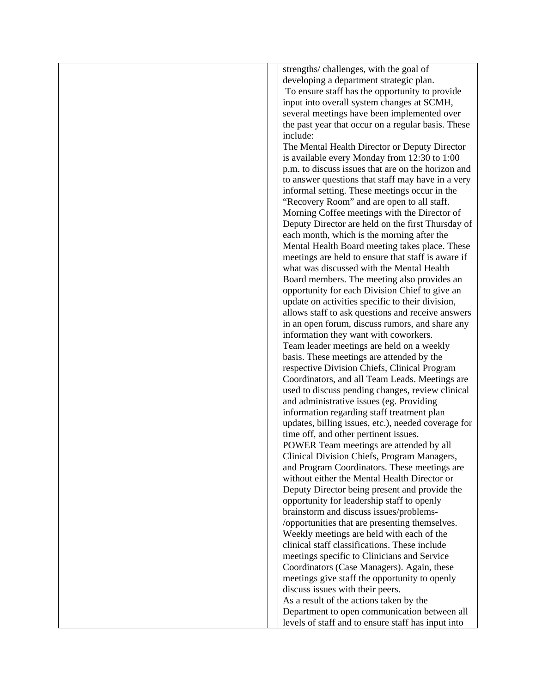| strengths/challenges, with the goal of              |
|-----------------------------------------------------|
| developing a department strategic plan.             |
| To ensure staff has the opportunity to provide      |
| input into overall system changes at SCMH,          |
| several meetings have been implemented over         |
| the past year that occur on a regular basis. These  |
| include:                                            |
| The Mental Health Director or Deputy Director       |
| is available every Monday from 12:30 to 1:00        |
| p.m. to discuss issues that are on the horizon and  |
| to answer questions that staff may have in a very   |
| informal setting. These meetings occur in the       |
| "Recovery Room" and are open to all staff.          |
| Morning Coffee meetings with the Director of        |
| Deputy Director are held on the first Thursday of   |
| each month, which is the morning after the          |
| Mental Health Board meeting takes place. These      |
| meetings are held to ensure that staff is aware if  |
| what was discussed with the Mental Health           |
| Board members. The meeting also provides an         |
| opportunity for each Division Chief to give an      |
| update on activities specific to their division,    |
| allows staff to ask questions and receive answers   |
| in an open forum, discuss rumors, and share any     |
| information they want with coworkers.               |
| Team leader meetings are held on a weekly           |
| basis. These meetings are attended by the           |
| respective Division Chiefs, Clinical Program        |
| Coordinators, and all Team Leads. Meetings are      |
| used to discuss pending changes, review clinical    |
| and administrative issues (eg. Providing            |
| information regarding staff treatment plan          |
| updates, billing issues, etc.), needed coverage for |
| time off, and other pertinent issues.               |
| POWER Team meetings are attended by all             |
| Clinical Division Chiefs, Program Managers,         |
| and Program Coordinators. These meetings are        |
| without either the Mental Health Director or        |
| Deputy Director being present and provide the       |
| opportunity for leadership staff to openly          |
| brainstorm and discuss issues/problems-             |
| /opportunities that are presenting themselves.      |
| Weekly meetings are held with each of the           |
| clinical staff classifications. These include       |
| meetings specific to Clinicians and Service         |
| Coordinators (Case Managers). Again, these          |
| meetings give staff the opportunity to openly       |
| discuss issues with their peers.                    |
| As a result of the actions taken by the             |
| Department to open communication between all        |
| levels of staff and to ensure staff has input into  |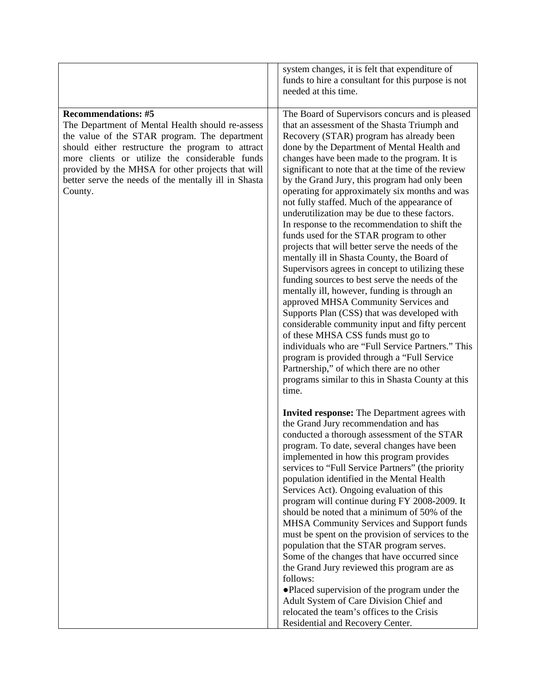|                                                                                                                                                                                                                                                                                                                                                               | system changes, it is felt that expenditure of<br>funds to hire a consultant for this purpose is not<br>needed at this time.                                                                                                                                                                                                                                                                                                                                                                                                                                                                                                                                                                                                                                                                                                                                                                                                                                                                                                                                                                                                                                                                                                                                                                                                                                                                                                                                                                                                                                                                                                                                                                                                                                                                                                                                                                                                                                                                      |
|---------------------------------------------------------------------------------------------------------------------------------------------------------------------------------------------------------------------------------------------------------------------------------------------------------------------------------------------------------------|---------------------------------------------------------------------------------------------------------------------------------------------------------------------------------------------------------------------------------------------------------------------------------------------------------------------------------------------------------------------------------------------------------------------------------------------------------------------------------------------------------------------------------------------------------------------------------------------------------------------------------------------------------------------------------------------------------------------------------------------------------------------------------------------------------------------------------------------------------------------------------------------------------------------------------------------------------------------------------------------------------------------------------------------------------------------------------------------------------------------------------------------------------------------------------------------------------------------------------------------------------------------------------------------------------------------------------------------------------------------------------------------------------------------------------------------------------------------------------------------------------------------------------------------------------------------------------------------------------------------------------------------------------------------------------------------------------------------------------------------------------------------------------------------------------------------------------------------------------------------------------------------------------------------------------------------------------------------------------------------------|
| <b>Recommendations: #5</b><br>The Department of Mental Health should re-assess<br>the value of the STAR program. The department<br>should either restructure the program to attract<br>more clients or utilize the considerable funds<br>provided by the MHSA for other projects that will<br>better serve the needs of the mentally ill in Shasta<br>County. | The Board of Supervisors concurs and is pleased<br>that an assessment of the Shasta Triumph and<br>Recovery (STAR) program has already been<br>done by the Department of Mental Health and<br>changes have been made to the program. It is<br>significant to note that at the time of the review<br>by the Grand Jury, this program had only been<br>operating for approximately six months and was<br>not fully staffed. Much of the appearance of<br>underutilization may be due to these factors.<br>In response to the recommendation to shift the<br>funds used for the STAR program to other<br>projects that will better serve the needs of the<br>mentally ill in Shasta County, the Board of<br>Supervisors agrees in concept to utilizing these<br>funding sources to best serve the needs of the<br>mentally ill, however, funding is through an<br>approved MHSA Community Services and<br>Supports Plan (CSS) that was developed with<br>considerable community input and fifty percent<br>of these MHSA CSS funds must go to<br>individuals who are "Full Service Partners." This<br>program is provided through a "Full Service<br>Partnership," of which there are no other<br>programs similar to this in Shasta County at this<br>time.<br><b>Invited response:</b> The Department agrees with<br>the Grand Jury recommendation and has<br>conducted a thorough assessment of the STAR<br>program. To date, several changes have been<br>implemented in how this program provides<br>services to "Full Service Partners" (the priority<br>population identified in the Mental Health<br>Services Act). Ongoing evaluation of this<br>program will continue during FY 2008-2009. It<br>should be noted that a minimum of 50% of the<br>MHSA Community Services and Support funds<br>must be spent on the provision of services to the<br>population that the STAR program serves.<br>Some of the changes that have occurred since<br>the Grand Jury reviewed this program are as |
|                                                                                                                                                                                                                                                                                                                                                               | follows:<br>• Placed supervision of the program under the<br>Adult System of Care Division Chief and<br>relocated the team's offices to the Crisis<br>Residential and Recovery Center.                                                                                                                                                                                                                                                                                                                                                                                                                                                                                                                                                                                                                                                                                                                                                                                                                                                                                                                                                                                                                                                                                                                                                                                                                                                                                                                                                                                                                                                                                                                                                                                                                                                                                                                                                                                                            |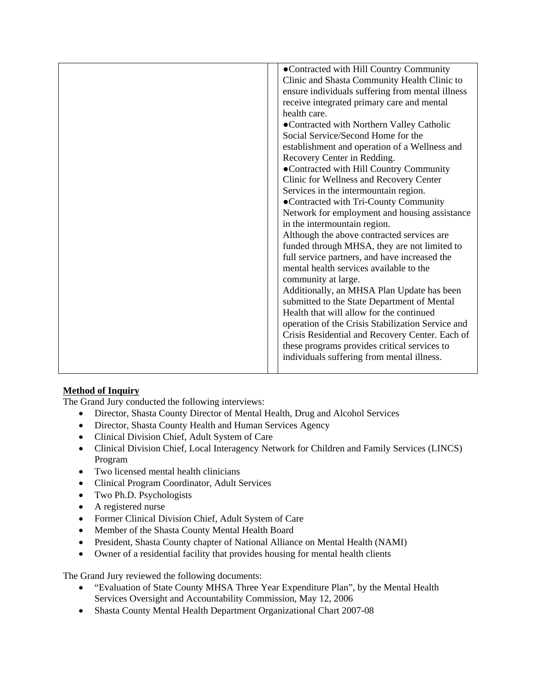| •Contracted with Hill Country Community           |
|---------------------------------------------------|
| Clinic and Shasta Community Health Clinic to      |
| ensure individuals suffering from mental illness  |
|                                                   |
| receive integrated primary care and mental        |
| health care.                                      |
| • Contracted with Northern Valley Catholic        |
| Social Service/Second Home for the                |
| establishment and operation of a Wellness and     |
| Recovery Center in Redding.                       |
| •Contracted with Hill Country Community           |
| Clinic for Wellness and Recovery Center           |
| Services in the intermountain region.             |
| •Contracted with Tri-County Community             |
| Network for employment and housing assistance     |
| in the intermountain region.                      |
| Although the above contracted services are        |
| funded through MHSA, they are not limited to      |
| full service partners, and have increased the     |
| mental health services available to the           |
| community at large.                               |
| Additionally, an MHSA Plan Update has been        |
| submitted to the State Department of Mental       |
| Health that will allow for the continued          |
| operation of the Crisis Stabilization Service and |
| Crisis Residential and Recovery Center. Each of   |
| these programs provides critical services to      |
| individuals suffering from mental illness.        |
|                                                   |
|                                                   |

### **Method of Inquiry**

The Grand Jury conducted the following interviews:

- Director, Shasta County Director of Mental Health, Drug and Alcohol Services
- Director, Shasta County Health and Human Services Agency
- Clinical Division Chief, Adult System of Care
- Clinical Division Chief, Local Interagency Network for Children and Family Services (LINCS) Program
- Two licensed mental health clinicians
- Clinical Program Coordinator, Adult Services
- Two Ph.D. Psychologists
- A registered nurse
- Former Clinical Division Chief, Adult System of Care
- Member of the Shasta County Mental Health Board
- President, Shasta County chapter of National Alliance on Mental Health (NAMI)
- Owner of a residential facility that provides housing for mental health clients

The Grand Jury reviewed the following documents:

- "Evaluation of State County MHSA Three Year Expenditure Plan", by the Mental Health Services Oversight and Accountability Commission, May 12, 2006
- Shasta County Mental Health Department Organizational Chart 2007-08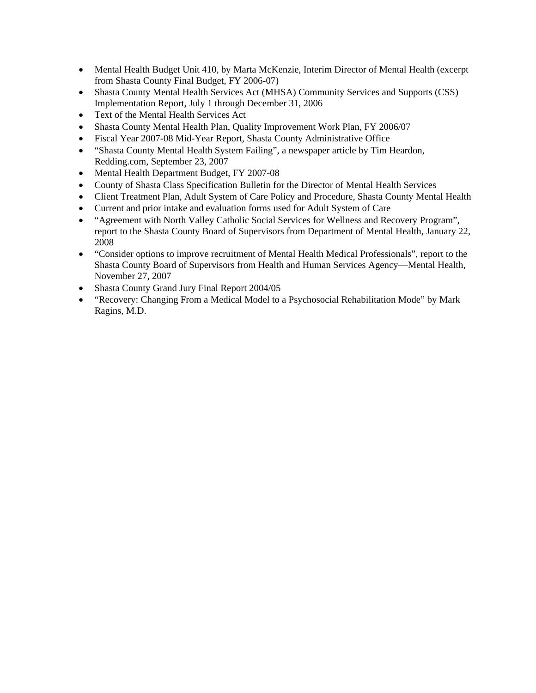- Mental Health Budget Unit 410, by Marta McKenzie, Interim Director of Mental Health (excerpt from Shasta County Final Budget, FY 2006-07)
- Shasta County Mental Health Services Act (MHSA) Community Services and Supports (CSS) Implementation Report, July 1 through December 31, 2006
- Text of the Mental Health Services Act
- Shasta County Mental Health Plan, Quality Improvement Work Plan, FY 2006/07
- Fiscal Year 2007-08 Mid-Year Report, Shasta County Administrative Office
- "Shasta County Mental Health System Failing", a newspaper article by Tim Heardon, Redding.com, September 23, 2007
- Mental Health Department Budget, FY 2007-08
- County of Shasta Class Specification Bulletin for the Director of Mental Health Services
- Client Treatment Plan, Adult System of Care Policy and Procedure, Shasta County Mental Health
- Current and prior intake and evaluation forms used for Adult System of Care
- "Agreement with North Valley Catholic Social Services for Wellness and Recovery Program", report to the Shasta County Board of Supervisors from Department of Mental Health, January 22, 2008
- "Consider options to improve recruitment of Mental Health Medical Professionals", report to the Shasta County Board of Supervisors from Health and Human Services Agency—Mental Health, November 27, 2007
- Shasta County Grand Jury Final Report 2004/05
- "Recovery: Changing From a Medical Model to a Psychosocial Rehabilitation Mode" by Mark Ragins, M.D.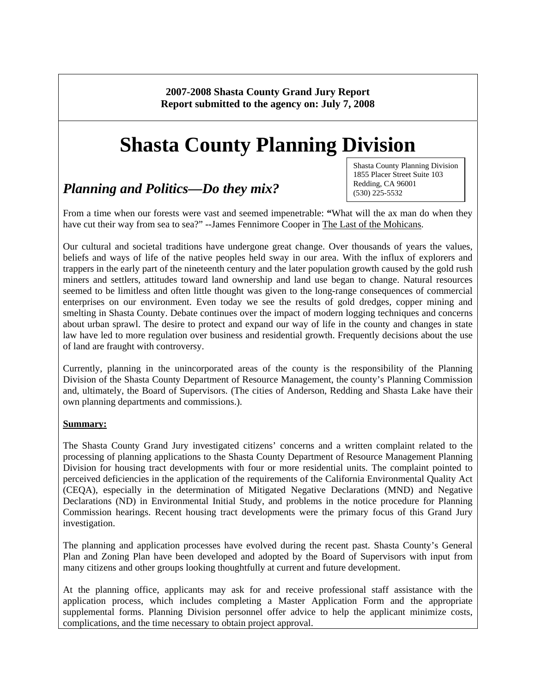**2007-2008 Shasta County Grand Jury Report Report submitted to the agency on: July 7, 2008** 

# **Shasta County Planning Division**

## *Planning and Politics—Do they mix?*

Shasta County Planning Division 1855 Placer Street Suite 103 Redding, CA 96001 (530) 225-5532

From a time when our forests were vast and seemed impenetrable: **"**What will the ax man do when they have cut their way from sea to sea?" --James Fennimore Cooper in The Last of the Mohicans.

Our cultural and societal traditions have undergone great change. Over thousands of years the values, beliefs and ways of life of the native peoples held sway in our area. With the influx of explorers and trappers in the early part of the nineteenth century and the later population growth caused by the gold rush miners and settlers, attitudes toward land ownership and land use began to change. Natural resources seemed to be limitless and often little thought was given to the long-range consequences of commercial enterprises on our environment. Even today we see the results of gold dredges, copper mining and smelting in Shasta County. Debate continues over the impact of modern logging techniques and concerns about urban sprawl. The desire to protect and expand our way of life in the county and changes in state law have led to more regulation over business and residential growth. Frequently decisions about the use of land are fraught with controversy.

Currently, planning in the unincorporated areas of the county is the responsibility of the Planning Division of the Shasta County Department of Resource Management, the county's Planning Commission and, ultimately, the Board of Supervisors. (The cities of Anderson, Redding and Shasta Lake have their own planning departments and commissions.).

### **Summary:**

The Shasta County Grand Jury investigated citizens' concerns and a written complaint related to the processing of planning applications to the Shasta County Department of Resource Management Planning Division for housing tract developments with four or more residential units. The complaint pointed to perceived deficiencies in the application of the requirements of the California Environmental Quality Act (CEQA), especially in the determination of Mitigated Negative Declarations (MND) and Negative Declarations (ND) in Environmental Initial Study, and problems in the notice procedure for Planning Commission hearings. Recent housing tract developments were the primary focus of this Grand Jury investigation.

The planning and application processes have evolved during the recent past. Shasta County's General Plan and Zoning Plan have been developed and adopted by the Board of Supervisors with input from many citizens and other groups looking thoughtfully at current and future development.

At the planning office, applicants may ask for and receive professional staff assistance with the application process, which includes completing a Master Application Form and the appropriate supplemental forms. Planning Division personnel offer advice to help the applicant minimize costs, complications, and the time necessary to obtain project approval.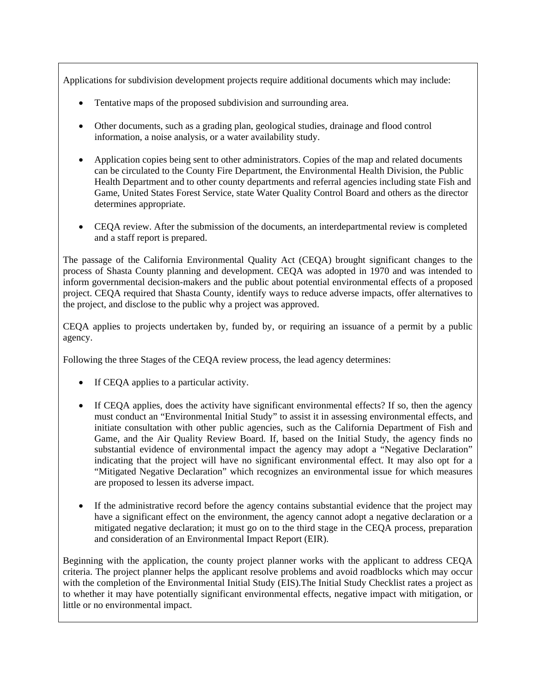Applications for subdivision development projects require additional documents which may include:

- Tentative maps of the proposed subdivision and surrounding area.
- Other documents, such as a grading plan, geological studies, drainage and flood control information, a noise analysis, or a water availability study.
- Application copies being sent to other administrators. Copies of the map and related documents can be circulated to the County Fire Department, the Environmental Health Division, the Public Health Department and to other county departments and referral agencies including state Fish and Game, United States Forest Service, state Water Quality Control Board and others as the director determines appropriate.
- CEQA review. After the submission of the documents, an interdepartmental review is completed and a staff report is prepared.

The passage of the California Environmental Quality Act (CEQA) brought significant changes to the process of Shasta County planning and development. CEQA was adopted in 1970 and was intended to inform governmental decision-makers and the public about potential environmental effects of a proposed project. CEQA required that Shasta County, identify ways to reduce adverse impacts, offer alternatives to the project, and disclose to the public why a project was approved.

CEQA applies to projects undertaken by, funded by, or requiring an issuance of a permit by a public agency.

Following the three Stages of the CEQA review process, the lead agency determines:

- If CEQA applies to a particular activity.
- If CEQA applies, does the activity have significant environmental effects? If so, then the agency must conduct an "Environmental Initial Study" to assist it in assessing environmental effects, and initiate consultation with other public agencies, such as the California Department of Fish and Game, and the Air Quality Review Board. If, based on the Initial Study, the agency finds no substantial evidence of environmental impact the agency may adopt a "Negative Declaration" indicating that the project will have no significant environmental effect. It may also opt for a "Mitigated Negative Declaration" which recognizes an environmental issue for which measures are proposed to lessen its adverse impact.
- If the administrative record before the agency contains substantial evidence that the project may have a significant effect on the environment, the agency cannot adopt a negative declaration or a mitigated negative declaration; it must go on to the third stage in the CEQA process, preparation and consideration of an Environmental Impact Report (EIR).

Beginning with the application, the county project planner works with the applicant to address CEQA criteria. The project planner helps the applicant resolve problems and avoid roadblocks which may occur with the completion of the Environmental Initial Study (EIS). The Initial Study Checklist rates a project as to whether it may have potentially significant environmental effects, negative impact with mitigation, or little or no environmental impact.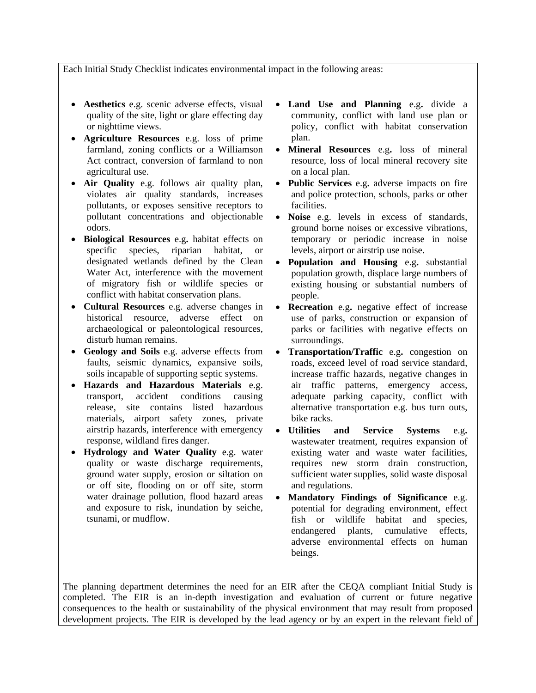#### Each Initial Study Checklist indicates environmental impact in the following areas:

- **Aesthetics** e.g. scenic adverse effects, visual quality of the site, light or glare effecting day or nighttime views.
- **Agriculture Resources** e.g. loss of prime farmland, zoning conflicts or a Williamson Act contract, conversion of farmland to non agricultural use.
- **Air Quality** e.g. follows air quality plan, violates air quality standards, increases pollutants, or exposes sensitive receptors to pollutant concentrations and objectionable odors.
- **Biological Resources** e.g**.** habitat effects on specific species, riparian habitat, or designated wetlands defined by the Clean Water Act, interference with the movement of migratory fish or wildlife species or conflict with habitat conservation plans.
- **Cultural Resources** e.g. adverse changes in historical resource, adverse effect on archaeological or paleontological resources, disturb human remains.
- **Geology and Soils** e.g. adverse effects from faults, seismic dynamics, expansive soils, soils incapable of supporting septic systems.
- **Hazards and Hazardous Materials** e.g. transport, accident conditions causing release, site contains listed hazardous materials, airport safety zones, private airstrip hazards, interference with emergency response, wildland fires danger.
- **Hydrology and Water Quality** e.g. water quality or waste discharge requirements, ground water supply, erosion or siltation on or off site, flooding on or off site, storm water drainage pollution, flood hazard areas and exposure to risk, inundation by seiche, tsunami, or mudflow.
- **Land Use and Planning** e.g**.** divide a community, conflict with land use plan or policy, conflict with habitat conservation plan.
- **Mineral Resources** e.g**.** loss of mineral resource, loss of local mineral recovery site on a local plan.
- **Public Services** e.g**.** adverse impacts on fire and police protection, schools, parks or other facilities.
- **Noise** e.g. levels in excess of standards, ground borne noises or excessive vibrations, temporary or periodic increase in noise levels, airport or airstrip use noise.
- **Population and Housing** e.g**.** substantial population growth, displace large numbers of existing housing or substantial numbers of people.
- **Recreation** e.g**.** negative effect of increase use of parks, construction or expansion of parks or facilities with negative effects on surroundings.
- **Transportation/Traffic** e.g**.** congestion on roads, exceed level of road service standard, increase traffic hazards, negative changes in air traffic patterns, emergency access, adequate parking capacity, conflict with alternative transportation e.g. bus turn outs, bike racks.
- **Utilities and Service Systems** e.g**.** wastewater treatment, requires expansion of existing water and waste water facilities, requires new storm drain construction, sufficient water supplies, solid waste disposal and regulations.
- **Mandatory Findings of Significance** e.g. potential for degrading environment, effect fish or wildlife habitat and species, endangered plants, cumulative effects, adverse environmental effects on human beings.

The planning department determines the need for an EIR after the CEQA compliant Initial Study is completed. The EIR is an in-depth investigation and evaluation of current or future negative consequences to the health or sustainability of the physical environment that may result from proposed development projects. The EIR is developed by the lead agency or by an expert in the relevant field of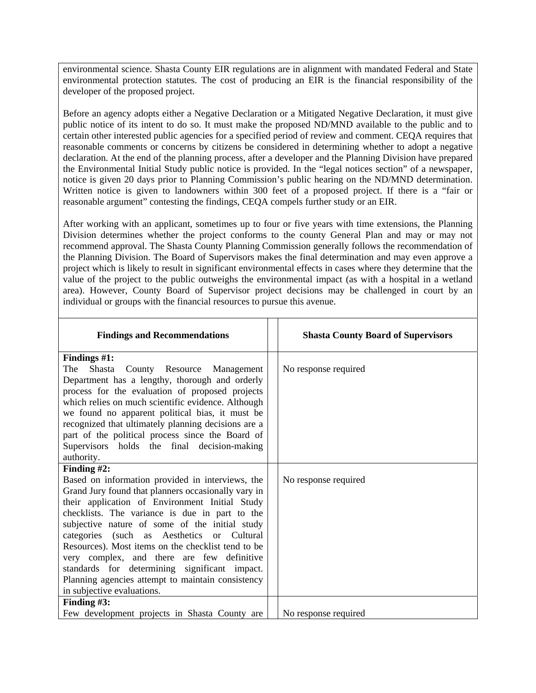environmental science. Shasta County EIR regulations are in alignment with mandated Federal and State environmental protection statutes. The cost of producing an EIR is the financial responsibility of the developer of the proposed project.

Before an agency adopts either a Negative Declaration or a Mitigated Negative Declaration, it must give public notice of its intent to do so. It must make the proposed ND/MND available to the public and to certain other interested public agencies for a specified period of review and comment. CEQA requires that reasonable comments or concerns by citizens be considered in determining whether to adopt a negative declaration. At the end of the planning process, after a developer and the Planning Division have prepared the Environmental Initial Study public notice is provided. In the "legal notices section" of a newspaper, notice is given 20 days prior to Planning Commission's public hearing on the ND/MND determination. Written notice is given to landowners within 300 feet of a proposed project. If there is a "fair or reasonable argument" contesting the findings, CEQA compels further study or an EIR.

After working with an applicant, sometimes up to four or five years with time extensions, the Planning Division determines whether the project conforms to the county General Plan and may or may not recommend approval. The Shasta County Planning Commission generally follows the recommendation of the Planning Division. The Board of Supervisors makes the final determination and may even approve a project which is likely to result in significant environmental effects in cases where they determine that the value of the project to the public outweighs the environmental impact (as with a hospital in a wetland area). However, County Board of Supervisor project decisions may be challenged in court by an individual or groups with the financial resources to pursue this avenue.

| <b>Findings and Recommendations</b>                                                                                                                                                                                                                                                                                                                                                                                                                                                                                                                                   | <b>Shasta County Board of Supervisors</b> |
|-----------------------------------------------------------------------------------------------------------------------------------------------------------------------------------------------------------------------------------------------------------------------------------------------------------------------------------------------------------------------------------------------------------------------------------------------------------------------------------------------------------------------------------------------------------------------|-------------------------------------------|
| Findings $#1$ :<br>County Resource Management<br>The<br>Shasta<br>Department has a lengthy, thorough and orderly<br>process for the evaluation of proposed projects                                                                                                                                                                                                                                                                                                                                                                                                   | No response required                      |
| which relies on much scientific evidence. Although<br>we found no apparent political bias, it must be<br>recognized that ultimately planning decisions are a                                                                                                                                                                                                                                                                                                                                                                                                          |                                           |
| part of the political process since the Board of<br>Supervisors holds the final decision-making<br>authority.                                                                                                                                                                                                                                                                                                                                                                                                                                                         |                                           |
| Finding $#2$ :<br>Based on information provided in interviews, the<br>Grand Jury found that planners occasionally vary in<br>their application of Environment Initial Study<br>checklists. The variance is due in part to the<br>subjective nature of some of the initial study<br>categories (such as Aesthetics or Cultural<br>Resources). Most items on the checklist tend to be<br>very complex, and there are few definitive<br>standards for determining significant impact.<br>Planning agencies attempt to maintain consistency<br>in subjective evaluations. | No response required                      |
| Finding $#3$ :<br>Few development projects in Shasta County are                                                                                                                                                                                                                                                                                                                                                                                                                                                                                                       | No response required                      |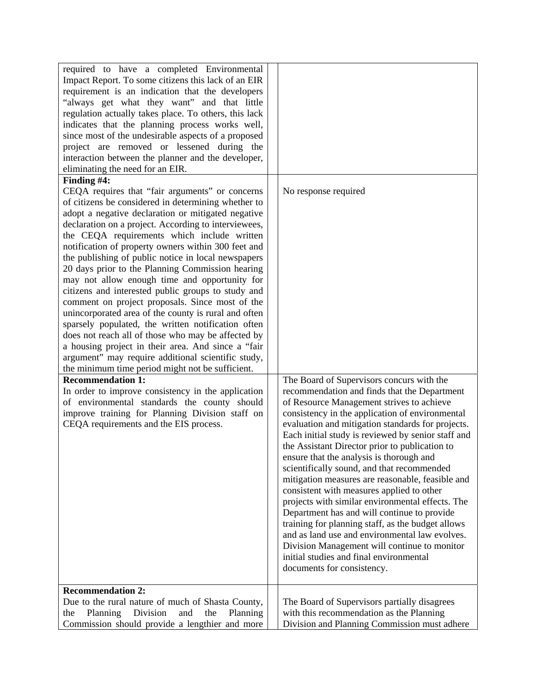| required to have a completed Environmental            |                                                    |
|-------------------------------------------------------|----------------------------------------------------|
| Impact Report. To some citizens this lack of an EIR   |                                                    |
| requirement is an indication that the developers      |                                                    |
| "always get what they want" and that little           |                                                    |
| regulation actually takes place. To others, this lack |                                                    |
| indicates that the planning process works well,       |                                                    |
| since most of the undesirable aspects of a proposed   |                                                    |
| project are removed or lessened during the            |                                                    |
| interaction between the planner and the developer,    |                                                    |
| eliminating the need for an EIR.                      |                                                    |
| Finding #4:                                           |                                                    |
| CEQA requires that "fair arguments" or concerns       | No response required                               |
| of citizens be considered in determining whether to   |                                                    |
| adopt a negative declaration or mitigated negative    |                                                    |
| declaration on a project. According to interviewees,  |                                                    |
| the CEQA requirements which include written           |                                                    |
| notification of property owners within 300 feet and   |                                                    |
| the publishing of public notice in local newspapers   |                                                    |
| 20 days prior to the Planning Commission hearing      |                                                    |
| may not allow enough time and opportunity for         |                                                    |
| citizens and interested public groups to study and    |                                                    |
| comment on project proposals. Since most of the       |                                                    |
| unincorporated area of the county is rural and often  |                                                    |
| sparsely populated, the written notification often    |                                                    |
| does not reach all of those who may be affected by    |                                                    |
| a housing project in their area. And since a "fair    |                                                    |
| argument" may require additional scientific study,    |                                                    |
| the minimum time period might not be sufficient.      |                                                    |
| <b>Recommendation 1:</b>                              | The Board of Supervisors concurs with the          |
| In order to improve consistency in the application    | recommendation and finds that the Department       |
| of environmental standards the county should          | of Resource Management strives to achieve          |
| improve training for Planning Division staff on       | consistency in the application of environmental    |
| CEQA requirements and the EIS process.                | evaluation and mitigation standards for projects.  |
|                                                       | Each initial study is reviewed by senior staff and |
|                                                       | the Assistant Director prior to publication to     |
|                                                       | ensure that the analysis is thorough and           |
|                                                       | scientifically sound, and that recommended         |
|                                                       | mitigation measures are reasonable, feasible and   |
|                                                       | consistent with measures applied to other          |
|                                                       | projects with similar environmental effects. The   |
|                                                       | Department has and will continue to provide        |
|                                                       | training for planning staff, as the budget allows  |
|                                                       | and as land use and environmental law evolves.     |
|                                                       | Division Management will continue to monitor       |
|                                                       | initial studies and final environmental            |
|                                                       | documents for consistency.                         |
|                                                       |                                                    |
| <b>Recommendation 2:</b>                              |                                                    |
| Due to the rural nature of much of Shasta County,     | The Board of Supervisors partially disagrees       |
| Division<br>Planning<br>and<br>the<br>Planning<br>the | with this recommendation as the Planning           |
| Commission should provide a lengthier and more        | Division and Planning Commission must adhere       |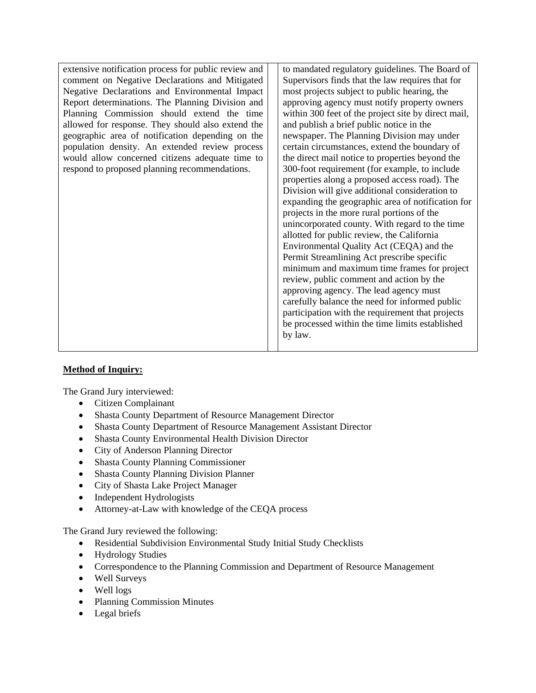extensive notification process for public review and comment on Negative Declarations and Mitigated Negative Declarations and Environmental Impact Report determinations. The Planning Division and Planning Commission should extend the time allowed for response. They should also extend the geographic area of notification depending on the population density. An extended review process would allow concerned citizens adequate time to respond to proposed planning recommendations.

to mandated regulatory guidelines. The Board of Supervisors finds that the law requires that for most projects subject to public hearing, the approving agency must notify property owners within 300 feet of the project site by direct mail, and publish a brief public notice in the newspaper. The Planning Division may under certain circumstances, extend the boundary of the direct mail notice to properties beyond the 300-foot requirement (for example, to include properties along a proposed access road). The Division will give additional consideration to expanding the geographic area of notification for projects in the more rural portions of the unincorporated county. With regard to the time allotted for public review, the California Environmental Quality Act (CEQA) and the Permit Streamlining Act prescribe specific minimum and maximum time frames for project review, public comment and action by the approving agency. The lead agency must carefully balance the need for informed public participation with the requirement that projects be processed within the time limits established by law.

### **Method of Inquiry:**

The Grand Jury interviewed:

- Citizen Complainant
- Shasta County Department of Resource Management Director
- Shasta County Department of Resource Management Assistant Director
- Shasta County Environmental Health Division Director
- City of Anderson Planning Director
- Shasta County Planning Commissioner
- Shasta County Planning Division Planner
- City of Shasta Lake Project Manager
- Independent Hydrologists
- Attorney-at-Law with knowledge of the CEQA process

The Grand Jury reviewed the following:

- Residential Subdivision Environmental Study Initial Study Checklists
- Hydrology Studies
- Correspondence to the Planning Commission and Department of Resource Management
- Well Surveys
- Well logs
- Planning Commission Minutes
- Legal briefs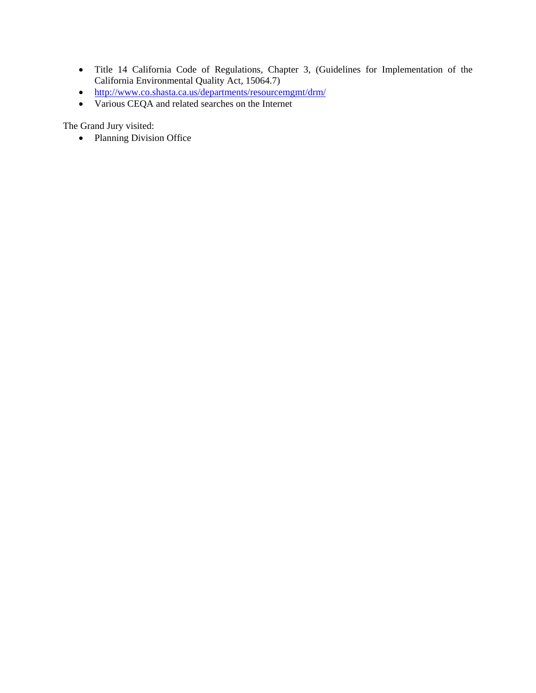- Title 14 California Code of Regulations, Chapter 3, (Guidelines for Implementation of the California Environmental Quality Act, 15064.7)
- <http://www.co.shasta.ca.us/departments/resourcemgmt/drm/>
- Various CEQA and related searches on the Internet

The Grand Jury visited:

• Planning Division Office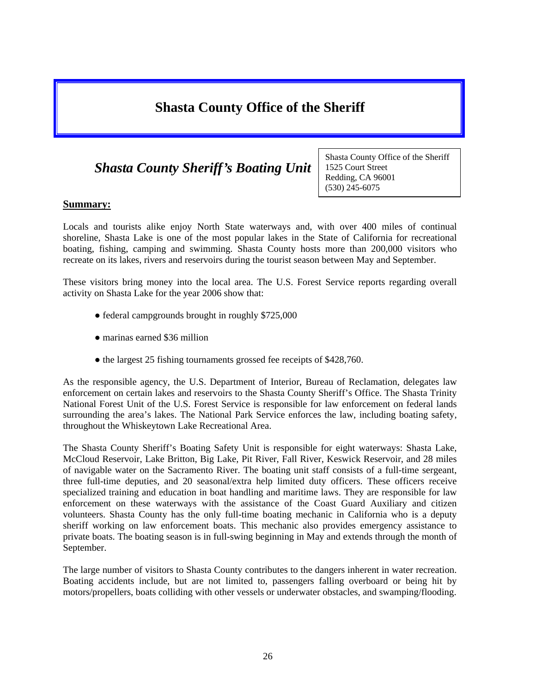# **Shasta County Office of the Sheriff**

# *Shasta County Sheriff's Boating Unit*

Shasta County Office of the Sheriff 1525 Court Street Redding, CA 96001 (530) 245-6075

### **Summary:**

Locals and tourists alike enjoy North State waterways and, with over 400 miles of continual shoreline, Shasta Lake is one of the most popular lakes in the State of California for recreational boating, fishing, camping and swimming. Shasta County hosts more than 200,000 visitors who recreate on its lakes, rivers and reservoirs during the tourist season between May and September.

These visitors bring money into the local area. The U.S. Forest Service reports regarding overall activity on Shasta Lake for the year 2006 show that:

- federal campgrounds brought in roughly \$725,000
- marinas earned \$36 million
- the largest 25 fishing tournaments grossed fee receipts of \$428,760.

As the responsible agency, the U.S. Department of Interior, Bureau of Reclamation, delegates law enforcement on certain lakes and reservoirs to the Shasta County Sheriff's Office. The Shasta Trinity National Forest Unit of the U.S. Forest Service is responsible for law enforcement on federal lands surrounding the area's lakes. The National Park Service enforces the law, including boating safety, throughout the Whiskeytown Lake Recreational Area.

The Shasta County Sheriff's Boating Safety Unit is responsible for eight waterways: Shasta Lake, McCloud Reservoir, Lake Britton, Big Lake, Pit River, Fall River, Keswick Reservoir, and 28 miles of navigable water on the Sacramento River. The boating unit staff consists of a full-time sergeant, three full-time deputies, and 20 seasonal/extra help limited duty officers. These officers receive specialized training and education in boat handling and maritime laws. They are responsible for law enforcement on these waterways with the assistance of the Coast Guard Auxiliary and citizen volunteers. Shasta County has the only full-time boating mechanic in California who is a deputy sheriff working on law enforcement boats. This mechanic also provides emergency assistance to private boats. The boating season is in full-swing beginning in May and extends through the month of September.

The large number of visitors to Shasta County contributes to the dangers inherent in water recreation. Boating accidents include, but are not limited to, passengers falling overboard or being hit by motors/propellers, boats colliding with other vessels or underwater obstacles, and swamping/flooding.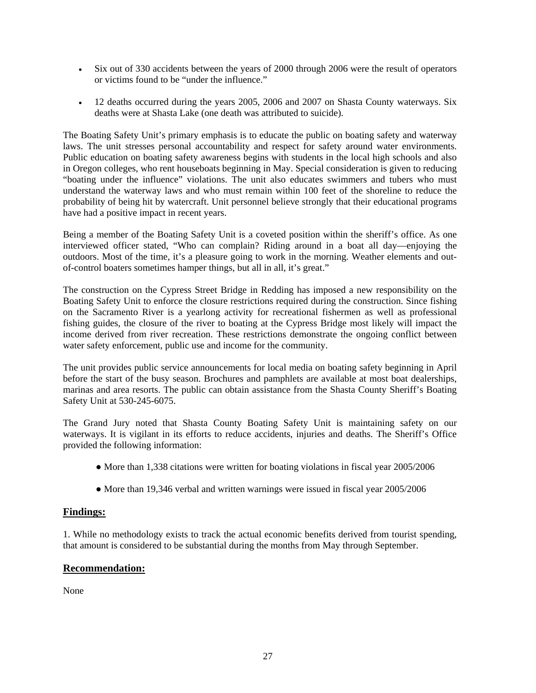- Six out of 330 accidents between the years of 2000 through 2006 were the result of operators or victims found to be "under the influence."
- 12 deaths occurred during the years 2005, 2006 and 2007 on Shasta County waterways. Six deaths were at Shasta Lake (one death was attributed to suicide).

The Boating Safety Unit's primary emphasis is to educate the public on boating safety and waterway laws. The unit stresses personal accountability and respect for safety around water environments. Public education on boating safety awareness begins with students in the local high schools and also in Oregon colleges, who rent houseboats beginning in May. Special consideration is given to reducing "boating under the influence" violations. The unit also educates swimmers and tubers who must understand the waterway laws and who must remain within 100 feet of the shoreline to reduce the probability of being hit by watercraft. Unit personnel believe strongly that their educational programs have had a positive impact in recent years.

Being a member of the Boating Safety Unit is a coveted position within the sheriff's office. As one interviewed officer stated, "Who can complain? Riding around in a boat all day—enjoying the outdoors. Most of the time, it's a pleasure going to work in the morning. Weather elements and outof-control boaters sometimes hamper things, but all in all, it's great."

The construction on the Cypress Street Bridge in Redding has imposed a new responsibility on the Boating Safety Unit to enforce the closure restrictions required during the construction. Since fishing on the Sacramento River is a yearlong activity for recreational fishermen as well as professional fishing guides, the closure of the river to boating at the Cypress Bridge most likely will impact the income derived from river recreation. These restrictions demonstrate the ongoing conflict between water safety enforcement, public use and income for the community.

The unit provides public service announcements for local media on boating safety beginning in April before the start of the busy season. Brochures and pamphlets are available at most boat dealerships, marinas and area resorts. The public can obtain assistance from the Shasta County Sheriff's Boating Safety Unit at 530-245-6075.

The Grand Jury noted that Shasta County Boating Safety Unit is maintaining safety on our waterways. It is vigilant in its efforts to reduce accidents, injuries and deaths. The Sheriff's Office provided the following information:

- More than 1,338 citations were written for boating violations in fiscal year 2005/2006
- More than 19,346 verbal and written warnings were issued in fiscal year 2005/2006

### **Findings:**

1. While no methodology exists to track the actual economic benefits derived from tourist spending, that amount is considered to be substantial during the months from May through September.

### **Recommendation:**

None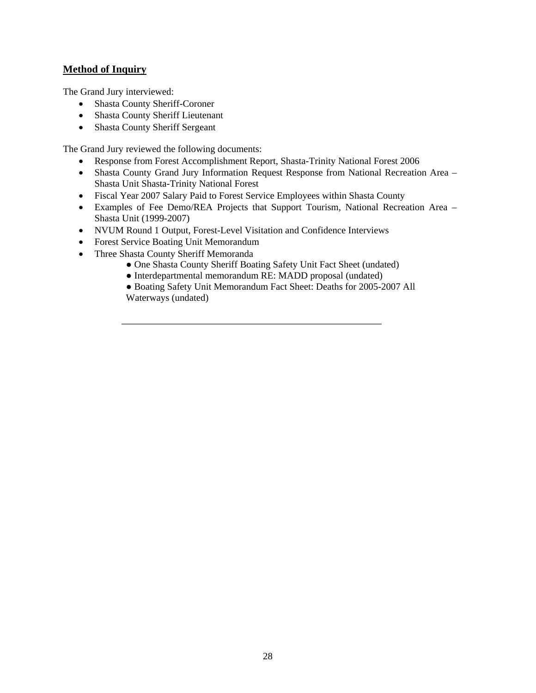### **Method of Inquiry**

The Grand Jury interviewed:

- Shasta County Sheriff-Coroner
- Shasta County Sheriff Lieutenant
- Shasta County Sheriff Sergeant

The Grand Jury reviewed the following documents:

- Response from Forest Accomplishment Report, Shasta-Trinity National Forest 2006
- Shasta County Grand Jury Information Request Response from National Recreation Area Shasta Unit Shasta-Trinity National Forest
- Fiscal Year 2007 Salary Paid to Forest Service Employees within Shasta County
- Examples of Fee Demo/REA Projects that Support Tourism, National Recreation Area Shasta Unit (1999-2007)
- NVUM Round 1 Output, Forest-Level Visitation and Confidence Interviews
- Forest Service Boating Unit Memorandum
- Three Shasta County Sheriff Memoranda
	- One Shasta County Sheriff Boating Safety Unit Fact Sheet (undated)
	- Interdepartmental memorandum RE: MADD proposal (undated)

● Boating Safety Unit Memorandum Fact Sheet: Deaths for 2005-2007 All Waterways (undated)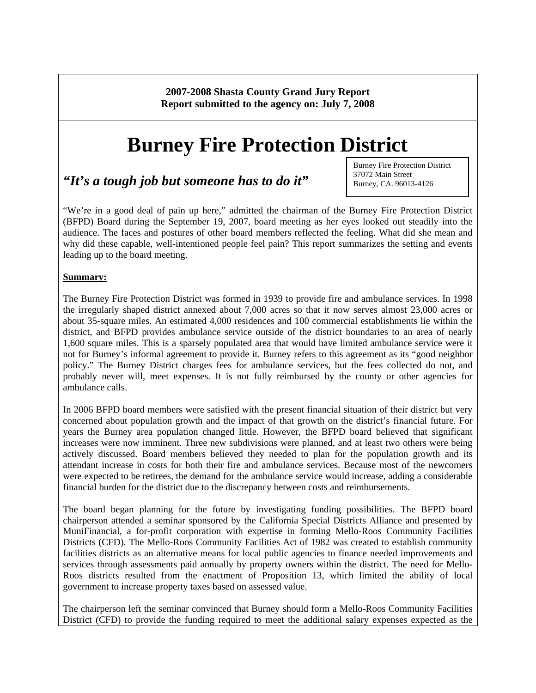**2007-2008 Shasta County Grand Jury Report Report submitted to the agency on: July 7, 2008** 

# **Burney Fire Protection District**

## *"It's a tough job but someone has to do it"*

Burney Fire Protection District 37072 Main Street Burney, CA. 96013-4126

"We're in a good deal of pain up here," admitted the chairman of the Burney Fire Protection District (BFPD) Board during the September 19, 2007, board meeting as her eyes looked out steadily into the audience. The faces and postures of other board members reflected the feeling. What did she mean and why did these capable, well-intentioned people feel pain? This report summarizes the setting and events leading up to the board meeting.

### **Summary:**

The Burney Fire Protection District was formed in 1939 to provide fire and ambulance services. In 1998 the irregularly shaped district annexed about 7,000 acres so that it now serves almost 23,000 acres or about 35-square miles. An estimated 4,000 residences and 100 commercial establishments lie within the district, and BFPD provides ambulance service outside of the district boundaries to an area of nearly 1,600 square miles. This is a sparsely populated area that would have limited ambulance service were it not for Burney's informal agreement to provide it. Burney refers to this agreement as its "good neighbor policy." The Burney District charges fees for ambulance services, but the fees collected do not, and probably never will, meet expenses. It is not fully reimbursed by the county or other agencies for ambulance calls.

In 2006 BFPD board members were satisfied with the present financial situation of their district but very concerned about population growth and the impact of that growth on the district's financial future. For years the Burney area population changed little. However, the BFPD board believed that significant increases were now imminent. Three new subdivisions were planned, and at least two others were being actively discussed. Board members believed they needed to plan for the population growth and its attendant increase in costs for both their fire and ambulance services. Because most of the newcomers were expected to be retirees, the demand for the ambulance service would increase, adding a considerable financial burden for the district due to the discrepancy between costs and reimbursements.

The board began planning for the future by investigating funding possibilities. The BFPD board chairperson attended a seminar sponsored by the California Special Districts Alliance and presented by MuniFinancial, a for-profit corporation with expertise in forming Mello-Roos Community Facilities Districts (CFD). The Mello-Roos Community Facilities Act of 1982 was created to establish community facilities districts as an alternative means for local public agencies to finance needed improvements and services through assessments paid annually by property owners within the district. The need for Mello-Roos districts resulted from the enactment of Proposition 13, which limited the ability of local government to increase property taxes based on assessed value.

The chairperson left the seminar convinced that Burney should form a Mello-Roos Community Facilities District (CFD) to provide the funding required to meet the additional salary expenses expected as the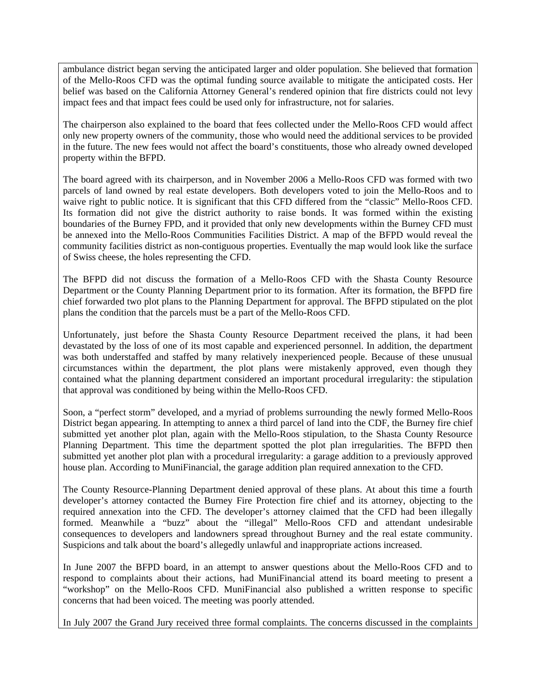ambulance district began serving the anticipated larger and older population. She believed that formation of the Mello-Roos CFD was the optimal funding source available to mitigate the anticipated costs. Her belief was based on the California Attorney General's rendered opinion that fire districts could not levy impact fees and that impact fees could be used only for infrastructure, not for salaries.

The chairperson also explained to the board that fees collected under the Mello-Roos CFD would affect only new property owners of the community, those who would need the additional services to be provided in the future. The new fees would not affect the board's constituents, those who already owned developed property within the BFPD.

The board agreed with its chairperson, and in November 2006 a Mello-Roos CFD was formed with two parcels of land owned by real estate developers. Both developers voted to join the Mello-Roos and to waive right to public notice. It is significant that this CFD differed from the "classic" Mello-Roos CFD. Its formation did not give the district authority to raise bonds. It was formed within the existing boundaries of the Burney FPD, and it provided that only new developments within the Burney CFD must be annexed into the Mello-Roos Communities Facilities District. A map of the BFPD would reveal the community facilities district as non-contiguous properties. Eventually the map would look like the surface of Swiss cheese, the holes representing the CFD.

The BFPD did not discuss the formation of a Mello-Roos CFD with the Shasta County Resource Department or the County Planning Department prior to its formation. After its formation, the BFPD fire chief forwarded two plot plans to the Planning Department for approval. The BFPD stipulated on the plot plans the condition that the parcels must be a part of the Mello-Roos CFD.

Unfortunately, just before the Shasta County Resource Department received the plans, it had been devastated by the loss of one of its most capable and experienced personnel. In addition, the department was both understaffed and staffed by many relatively inexperienced people. Because of these unusual circumstances within the department, the plot plans were mistakenly approved, even though they contained what the planning department considered an important procedural irregularity: the stipulation that approval was conditioned by being within the Mello-Roos CFD.

Soon, a "perfect storm" developed, and a myriad of problems surrounding the newly formed Mello-Roos District began appearing. In attempting to annex a third parcel of land into the CDF, the Burney fire chief submitted yet another plot plan, again with the Mello-Roos stipulation, to the Shasta County Resource Planning Department. This time the department spotted the plot plan irregularities. The BFPD then submitted yet another plot plan with a procedural irregularity: a garage addition to a previously approved house plan. According to MuniFinancial, the garage addition plan required annexation to the CFD.

The County Resource-Planning Department denied approval of these plans. At about this time a fourth developer's attorney contacted the Burney Fire Protection fire chief and its attorney, objecting to the required annexation into the CFD. The developer's attorney claimed that the CFD had been illegally formed. Meanwhile a "buzz" about the "illegal" Mello-Roos CFD and attendant undesirable consequences to developers and landowners spread throughout Burney and the real estate community. Suspicions and talk about the board's allegedly unlawful and inappropriate actions increased.

In June 2007 the BFPD board, in an attempt to answer questions about the Mello-Roos CFD and to respond to complaints about their actions, had MuniFinancial attend its board meeting to present a "workshop" on the Mello-Roos CFD. MuniFinancial also published a written response to specific concerns that had been voiced. The meeting was poorly attended.

In July 2007 the Grand Jury received three formal complaints. The concerns discussed in the complaints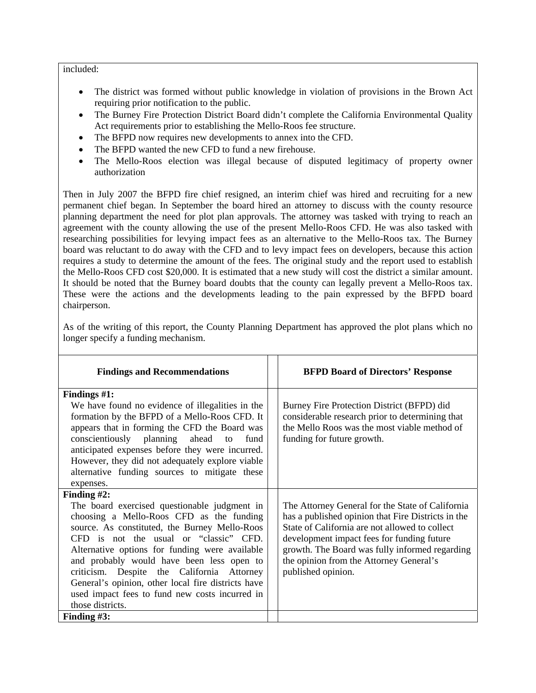#### included:

- The district was formed without public knowledge in violation of provisions in the Brown Act requiring prior notification to the public.
- The Burney Fire Protection District Board didn't complete the California Environmental Quality Act requirements prior to establishing the Mello-Roos fee structure.
- The BFPD now requires new developments to annex into the CFD.
- The BFPD wanted the new CFD to fund a new firehouse.
- The Mello-Roos election was illegal because of disputed legitimacy of property owner authorization

Then in July 2007 the BFPD fire chief resigned, an interim chief was hired and recruiting for a new permanent chief began. In September the board hired an attorney to discuss with the county resource planning department the need for plot plan approvals. The attorney was tasked with trying to reach an agreement with the county allowing the use of the present Mello-Roos CFD. He was also tasked with researching possibilities for levying impact fees as an alternative to the Mello-Roos tax. The Burney board was reluctant to do away with the CFD and to levy impact fees on developers, because this action requires a study to determine the amount of the fees. The original study and the report used to establish the Mello-Roos CFD cost \$20,000. It is estimated that a new study will cost the district a similar amount. It should be noted that the Burney board doubts that the county can legally prevent a Mello-Roos tax. These were the actions and the developments leading to the pain expressed by the BFPD board chairperson.

As of the writing of this report, the County Planning Department has approved the plot plans which no longer specify a funding mechanism.

| <b>Findings and Recommendations</b>                                                                                                                                                                                                                                                                                                                                                                                                                                            | <b>BFPD Board of Directors' Response</b>                                                                                                                                                                                                                                                                                  |
|--------------------------------------------------------------------------------------------------------------------------------------------------------------------------------------------------------------------------------------------------------------------------------------------------------------------------------------------------------------------------------------------------------------------------------------------------------------------------------|---------------------------------------------------------------------------------------------------------------------------------------------------------------------------------------------------------------------------------------------------------------------------------------------------------------------------|
| Findings #1:<br>We have found no evidence of illegalities in the<br>formation by the BFPD of a Mello-Roos CFD. It<br>appears that in forming the CFD the Board was<br>conscientiously planning ahead to<br>fund<br>anticipated expenses before they were incurred.<br>However, they did not adequately explore viable<br>alternative funding sources to mitigate these<br>expenses.                                                                                            | Burney Fire Protection District (BFPD) did<br>considerable research prior to determining that<br>the Mello Roos was the most viable method of<br>funding for future growth.                                                                                                                                               |
| Finding $#2$ :<br>The board exercised questionable judgment in<br>choosing a Mello-Roos CFD as the funding<br>source. As constituted, the Burney Mello-Roos<br>CFD is not the usual or "classic" CFD.<br>Alternative options for funding were available<br>and probably would have been less open to<br>criticism. Despite the California Attorney<br>General's opinion, other local fire districts have<br>used impact fees to fund new costs incurred in<br>those districts. | The Attorney General for the State of California<br>has a published opinion that Fire Districts in the<br>State of California are not allowed to collect<br>development impact fees for funding future<br>growth. The Board was fully informed regarding<br>the opinion from the Attorney General's<br>published opinion. |
| Finding $#3$ :                                                                                                                                                                                                                                                                                                                                                                                                                                                                 |                                                                                                                                                                                                                                                                                                                           |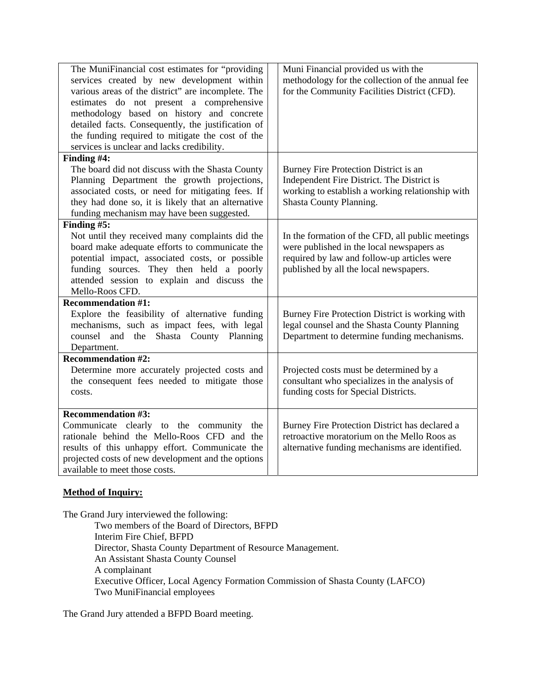| The MuniFinancial cost estimates for "providing<br>services created by new development within<br>various areas of the district" are incomplete. The<br>estimates do not present a comprehensive<br>methodology based on history and concrete<br>detailed facts. Consequently, the justification of<br>the funding required to mitigate the cost of the<br>services is unclear and lacks credibility. | Muni Financial provided us with the<br>methodology for the collection of the annual fee<br>for the Community Facilities District (CFD).                                                |
|------------------------------------------------------------------------------------------------------------------------------------------------------------------------------------------------------------------------------------------------------------------------------------------------------------------------------------------------------------------------------------------------------|----------------------------------------------------------------------------------------------------------------------------------------------------------------------------------------|
| Finding #4:<br>The board did not discuss with the Shasta County<br>Planning Department the growth projections,<br>associated costs, or need for mitigating fees. If<br>they had done so, it is likely that an alternative<br>funding mechanism may have been suggested.                                                                                                                              | Burney Fire Protection District is an<br>Independent Fire District. The District is<br>working to establish a working relationship with<br>Shasta County Planning.                     |
| Finding $#5$ :<br>Not until they received many complaints did the<br>board make adequate efforts to communicate the<br>potential impact, associated costs, or possible<br>funding sources. They then held a poorly<br>attended session to explain and discuss the<br>Mello-Roos CFD.                                                                                                                 | In the formation of the CFD, all public meetings<br>were published in the local newspapers as<br>required by law and follow-up articles were<br>published by all the local newspapers. |
| <b>Recommendation #1:</b><br>Explore the feasibility of alternative funding<br>mechanisms, such as impact fees, with legal<br>counsel and the Shasta County Planning<br>Department.                                                                                                                                                                                                                  | Burney Fire Protection District is working with<br>legal counsel and the Shasta County Planning<br>Department to determine funding mechanisms.                                         |
| <b>Recommendation #2:</b><br>Determine more accurately projected costs and<br>the consequent fees needed to mitigate those<br>costs.                                                                                                                                                                                                                                                                 | Projected costs must be determined by a<br>consultant who specializes in the analysis of<br>funding costs for Special Districts.                                                       |
| <b>Recommendation #3:</b><br>Communicate clearly to the community<br>the<br>rationale behind the Mello-Roos CFD and the<br>results of this unhappy effort. Communicate the<br>projected costs of new development and the options<br>available to meet those costs.                                                                                                                                   | Burney Fire Protection District has declared a<br>retroactive moratorium on the Mello Roos as<br>alternative funding mechanisms are identified.                                        |

### **Method of Inquiry:**

The Grand Jury interviewed the following:

Two members of the Board of Directors, BFPD Interim Fire Chief, BFPD Director, Shasta County Department of Resource Management. An Assistant Shasta County Counsel A complainant Executive Officer, Local Agency Formation Commission of Shasta County (LAFCO) Two MuniFinancial employees

The Grand Jury attended a BFPD Board meeting.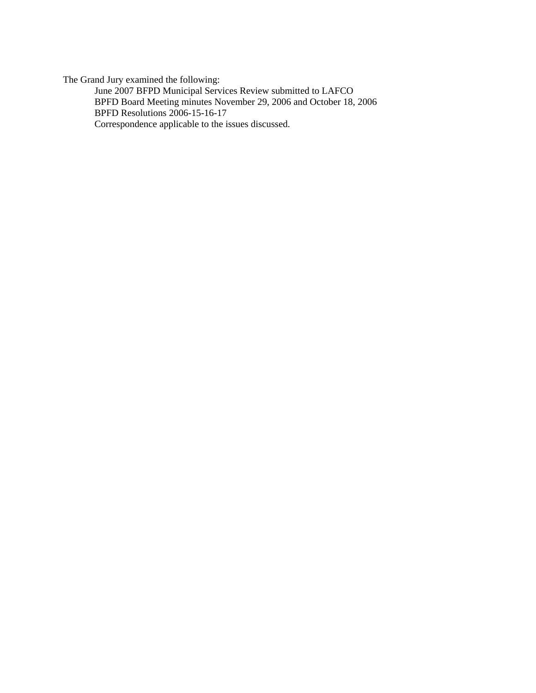The Grand Jury examined the following:

June 2007 BFPD Municipal Services Review submitted to LAFCO BPFD Board Meeting minutes November 29, 2006 and October 18, 2006 BPFD Resolutions 2006-15-16-17 Correspondence applicable to the issues discussed.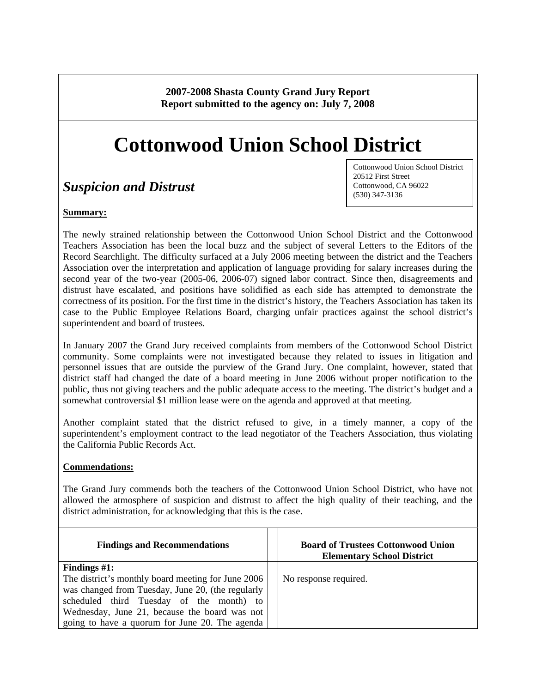**2007-2008 Shasta County Grand Jury Report Report submitted to the agency on: July 7, 2008** 

# **Cottonwood Union School District**

# *Suspicion and Distrust*

### **Summary:**

Cottonwood Union School District 20512 First Street Cottonwood, CA 96022 (530) 347-3136

The newly strained relationship between the Cottonwood Union School District and the Cottonwood Teachers Association has been the local buzz and the subject of several Letters to the Editors of the Record Searchlight. The difficulty surfaced at a July 2006 meeting between the district and the Teachers Association over the interpretation and application of language providing for salary increases during the second year of the two-year (2005-06, 2006-07) signed labor contract. Since then, disagreements and distrust have escalated, and positions have solidified as each side has attempted to demonstrate the correctness of its position. For the first time in the district's history, the Teachers Association has taken its case to the Public Employee Relations Board, charging unfair practices against the school district's superintendent and board of trustees.

In January 2007 the Grand Jury received complaints from members of the Cottonwood School District community. Some complaints were not investigated because they related to issues in litigation and personnel issues that are outside the purview of the Grand Jury. One complaint, however, stated that district staff had changed the date of a board meeting in June 2006 without proper notification to the public, thus not giving teachers and the public adequate access to the meeting. The district's budget and a somewhat controversial \$1 million lease were on the agenda and approved at that meeting.

Another complaint stated that the district refused to give, in a timely manner, a copy of the superintendent's employment contract to the lead negotiator of the Teachers Association, thus violating the California Public Records Act.

### **Commendations:**

The Grand Jury commends both the teachers of the Cottonwood Union School District, who have not allowed the atmosphere of suspicion and distrust to affect the high quality of their teaching, and the district administration, for acknowledging that this is the case.

| <b>Findings and Recommendations</b>                | <b>Board of Trustees Cottonwood Union</b><br><b>Elementary School District</b> |
|----------------------------------------------------|--------------------------------------------------------------------------------|
| Findings $#1$ :                                    |                                                                                |
| The district's monthly board meeting for June 2006 | No response required.                                                          |
| was changed from Tuesday, June 20, (the regularly  |                                                                                |
| scheduled third Tuesday of the month) to           |                                                                                |
| Wednesday, June 21, because the board was not      |                                                                                |
| going to have a quorum for June 20. The agenda     |                                                                                |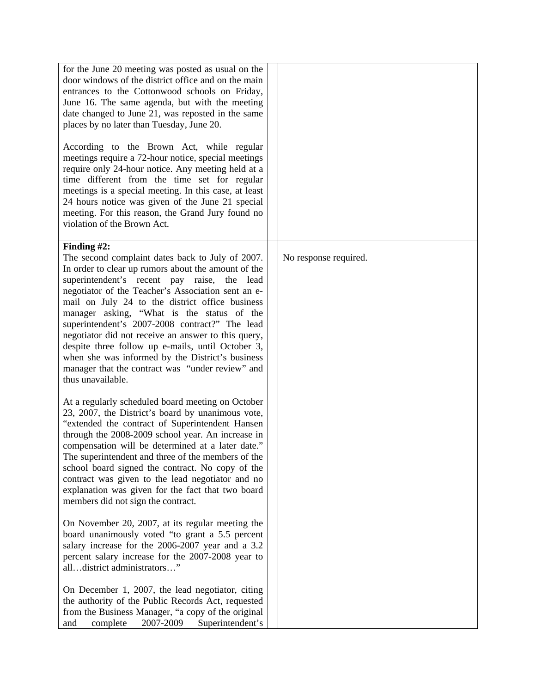| for the June 20 meeting was posted as usual on the<br>door windows of the district office and on the main<br>entrances to the Cottonwood schools on Friday,<br>June 16. The same agenda, but with the meeting<br>date changed to June 21, was reposted in the same<br>places by no later than Tuesday, June 20.<br>According to the Brown Act, while regular<br>meetings require a 72-hour notice, special meetings<br>require only 24-hour notice. Any meeting held at a<br>time different from the time set for regular<br>meetings is a special meeting. In this case, at least<br>24 hours notice was given of the June 21 special<br>meeting. For this reason, the Grand Jury found no<br>violation of the Brown Act. |                       |
|----------------------------------------------------------------------------------------------------------------------------------------------------------------------------------------------------------------------------------------------------------------------------------------------------------------------------------------------------------------------------------------------------------------------------------------------------------------------------------------------------------------------------------------------------------------------------------------------------------------------------------------------------------------------------------------------------------------------------|-----------------------|
| Finding $#2$ :<br>The second complaint dates back to July of 2007.<br>In order to clear up rumors about the amount of the<br>superintendent's recent pay raise,<br>the<br>lead<br>negotiator of the Teacher's Association sent an e-<br>mail on July 24 to the district office business<br>manager asking, "What is the status of the<br>superintendent's 2007-2008 contract?" The lead<br>negotiator did not receive an answer to this query,<br>despite three follow up e-mails, until October 3,<br>when she was informed by the District's business<br>manager that the contract was "under review" and<br>thus unavailable.                                                                                           | No response required. |
| At a regularly scheduled board meeting on October<br>23, 2007, the District's board by unanimous vote,<br>"extended the contract of Superintendent Hansen<br>through the 2008-2009 school year. An increase in<br>compensation will be determined at a later date."<br>The superintendent and three of the members of the<br>school board signed the contract. No copy of the<br>contract was given to the lead negotiator and no<br>explanation was given for the fact that two board<br>members did not sign the contract.                                                                                                                                                                                               |                       |
| On November 20, 2007, at its regular meeting the<br>board unanimously voted "to grant a 5.5 percent<br>salary increase for the 2006-2007 year and a 3.2<br>percent salary increase for the 2007-2008 year to<br>alldistrict administrators"                                                                                                                                                                                                                                                                                                                                                                                                                                                                                |                       |
| On December 1, 2007, the lead negotiator, citing<br>the authority of the Public Records Act, requested<br>from the Business Manager, "a copy of the original<br>2007-2009<br>complete<br>Superintendent's<br>and                                                                                                                                                                                                                                                                                                                                                                                                                                                                                                           |                       |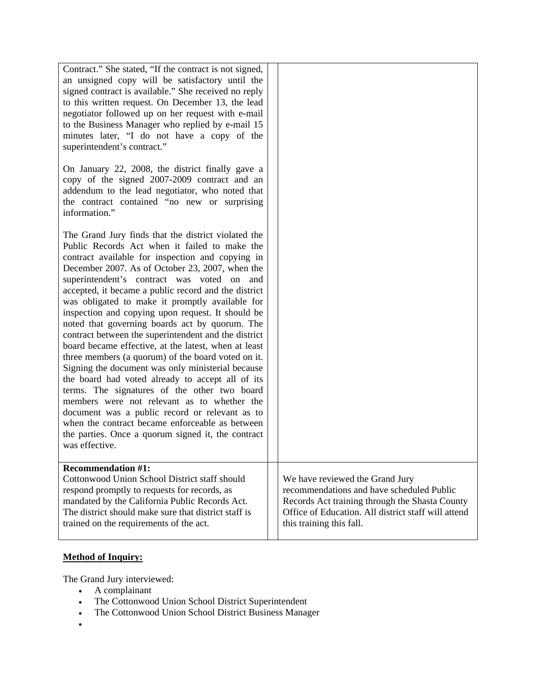| Contract." She stated, "If the contract is not signed,<br>an unsigned copy will be satisfactory until the<br>signed contract is available." She received no reply<br>to this written request. On December 13, the lead<br>negotiator followed up on her request with e-mail<br>to the Business Manager who replied by e-mail 15<br>minutes later, "I do not have a copy of the<br>superintendent's contract."                                                                                                                                                                                                                                                                                                                                                                                                                                                                                                                                                                                                                          |                                                                                                                                                                                                                   |
|----------------------------------------------------------------------------------------------------------------------------------------------------------------------------------------------------------------------------------------------------------------------------------------------------------------------------------------------------------------------------------------------------------------------------------------------------------------------------------------------------------------------------------------------------------------------------------------------------------------------------------------------------------------------------------------------------------------------------------------------------------------------------------------------------------------------------------------------------------------------------------------------------------------------------------------------------------------------------------------------------------------------------------------|-------------------------------------------------------------------------------------------------------------------------------------------------------------------------------------------------------------------|
| On January 22, 2008, the district finally gave a<br>copy of the signed 2007-2009 contract and an<br>addendum to the lead negotiator, who noted that<br>the contract contained "no new or surprising<br>information."                                                                                                                                                                                                                                                                                                                                                                                                                                                                                                                                                                                                                                                                                                                                                                                                                   |                                                                                                                                                                                                                   |
| The Grand Jury finds that the district violated the<br>Public Records Act when it failed to make the<br>contract available for inspection and copying in<br>December 2007. As of October 23, 2007, when the<br>superintendent's contract was voted on and<br>accepted, it became a public record and the district<br>was obligated to make it promptly available for<br>inspection and copying upon request. It should be<br>noted that governing boards act by quorum. The<br>contract between the superintendent and the district<br>board became effective, at the latest, when at least<br>three members (a quorum) of the board voted on it.<br>Signing the document was only ministerial because<br>the board had voted already to accept all of its<br>terms. The signatures of the other two board<br>members were not relevant as to whether the<br>document was a public record or relevant as to<br>when the contract became enforceable as between<br>the parties. Once a quorum signed it, the contract<br>was effective. |                                                                                                                                                                                                                   |
| <b>Recommendation #1:</b><br>Cottonwood Union School District staff should<br>respond promptly to requests for records, as<br>mandated by the California Public Records Act.<br>The district should make sure that district staff is<br>trained on the requirements of the act.                                                                                                                                                                                                                                                                                                                                                                                                                                                                                                                                                                                                                                                                                                                                                        | We have reviewed the Grand Jury<br>recommendations and have scheduled Public<br>Records Act training through the Shasta County<br>Office of Education. All district staff will attend<br>this training this fall. |

### **Method of Inquiry:**

The Grand Jury interviewed:

- A complainant
- The Cottonwood Union School District Superintendent
- The Cottonwood Union School District Business Manager
- $\bullet$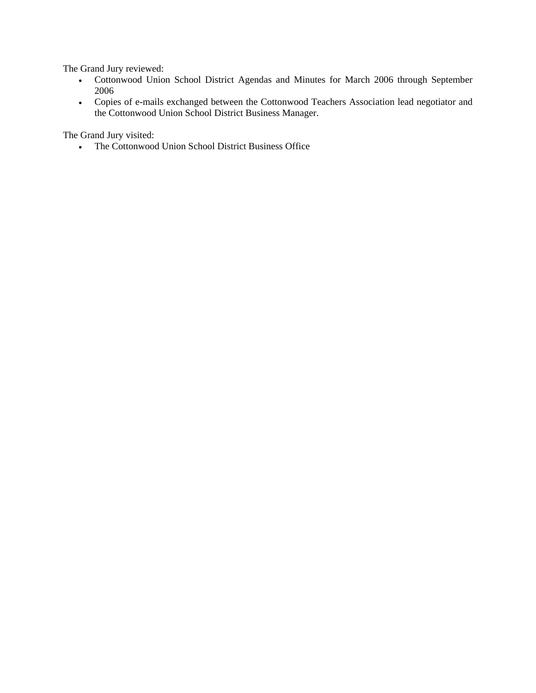The Grand Jury reviewed:

- Cottonwood Union School District Agendas and Minutes for March 2006 through September 2006
- Copies of e-mails exchanged between the Cottonwood Teachers Association lead negotiator and the Cottonwood Union School District Business Manager.

The Grand Jury visited:

The Cottonwood Union School District Business Office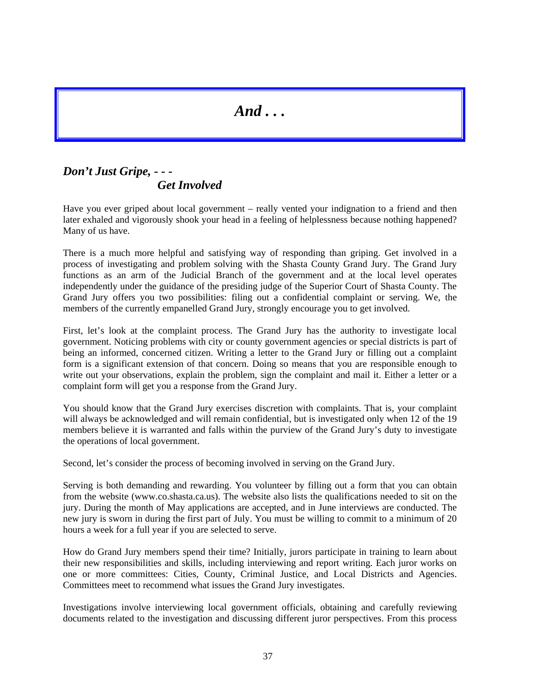*And . . .* 

## *Don't Just Gripe, - - - Get Involved*

Have you ever griped about local government – really vented your indignation to a friend and then later exhaled and vigorously shook your head in a feeling of helplessness because nothing happened? Many of us have.

There is a much more helpful and satisfying way of responding than griping. Get involved in a process of investigating and problem solving with the Shasta County Grand Jury. The Grand Jury functions as an arm of the Judicial Branch of the government and at the local level operates independently under the guidance of the presiding judge of the Superior Court of Shasta County. The Grand Jury offers you two possibilities: filing out a confidential complaint or serving. We, the members of the currently empanelled Grand Jury, strongly encourage you to get involved.

First, let's look at the complaint process. The Grand Jury has the authority to investigate local government. Noticing problems with city or county government agencies or special districts is part of being an informed, concerned citizen. Writing a letter to the Grand Jury or filling out a complaint form is a significant extension of that concern. Doing so means that you are responsible enough to write out your observations, explain the problem, sign the complaint and mail it. Either a letter or a complaint form will get you a response from the Grand Jury.

You should know that the Grand Jury exercises discretion with complaints. That is, your complaint will always be acknowledged and will remain confidential, but is investigated only when 12 of the 19 members believe it is warranted and falls within the purview of the Grand Jury's duty to investigate the operations of local government.

Second, let's consider the process of becoming involved in serving on the Grand Jury.

Serving is both demanding and rewarding. You volunteer by filling out a form that you can obtain from the website ([www.co.shasta.ca.us](http://www.co.shasta.ca.us)). The website also lists the qualifications needed to sit on the jury. During the month of May applications are accepted, and in June interviews are conducted. The new jury is sworn in during the first part of July. You must be willing to commit to a minimum of 20 hours a week for a full year if you are selected to serve.

How do Grand Jury members spend their time? Initially, jurors participate in training to learn about their new responsibilities and skills, including interviewing and report writing. Each juror works on one or more committees: Cities, County, Criminal Justice, and Local Districts and Agencies. Committees meet to recommend what issues the Grand Jury investigates.

Investigations involve interviewing local government officials, obtaining and carefully reviewing documents related to the investigation and discussing different juror perspectives. From this process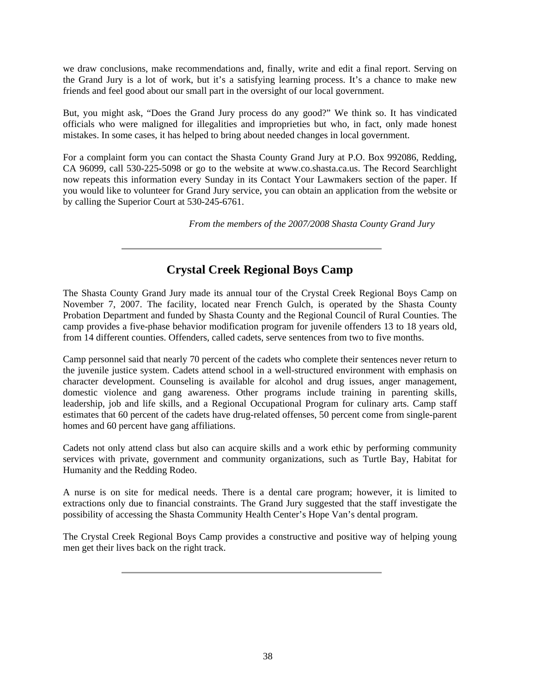we draw conclusions, make recommendations and, finally, write and edit a final report. Serving on the Grand Jury is a lot of work, but it's a satisfying learning process. It's a chance to make new friends and feel good about our small part in the oversight of our local government.

But, you might ask, "Does the Grand Jury process do any good?" We think so. It has vindicated officials who were maligned for illegalities and improprieties but who, in fact, only made honest mistakes. In some cases, it has helped to bring about needed changes in local government.

For a complaint form you can contact the Shasta County Grand Jury at P.O. Box 992086, Redding, CA 96099, call 530-225-5098 or go to the website at www.co.shasta.ca.us. The Record Searchlight now repeats this information every Sunday in its Contact Your Lawmakers section of the paper. If you would like to volunteer for Grand Jury service, you can obtain an application from the website or by calling the Superior Court at 530-245-6761.

*From the members of the 2007/2008 Shasta County Grand Jury* 

## **Crystal Creek Regional Boys Camp**

The Shasta County Grand Jury made its annual tour of the Crystal Creek Regional Boys Camp on November 7, 2007. The facility, located near French Gulch, is operated by the Shasta County Probation Department and funded by Shasta County and the Regional Council of Rural Counties. The camp provides a five-phase behavior modification program for juvenile offenders 13 to 18 years old, from 14 different counties. Offenders, called cadets, serve sentences from two to five months.

Camp personnel said that nearly 70 percent of the cadets who complete their sentences never return to the juvenile justice system. Cadets attend school in a well-structured environment with emphasis on character development. Counseling is available for alcohol and drug issues, anger management, domestic violence and gang awareness. Other programs include training in parenting skills, leadership, job and life skills, and a Regional Occupational Program for culinary arts. Camp staff estimates that 60 percent of the cadets have drug-related offenses, 50 percent come from single-parent homes and 60 percent have gang affiliations.

Cadets not only attend class but also can acquire skills and a work ethic by performing community services with private, government and community organizations, such as Turtle Bay, Habitat for Humanity and the Redding Rodeo.

A nurse is on site for medical needs. There is a dental care program; however, it is limited to extractions only due to financial constraints. The Grand Jury suggested that the staff investigate the possibility of accessing the Shasta Community Health Center's Hope Van's dental program.

The Crystal Creek Regional Boys Camp provides a constructive and positive way of helping young men get their lives back on the right track.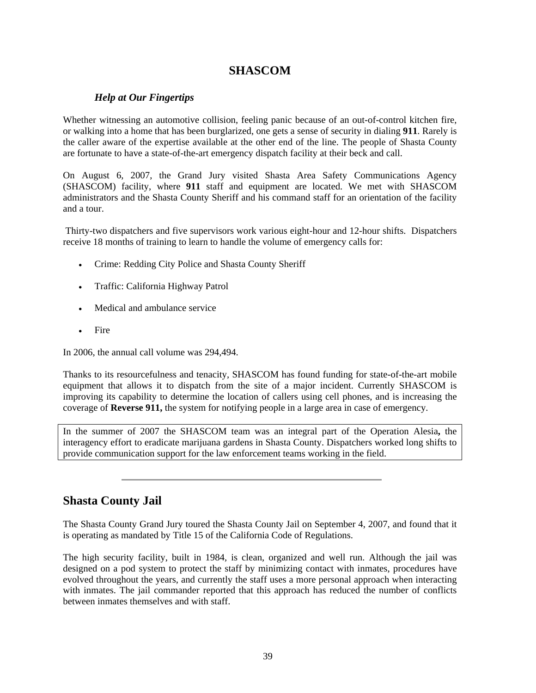## **SHASCOM**

### *Help at Our Fingertips*

Whether witnessing an automotive collision, feeling panic because of an out-of-control kitchen fire, or walking into a home that has been burglarized, one gets a sense of security in dialing **911**. Rarely is the caller aware of the expertise available at the other end of the line. The people of Shasta County are fortunate to have a state-of-the-art emergency dispatch facility at their beck and call.

On August 6, 2007, the Grand Jury visited Shasta Area Safety Communications Agency (SHASCOM) facility, where **911** staff and equipment are located. We met with SHASCOM administrators and the Shasta County Sheriff and his command staff for an orientation of the facility and a tour.

 Thirty-two dispatchers and five supervisors work various eight-hour and 12-hour shifts. Dispatchers receive 18 months of training to learn to handle the volume of emergency calls for:

- Crime: Redding City Police and Shasta County Sheriff
- Traffic: California Highway Patrol
- Medical and ambulance service
- **Fire**

In 2006, the annual call volume was 294,494.

Thanks to its resourcefulness and tenacity, SHASCOM has found funding for state-of-the-art mobile equipment that allows it to dispatch from the site of a major incident. Currently SHASCOM is improving its capability to determine the location of callers using cell phones, and is increasing the coverage of **Reverse 911,** the system for notifying people in a large area in case of emergency.

In the summer of 2007 the SHASCOM team was an integral part of the Operation Alesia**,** the interagency effort to eradicate marijuana gardens in Shasta County. Dispatchers worked long shifts to provide communication support for the law enforcement teams working in the field.

### **Shasta County Jail**

The Shasta County Grand Jury toured the Shasta County Jail on September 4, 2007, and found that it is operating as mandated by Title 15 of the California Code of Regulations.

The high security facility, built in 1984, is clean, organized and well run. Although the jail was designed on a pod system to protect the staff by minimizing contact with inmates, procedures have evolved throughout the years, and currently the staff uses a more personal approach when interacting with inmates. The jail commander reported that this approach has reduced the number of conflicts between inmates themselves and with staff.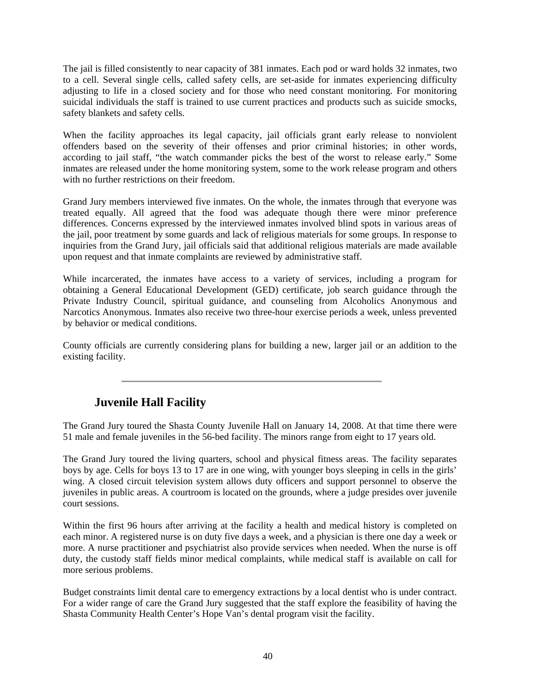The jail is filled consistently to near capacity of 381 inmates. Each pod or ward holds 32 inmates, two to a cell. Several single cells, called safety cells, are set-aside for inmates experiencing difficulty adjusting to life in a closed society and for those who need constant monitoring. For monitoring suicidal individuals the staff is trained to use current practices and products such as suicide smocks, safety blankets and safety cells.

When the facility approaches its legal capacity, jail officials grant early release to nonviolent offenders based on the severity of their offenses and prior criminal histories; in other words, according to jail staff, "the watch commander picks the best of the worst to release early." Some inmates are released under the home monitoring system, some to the work release program and others with no further restrictions on their freedom.

Grand Jury members interviewed five inmates. On the whole, the inmates through that everyone was treated equally. All agreed that the food was adequate though there were minor preference differences. Concerns expressed by the interviewed inmates involved blind spots in various areas of the jail, poor treatment by some guards and lack of religious materials for some groups. In response to inquiries from the Grand Jury, jail officials said that additional religious materials are made available upon request and that inmate complaints are reviewed by administrative staff.

While incarcerated, the inmates have access to a variety of services, including a program for obtaining a General Educational Development (GED) certificate, job search guidance through the Private Industry Council, spiritual guidance, and counseling from Alcoholics Anonymous and Narcotics Anonymous. Inmates also receive two three-hour exercise periods a week, unless prevented by behavior or medical conditions.

County officials are currently considering plans for building a new, larger jail or an addition to the existing facility.

## **Juvenile Hall Facility**

The Grand Jury toured the Shasta County Juvenile Hall on January 14, 2008. At that time there were 51 male and female juveniles in the 56-bed facility. The minors range from eight to 17 years old.

The Grand Jury toured the living quarters, school and physical fitness areas. The facility separates boys by age. Cells for boys 13 to 17 are in one wing, with younger boys sleeping in cells in the girls' wing. A closed circuit television system allows duty officers and support personnel to observe the juveniles in public areas. A courtroom is located on the grounds, where a judge presides over juvenile court sessions.

Within the first 96 hours after arriving at the facility a health and medical history is completed on each minor. A registered nurse is on duty five days a week, and a physician is there one day a week or more. A nurse practitioner and psychiatrist also provide services when needed. When the nurse is off duty, the custody staff fields minor medical complaints, while medical staff is available on call for more serious problems.

Budget constraints limit dental care to emergency extractions by a local dentist who is under contract. For a wider range of care the Grand Jury suggested that the staff explore the feasibility of having the Shasta Community Health Center's Hope Van's dental program visit the facility.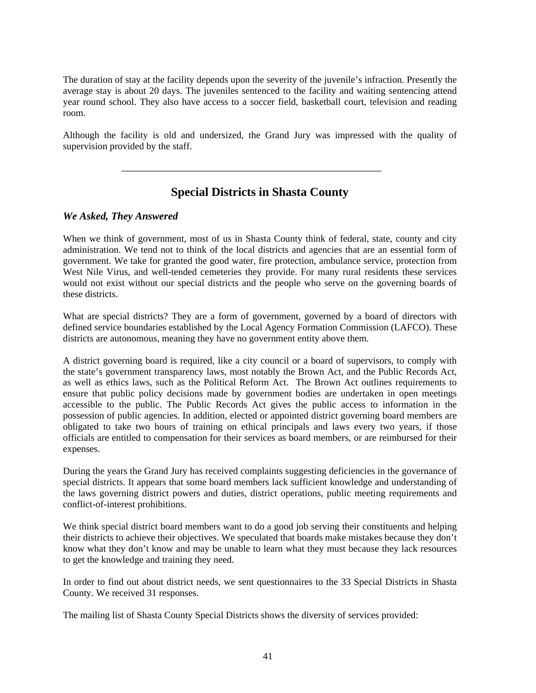The duration of stay at the facility depends upon the severity of the juvenile's infraction. Presently the average stay is about 20 days. The juveniles sentenced to the facility and waiting sentencing attend year round school. They also have access to a soccer field, basketball court, television and reading room.

Although the facility is old and undersized, the Grand Jury was impressed with the quality of supervision provided by the staff.

## **Special Districts in Shasta County**

### *We Asked, They Answered*

When we think of government, most of us in Shasta County think of federal, state, county and city administration. We tend not to think of the local districts and agencies that are an essential form of government. We take for granted the good water, fire protection, ambulance service, protection from West Nile Virus, and well-tended cemeteries they provide. For many rural residents these services would not exist without our special districts and the people who serve on the governing boards of these districts.

What are special districts? They are a form of government, governed by a board of directors with defined service boundaries established by the Local Agency Formation Commission (LAFCO). These districts are autonomous, meaning they have no government entity above them.

A district governing board is required, like a city council or a board of supervisors, to comply with the state's government transparency laws, most notably the Brown Act, and the Public Records Act, as well as ethics laws, such as the Political Reform Act. The Brown Act outlines requirements to ensure that public policy decisions made by government bodies are undertaken in open meetings accessible to the public. The Public Records Act gives the public access to information in the possession of public agencies. In addition, elected or appointed district governing board members are obligated to take two hours of training on ethical principals and laws every two years, if those officials are entitled to compensation for their services as board members, or are reimbursed for their expenses.

During the years the Grand Jury has received complaints suggesting deficiencies in the governance of special districts. It appears that some board members lack sufficient knowledge and understanding of the laws governing district powers and duties, district operations, public meeting requirements and conflict-of-interest prohibitions.

We think special district board members want to do a good job serving their constituents and helping their districts to achieve their objectives. We speculated that boards make mistakes because they don't know what they don't know and may be unable to learn what they must because they lack resources to get the knowledge and training they need.

In order to find out about district needs, we sent questionnaires to the 33 Special Districts in Shasta County. We received 31 responses.

The mailing list of Shasta County Special Districts shows the diversity of services provided: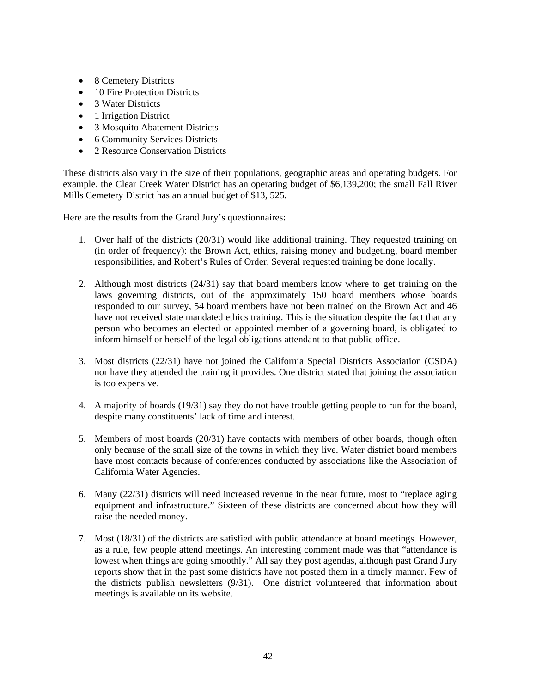- 8 Cemetery Districts
- 10 Fire Protection Districts
- 3 Water Districts
- 1 Irrigation District
- 3 Mosquito Abatement Districts
- 6 Community Services Districts
- 2 Resource Conservation Districts

These districts also vary in the size of their populations, geographic areas and operating budgets. For example, the Clear Creek Water District has an operating budget of \$6,139,200; the small Fall River Mills Cemetery District has an annual budget of \$13, 525.

Here are the results from the Grand Jury's questionnaires:

- 1. Over half of the districts (20/31) would like additional training. They requested training on (in order of frequency): the Brown Act, ethics, raising money and budgeting, board member responsibilities, and Robert's Rules of Order. Several requested training be done locally.
- 2. Although most districts (24/31) say that board members know where to get training on the laws governing districts, out of the approximately 150 board members whose boards responded to our survey, 54 board members have not been trained on the Brown Act and 46 have not received state mandated ethics training. This is the situation despite the fact that any person who becomes an elected or appointed member of a governing board, is obligated to inform himself or herself of the legal obligations attendant to that public office.
- 3. Most districts (22/31) have not joined the California Special Districts Association (CSDA) nor have they attended the training it provides. One district stated that joining the association is too expensive.
- 4. A majority of boards (19/31) say they do not have trouble getting people to run for the board, despite many constituents' lack of time and interest.
- 5. Members of most boards (20/31) have contacts with members of other boards, though often only because of the small size of the towns in which they live. Water district board members have most contacts because of conferences conducted by associations like the Association of California Water Agencies.
- 6. Many (22/31) districts will need increased revenue in the near future, most to "replace aging equipment and infrastructure." Sixteen of these districts are concerned about how they will raise the needed money.
- 7. Most (18/31) of the districts are satisfied with public attendance at board meetings. However, as a rule, few people attend meetings. An interesting comment made was that "attendance is lowest when things are going smoothly." All say they post agendas, although past Grand Jury reports show that in the past some districts have not posted them in a timely manner. Few of the districts publish newsletters (9/31). One district volunteered that information about meetings is available on its website.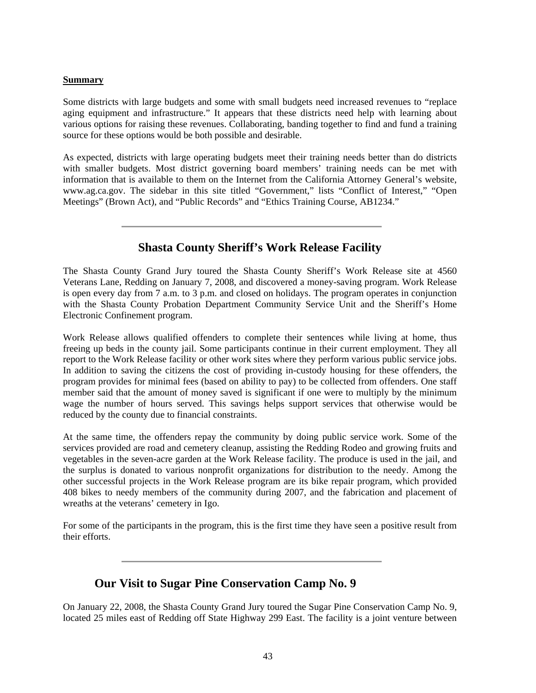#### **Summary**

Some districts with large budgets and some with small budgets need increased revenues to "replace aging equipment and infrastructure." It appears that these districts need help with learning about various options for raising these revenues. Collaborating, banding together to find and fund a training source for these options would be both possible and desirable.

As expected, districts with large operating budgets meet their training needs better than do districts with smaller budgets. Most district governing board members' training needs can be met with information that is available to them on the Internet from the California Attorney General's website, www.ag.ca.gov. The sidebar in this site titled "Government," lists "Conflict of Interest," "Open Meetings" (Brown Act), and "Public Records" and "Ethics Training Course, AB1234."

## **Shasta County Sheriff's Work Release Facility**

The Shasta County Grand Jury toured the Shasta County Sheriff's Work Release site at 4560 Veterans Lane, Redding on January 7, 2008, and discovered a money-saving program. Work Release is open every day from 7 a.m. to 3 p.m. and closed on holidays. The program operates in conjunction with the Shasta County Probation Department Community Service Unit and the Sheriff's Home Electronic Confinement program.

Work Release allows qualified offenders to complete their sentences while living at home, thus freeing up beds in the county jail. Some participants continue in their current employment. They all report to the Work Release facility or other work sites where they perform various public service jobs. In addition to saving the citizens the cost of providing in-custody housing for these offenders, the program provides for minimal fees (based on ability to pay) to be collected from offenders. One staff member said that the amount of money saved is significant if one were to multiply by the minimum wage the number of hours served. This savings helps support services that otherwise would be reduced by the county due to financial constraints.

At the same time, the offenders repay the community by doing public service work. Some of the services provided are road and cemetery cleanup, assisting the Redding Rodeo and growing fruits and vegetables in the seven-acre garden at the Work Release facility. The produce is used in the jail, and the surplus is donated to various nonprofit organizations for distribution to the needy. Among the other successful projects in the Work Release program are its bike repair program, which provided 408 bikes to needy members of the community during 2007, and the fabrication and placement of wreaths at the veterans' cemetery in Igo.

For some of the participants in the program, this is the first time they have seen a positive result from their efforts.

### **Our Visit to Sugar Pine Conservation Camp No. 9**

On January 22, 2008, the Shasta County Grand Jury toured the Sugar Pine Conservation Camp No. 9, located 25 miles east of Redding off State Highway 299 East. The facility is a joint venture between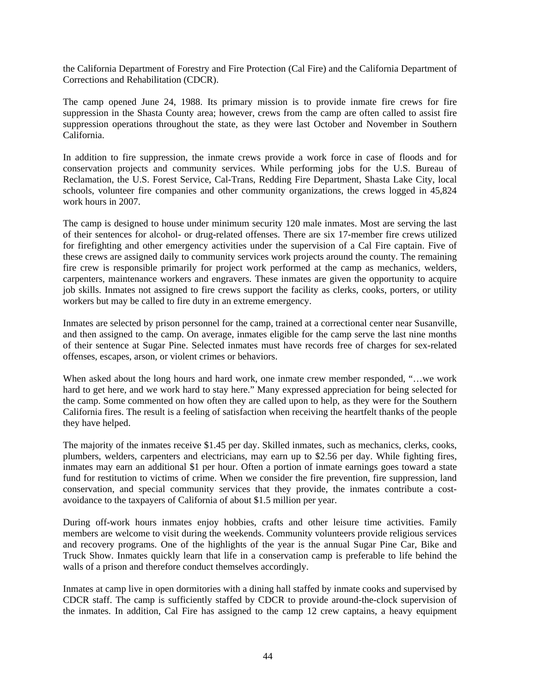the California Department of Forestry and Fire Protection (Cal Fire) and the California Department of Corrections and Rehabilitation (CDCR).

The camp opened June 24, 1988. Its primary mission is to provide inmate fire crews for fire suppression in the Shasta County area; however, crews from the camp are often called to assist fire suppression operations throughout the state, as they were last October and November in Southern California.

In addition to fire suppression, the inmate crews provide a work force in case of floods and for conservation projects and community services. While performing jobs for the U.S. Bureau of Reclamation, the U.S. Forest Service, Cal-Trans, Redding Fire Department, Shasta Lake City, local schools, volunteer fire companies and other community organizations, the crews logged in 45,824 work hours in 2007.

The camp is designed to house under minimum security 120 male inmates. Most are serving the last of their sentences for alcohol- or drug-related offenses. There are six 17-member fire crews utilized for firefighting and other emergency activities under the supervision of a Cal Fire captain. Five of these crews are assigned daily to community services work projects around the county. The remaining fire crew is responsible primarily for project work performed at the camp as mechanics, welders, carpenters, maintenance workers and engravers. These inmates are given the opportunity to acquire job skills. Inmates not assigned to fire crews support the facility as clerks, cooks, porters, or utility workers but may be called to fire duty in an extreme emergency.

Inmates are selected by prison personnel for the camp, trained at a correctional center near Susanville, and then assigned to the camp. On average, inmates eligible for the camp serve the last nine months of their sentence at Sugar Pine. Selected inmates must have records free of charges for sex-related offenses, escapes, arson, or violent crimes or behaviors.

When asked about the long hours and hard work, one inmate crew member responded, "…we work hard to get here, and we work hard to stay here." Many expressed appreciation for being selected for the camp. Some commented on how often they are called upon to help, as they were for the Southern California fires. The result is a feeling of satisfaction when receiving the heartfelt thanks of the people they have helped.

The majority of the inmates receive \$1.45 per day. Skilled inmates, such as mechanics, clerks, cooks, plumbers, welders, carpenters and electricians, may earn up to \$2.56 per day. While fighting fires, inmates may earn an additional \$1 per hour. Often a portion of inmate earnings goes toward a state fund for restitution to victims of crime. When we consider the fire prevention, fire suppression, land conservation, and special community services that they provide, the inmates contribute a costavoidance to the taxpayers of California of about \$1.5 million per year.

During off-work hours inmates enjoy hobbies, crafts and other leisure time activities. Family members are welcome to visit during the weekends. Community volunteers provide religious services and recovery programs. One of the highlights of the year is the annual Sugar Pine Car, Bike and Truck Show. Inmates quickly learn that life in a conservation camp is preferable to life behind the walls of a prison and therefore conduct themselves accordingly.

Inmates at camp live in open dormitories with a dining hall staffed by inmate cooks and supervised by CDCR staff. The camp is sufficiently staffed by CDCR to provide around-the-clock supervision of the inmates. In addition, Cal Fire has assigned to the camp 12 crew captains, a heavy equipment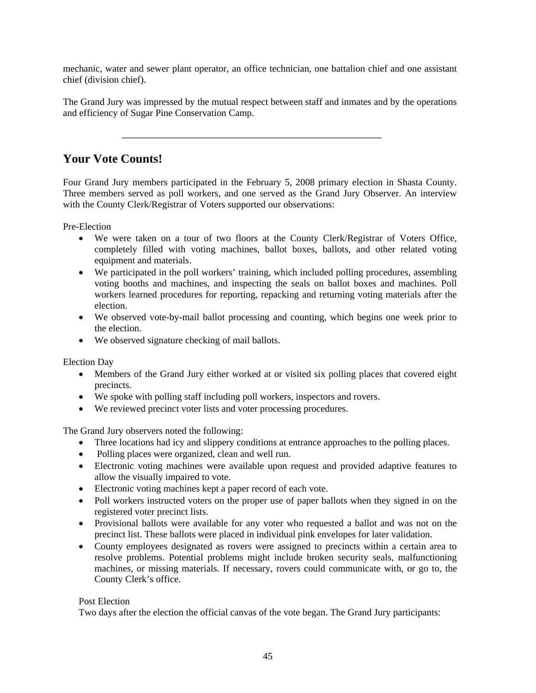mechanic, water and sewer plant operator, an office technician, one battalion chief and one assistant chief (division chief).

The Grand Jury was impressed by the mutual respect between staff and inmates and by the operations and efficiency of Sugar Pine Conservation Camp.

### **Your Vote Counts!**

Four Grand Jury members participated in the February 5, 2008 primary election in Shasta County. Three members served as poll workers, and one served as the Grand Jury Observer. An interview with the County Clerk/Registrar of Voters supported our observations:

Pre-Election

- We were taken on a tour of two floors at the County Clerk/Registrar of Voters Office, completely filled with voting machines, ballot boxes, ballots, and other related voting equipment and materials.
- We participated in the poll workers' training, which included polling procedures, assembling voting booths and machines, and inspecting the seals on ballot boxes and machines. Poll workers learned procedures for reporting, repacking and returning voting materials after the election.
- We observed vote-by-mail ballot processing and counting, which begins one week prior to the election.
- We observed signature checking of mail ballots.

Election Day

- Members of the Grand Jury either worked at or visited six polling places that covered eight precincts.
- We spoke with polling staff including poll workers, inspectors and rovers.
- We reviewed precinct voter lists and voter processing procedures.

The Grand Jury observers noted the following:

- Three locations had icy and slippery conditions at entrance approaches to the polling places.
- Polling places were organized, clean and well run.
- Electronic voting machines were available upon request and provided adaptive features to allow the visually impaired to vote.
- Electronic voting machines kept a paper record of each vote.
- Poll workers instructed voters on the proper use of paper ballots when they signed in on the registered voter precinct lists.
- Provisional ballots were available for any voter who requested a ballot and was not on the precinct list. These ballots were placed in individual pink envelopes for later validation.
- County employees designated as rovers were assigned to precincts within a certain area to resolve problems. Potential problems might include broken security seals, malfunctioning machines, or missing materials. If necessary, rovers could communicate with, or go to, the County Clerk's office.

#### Post Election

Two days after the election the official canvas of the vote began. The Grand Jury participants: